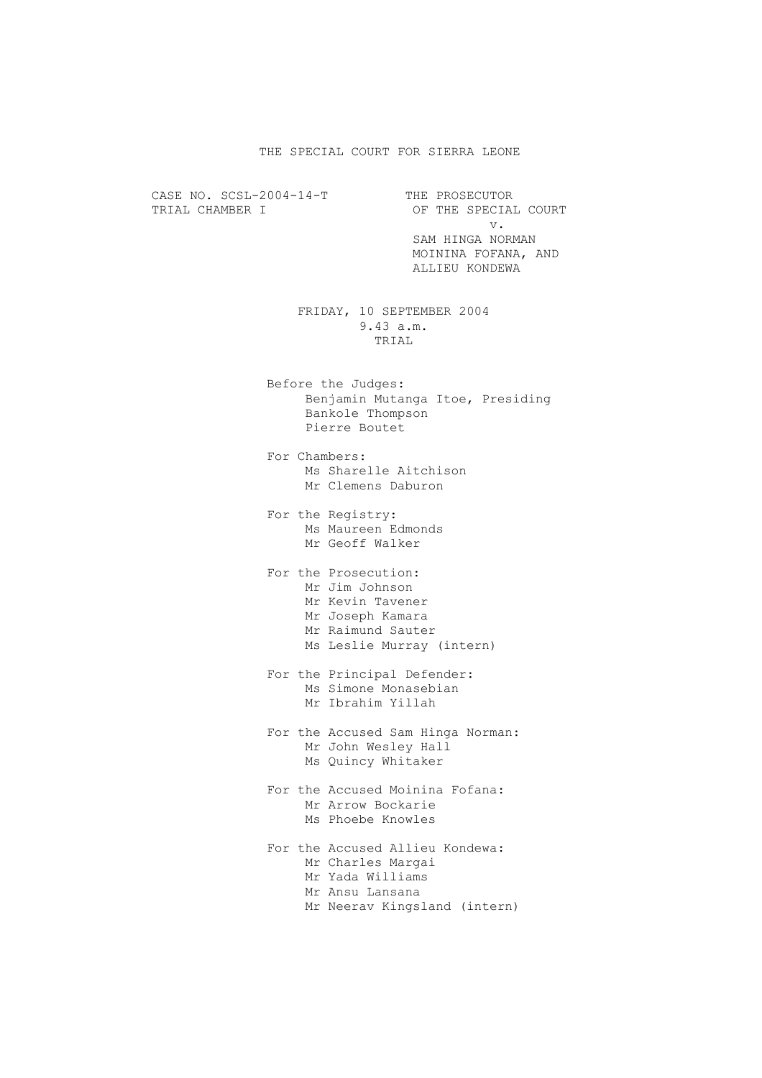## THE SPECIAL COURT FOR SIERRA LEONE

CASE NO. SCSL-2004-14-T<br>TRIAL CHAMBER I OF THE SPECIAL OF THE SPECIAL COURT v. SAM HINGA NORMAN MOININA FOFANA, AND ALLIEU KONDEWA FRIDAY, 10 SEPTEMBER 2004 9.43 a.m. TRIAL Before the Judges: Benjamin Mutanga Itoe, Presiding Bankole Thompson Pierre Boutet For Chambers: Ms Sharelle Aitchison Mr Clemens Daburon For the Registry: Ms Maureen Edmonds Mr Geoff Walker For the Prosecution: Mr Jim Johnson

- Mr Kevin Tavener Mr Joseph Kamara Mr Raimund Sauter Ms Leslie Murray (intern)
- For the Principal Defender: Ms Simone Monasebian Mr Ibrahim Yillah
- For the Accused Sam Hinga Norman: Mr John Wesley Hall Ms Quincy Whitaker
- For the Accused Moinina Fofana: Mr Arrow Bockarie Ms Phoebe Knowles
- For the Accused Allieu Kondewa: Mr Charles Margai Mr Yada Williams Mr Ansu Lansana Mr Neerav Kingsland (intern)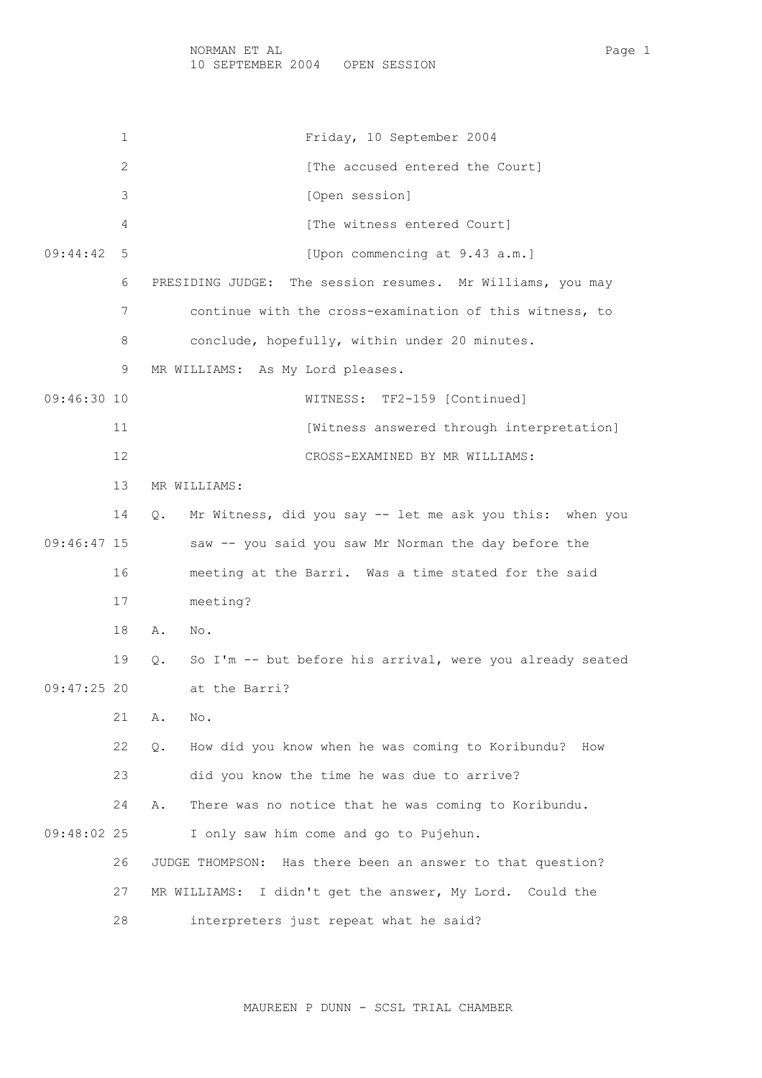1 Friday, 10 September 2004 2 **Example 2** [The accused entered the Court] 3 [Open session] 4 [The witness entered Court] 09:44:42 5 [Upon commencing at 9.43 a.m.] 6 PRESIDING JUDGE: The session resumes. Mr Williams, you may 7 continue with the cross-examination of this witness, to 8 conclude, hopefully, within under 20 minutes. 9 MR WILLIAMS: As My Lord pleases. 09:46:30 10 WITNESS: TF2-159 [Continued] 11 **Interpretation** [Witness answered through interpretation] 12 CROSS-EXAMINED BY MR WILLIAMS: 13 MR WILLIAMS: 14 Q. Mr Witness, did you say -- let me ask you this: when you 09:46:47 15 saw -- you said you saw Mr Norman the day before the 16 meeting at the Barri. Was a time stated for the said 17 meeting? 18 A. No. 19 Q. So I'm -- but before his arrival, were you already seated 09:47:25 20 at the Barri? 21 A. No. 22 Q. How did you know when he was coming to Koribundu? How 23 did you know the time he was due to arrive? 24 A. There was no notice that he was coming to Koribundu. 09:48:02 25 I only saw him come and go to Pujehun. 26 JUDGE THOMPSON: Has there been an answer to that question? 27 MR WILLIAMS: I didn't get the answer, My Lord. Could the 28 interpreters just repeat what he said?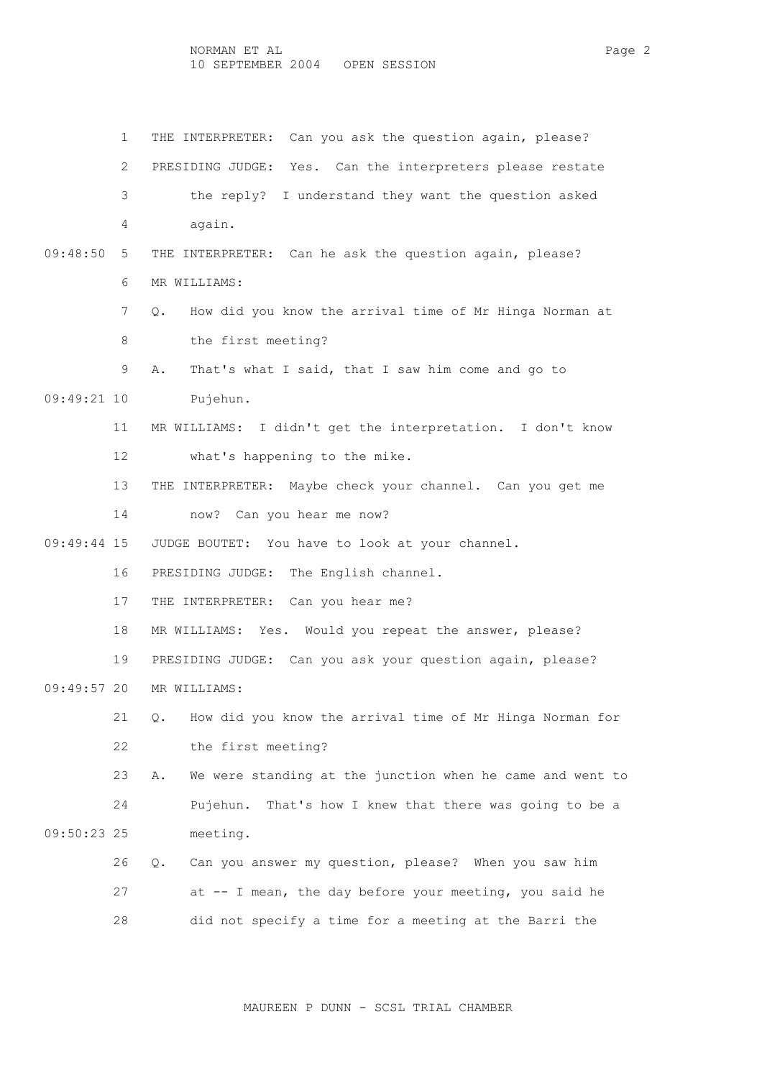NORMAN ET AL Page 2 10 SEPTEMBER 2004 OPEN SESSION

 1 THE INTERPRETER: Can you ask the question again, please? 2 PRESIDING JUDGE: Yes. Can the interpreters please restate 3 the reply? I understand they want the question asked 4 again. 09:48:50 5 THE INTERPRETER: Can he ask the question again, please? 6 MR WILLIAMS: 7 Q. How did you know the arrival time of Mr Hinga Norman at 8 the first meeting? 9 A. That's what I said, that I saw him come and go to 09:49:21 10 Pujehun. 11 MR WILLIAMS: I didn't get the interpretation. I don't know 12 what's happening to the mike. 13 THE INTERPRETER: Maybe check your channel. Can you get me 14 now? Can you hear me now? 09:49:44 15 JUDGE BOUTET: You have to look at your channel. 16 PRESIDING JUDGE: The English channel. 17 THE INTERPRETER: Can you hear me? 18 MR WILLIAMS: Yes. Would you repeat the answer, please? 19 PRESIDING JUDGE: Can you ask your question again, please? 09:49:57 20 MR WILLIAMS: 21 Q. How did you know the arrival time of Mr Hinga Norman for 22 the first meeting? 23 A. We were standing at the junction when he came and went to 24 Pujehun. That's how I knew that there was going to be a 09:50:23 25 meeting. 26 Q. Can you answer my question, please? When you saw him 27 at -- I mean, the day before your meeting, you said he 28 did not specify a time for a meeting at the Barri the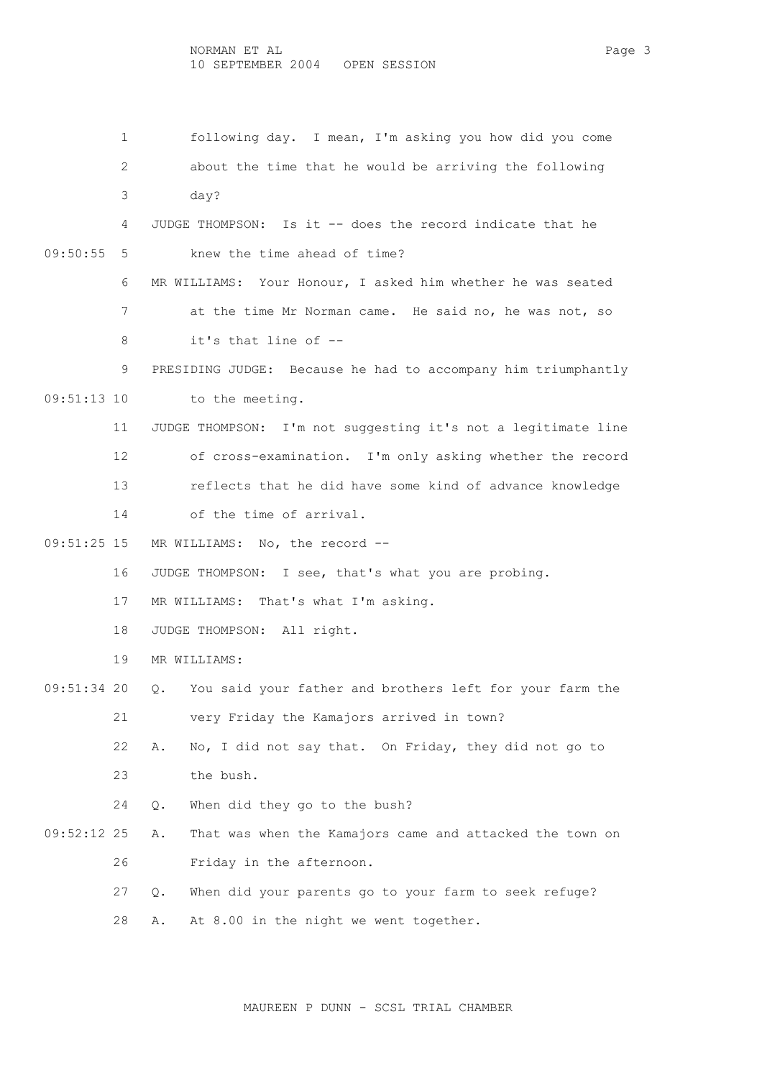1 following day. I mean, I'm asking you how did you come 2 about the time that he would be arriving the following 3 day? 4 JUDGE THOMPSON: Is it -- does the record indicate that he 09:50:55 5 knew the time ahead of time? 6 MR WILLIAMS: Your Honour, I asked him whether he was seated 7 at the time Mr Norman came. He said no, he was not, so 8 it's that line of -- 9 PRESIDING JUDGE: Because he had to accompany him triumphantly 09:51:13 10 to the meeting. 11 JUDGE THOMPSON: I'm not suggesting it's not a legitimate line 12 of cross-examination. I'm only asking whether the record 13 reflects that he did have some kind of advance knowledge 14 of the time of arrival. 09:51:25 15 MR WILLIAMS: No, the record -- 16 JUDGE THOMPSON: I see, that's what you are probing. 17 MR WILLIAMS: That's what I'm asking. 18 JUDGE THOMPSON: All right. 19 MR WILLIAMS: 09:51:34 20 Q. You said your father and brothers left for your farm the 21 very Friday the Kamajors arrived in town? 22 A. No, I did not say that. On Friday, they did not go to 23 the bush. 24 Q. When did they go to the bush? 09:52:12 25 A. That was when the Kamajors came and attacked the town on 26 Friday in the afternoon. 27 Q. When did your parents go to your farm to seek refuge? 28 A. At 8.00 in the night we went together.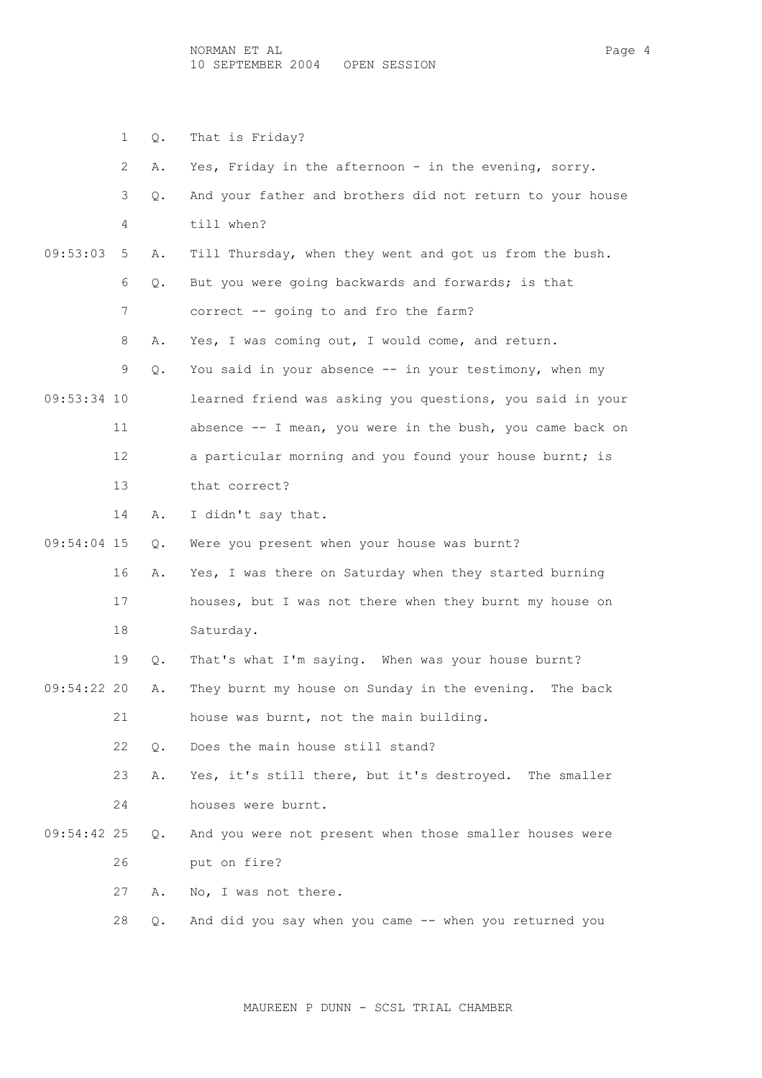NORMAN ET AL Page 4 10 SEPTEMBER 2004 OPEN SESSION

 1 Q. That is Friday? 2 A. Yes, Friday in the afternoon - in the evening, sorry. 3 Q. And your father and brothers did not return to your house 4 till when? 09:53:03 5 A. Till Thursday, when they went and got us from the bush. 6 Q. But you were going backwards and forwards; is that 7 correct -- going to and fro the farm? 8 A. Yes, I was coming out, I would come, and return. 9 Q. You said in your absence -- in your testimony, when my 09:53:34 10 learned friend was asking you questions, you said in your 11 absence -- I mean, you were in the bush, you came back on 12 a particular morning and you found your house burnt; is 13 that correct? 14 A. I didn't say that. 09:54:04 15 Q. Were you present when your house was burnt? 16 A. Yes, I was there on Saturday when they started burning 17 houses, but I was not there when they burnt my house on 18 Saturday. 19 Q. That's what I'm saying. When was your house burnt? 09:54:22 20 A. They burnt my house on Sunday in the evening. The back 21 house was burnt, not the main building. 22 Q. Does the main house still stand? 23 A. Yes, it's still there, but it's destroyed. The smaller 24 houses were burnt. 09:54:42 25 Q. And you were not present when those smaller houses were 26 put on fire? 27 A. No, I was not there. 28 Q. And did you say when you came -- when you returned you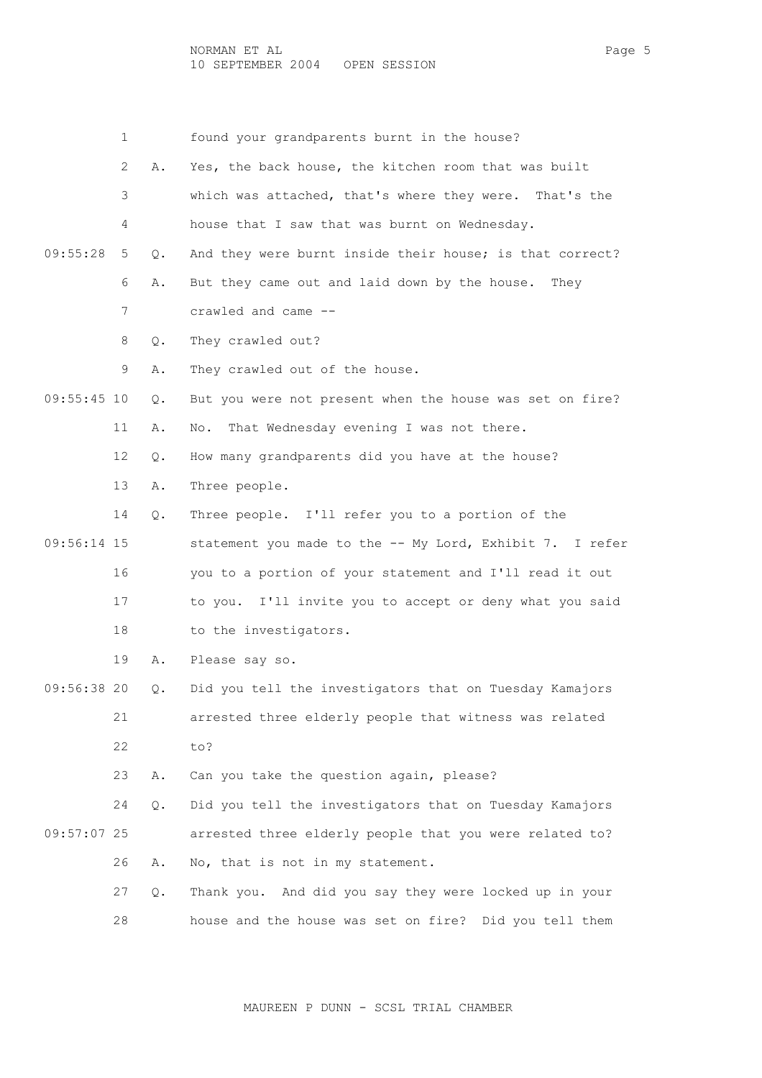1 found your grandparents burnt in the house? 2 A. Yes, the back house, the kitchen room that was built 3 which was attached, that's where they were. That's the 4 house that I saw that was burnt on Wednesday. 09:55:28 5 Q. And they were burnt inside their house; is that correct? 6 A. But they came out and laid down by the house. They 7 crawled and came -- 8 Q. They crawled out? 9 A. They crawled out of the house. 09:55:45 10 Q. But you were not present when the house was set on fire? 11 A. No. That Wednesday evening I was not there. 12 Q. How many grandparents did you have at the house? 13 A. Three people. 14 Q. Three people. I'll refer you to a portion of the 09:56:14 15 statement you made to the -- My Lord, Exhibit 7. I refer 16 you to a portion of your statement and I'll read it out 17 to you. I'll invite you to accept or deny what you said 18 to the investigators. 19 A. Please say so. 09:56:38 20 Q. Did you tell the investigators that on Tuesday Kamajors 21 arrested three elderly people that witness was related 22 to? 23 A. Can you take the question again, please? 24 Q. Did you tell the investigators that on Tuesday Kamajors 09:57:07 25 arrested three elderly people that you were related to? 26 A. No, that is not in my statement. 27 Q. Thank you. And did you say they were locked up in your 28 house and the house was set on fire? Did you tell them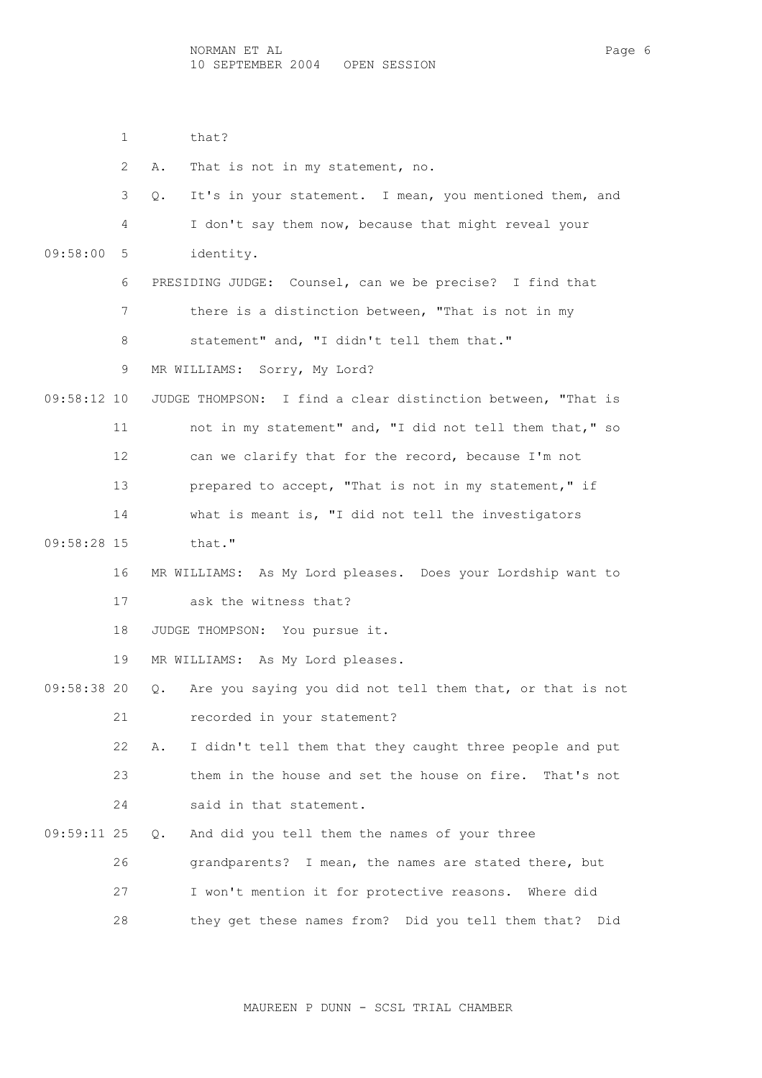1 that?

|               | 2  | Α.<br>That is not in my statement, no.                          |
|---------------|----|-----------------------------------------------------------------|
|               | 3  | It's in your statement. I mean, you mentioned them, and<br>Q.   |
|               | 4  | I don't say them now, because that might reveal your            |
| 09:58:00      | 5  | identity.                                                       |
|               | 6  | PRESIDING JUDGE: Counsel, can we be precise? I find that        |
|               | 7  | there is a distinction between, "That is not in my              |
|               | 8  | statement" and, "I didn't tell them that."                      |
|               | 9  | MR WILLIAMS: Sorry, My Lord?                                    |
| $09:58:12$ 10 |    | JUDGE THOMPSON: I find a clear distinction between, "That is    |
|               | 11 | not in my statement" and, "I did not tell them that," so        |
|               | 12 | can we clarify that for the record, because I'm not             |
|               | 13 | prepared to accept, "That is not in my statement," if           |
|               | 14 | what is meant is, "I did not tell the investigators             |
| 09:58:28 15   |    | that."                                                          |
|               | 16 | MR WILLIAMS: As My Lord pleases. Does your Lordship want to     |
|               | 17 | ask the witness that?                                           |
|               | 18 | JUDGE THOMPSON: You pursue it.                                  |
|               | 19 | MR WILLIAMS: As My Lord pleases.                                |
| 09:58:38 20   |    | Are you saying you did not tell them that, or that is not<br>Q. |
|               | 21 | recorded in your statement?                                     |
|               | 22 | I didn't tell them that they caught three people and put<br>Α.  |
|               | 23 | them in the house and set the house on fire. That's not         |
|               | 24 | said in that statement.                                         |
| 09:59:11 25   |    | And did you tell them the names of your three<br>Q.             |
|               | 26 | grandparents? I mean, the names are stated there, but           |
|               | 27 | I won't mention it for protective reasons. Where did            |

MAUREEN P DUNN - SCSL TRIAL CHAMBER

28 they get these names from? Did you tell them that? Did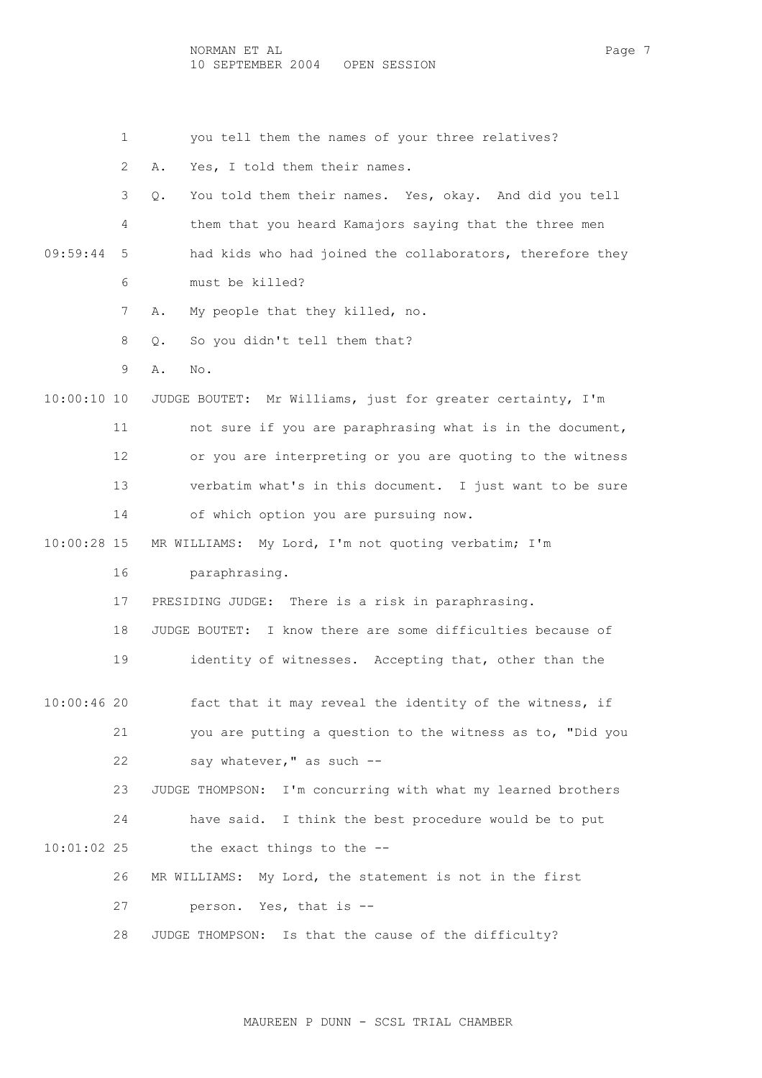NORMAN ET AL Page 7 10 SEPTEMBER 2004 OPEN SESSION

1 you tell them the names of your three relatives?

2 A. Yes, I told them their names.

 3 Q. You told them their names. Yes, okay. And did you tell 4 them that you heard Kamajors saying that the three men 09:59:44 5 had kids who had joined the collaborators, therefore they 6 must be killed?

7 A. My people that they killed, no.

8 Q. So you didn't tell them that?

9 A. No.

 10:00:10 10 JUDGE BOUTET: Mr Williams, just for greater certainty, I'm 11 not sure if you are paraphrasing what is in the document, 12 or you are interpreting or you are quoting to the witness 13 verbatim what's in this document. I just want to be sure 14 of which option you are pursuing now.

10:00:28 15 MR WILLIAMS: My Lord, I'm not quoting verbatim; I'm

16 paraphrasing.

17 PRESIDING JUDGE: There is a risk in paraphrasing.

18 JUDGE BOUTET: I know there are some difficulties because of

19 identity of witnesses. Accepting that, other than the

 10:00:46 20 fact that it may reveal the identity of the witness, if 21 you are putting a question to the witness as to, "Did you 22 say whatever," as such --

 23 JUDGE THOMPSON: I'm concurring with what my learned brothers 24 have said. I think the best procedure would be to put  $10:01:02$  25 the exact things to the  $-$ 

> 26 MR WILLIAMS: My Lord, the statement is not in the first 27 person. Yes, that is --

28 JUDGE THOMPSON: Is that the cause of the difficulty?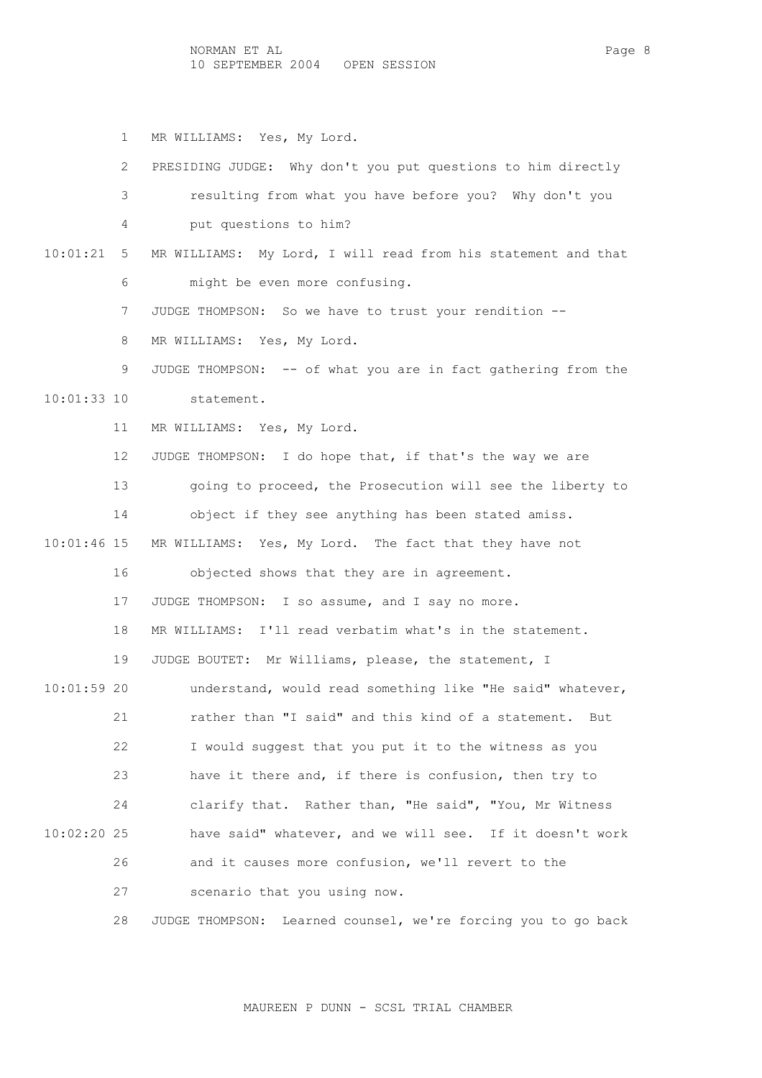1 MR WILLIAMS: Yes, My Lord.

|               | $\mathbf{2}^{\prime}$ | PRESIDING JUDGE: Why don't you put questions to him directly  |
|---------------|-----------------------|---------------------------------------------------------------|
|               | 3                     | resulting from what you have before you? Why don't you        |
|               | 4                     | put questions to him?                                         |
| 10:01:21      | 5                     | MR WILLIAMS: My Lord, I will read from his statement and that |
|               | 6                     | might be even more confusing.                                 |
|               | 7                     | JUDGE THOMPSON: So we have to trust your rendition --         |
|               | 8                     | MR WILLIAMS: Yes, My Lord.                                    |
|               | 9                     | JUDGE THOMPSON: -- of what you are in fact gathering from the |
| $10:01:33$ 10 |                       | statement.                                                    |
|               | 11                    | MR WILLIAMS: Yes, My Lord.                                    |
|               | 12 <sup>°</sup>       | JUDGE THOMPSON: I do hope that, if that's the way we are      |
|               | 13                    | going to proceed, the Prosecution will see the liberty to     |
|               | 14                    | object if they see anything has been stated amiss.            |
| $10:01:46$ 15 |                       | MR WILLIAMS: Yes, My Lord. The fact that they have not        |
|               | 16                    | objected shows that they are in agreement.                    |
|               | 17                    | JUDGE THOMPSON: I so assume, and I say no more.               |
|               | 18                    | MR WILLIAMS: I'll read verbatim what's in the statement.      |
|               | 19                    | JUDGE BOUTET: Mr Williams, please, the statement, I           |
| $10:01:59$ 20 |                       | understand, would read something like "He said" whatever,     |
|               | 21                    | rather than "I said" and this kind of a statement.<br>But     |
|               | 22                    | I would suggest that you put it to the witness as you         |
|               | 23                    | have it there and, if there is confusion, then try to         |
|               | 24                    | clarify that. Rather than, "He said", "You, Mr Witness        |
| 10:02:20 25   |                       | have said" whatever, and we will see. If it doesn't work      |
|               | 26                    | and it causes more confusion, we'll revert to the             |
|               | 27                    | scenario that you using now.                                  |

28 JUDGE THOMPSON: Learned counsel, we're forcing you to go back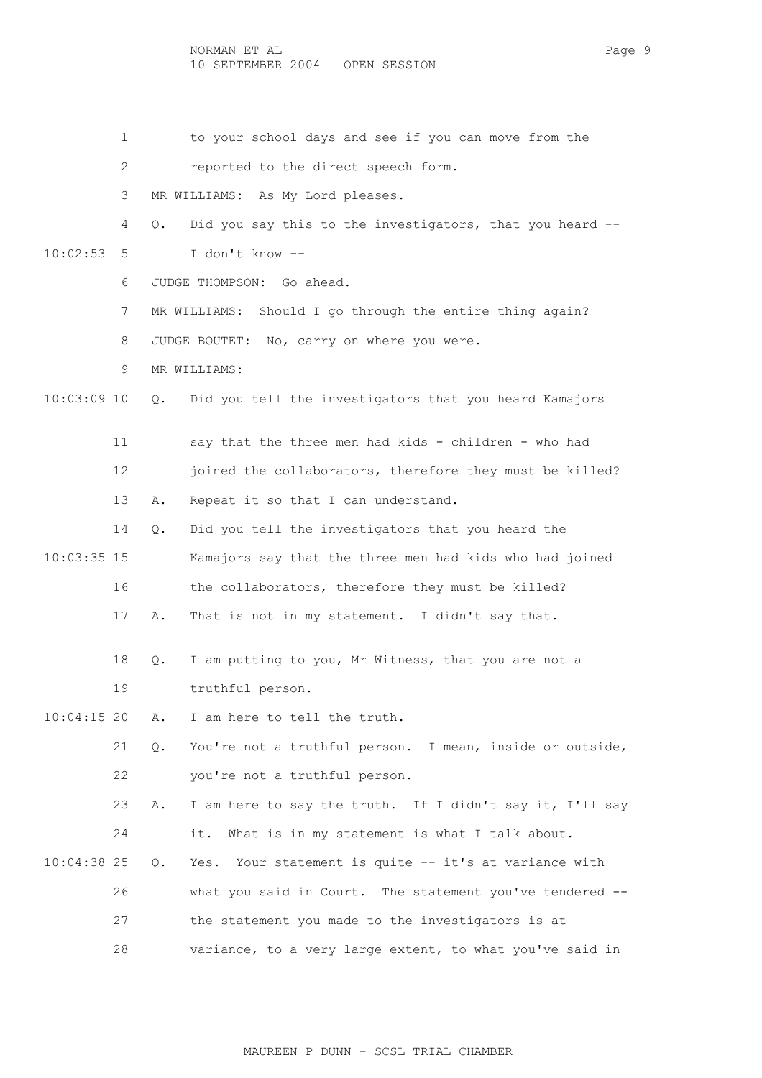1 to your school days and see if you can move from the

2 reported to the direct speech form.

3 MR WILLIAMS: As My Lord pleases.

 4 Q. Did you say this to the investigators, that you heard -- 10:02:53 5 I don't know --

- 6 JUDGE THOMPSON: Go ahead.
- 7 MR WILLIAMS: Should I go through the entire thing again?

8 JUDGE BOUTET: No, carry on where you were.

9 MR WILLIAMS:

10:03:09 10 Q. Did you tell the investigators that you heard Kamajors

 11 say that the three men had kids - children - who had 12 joined the collaborators, therefore they must be killed?

13 A. Repeat it so that I can understand.

- 14 Q. Did you tell the investigators that you heard the 10:03:35 15 Kamajors say that the three men had kids who had joined 16 the collaborators, therefore they must be killed?
	- 17 A. That is not in my statement. I didn't say that.
	- 18 Q. I am putting to you, Mr Witness, that you are not a 19 truthful person.

10:04:15 20 A. I am here to tell the truth.

 21 Q. You're not a truthful person. I mean, inside or outside, 22 you're not a truthful person.

 23 A. I am here to say the truth. If I didn't say it, I'll say 24 it. What is in my statement is what I talk about.

 10:04:38 25 Q. Yes. Your statement is quite -- it's at variance with 26 what you said in Court. The statement you've tendered -- 27 the statement you made to the investigators is at 28 variance, to a very large extent, to what you've said in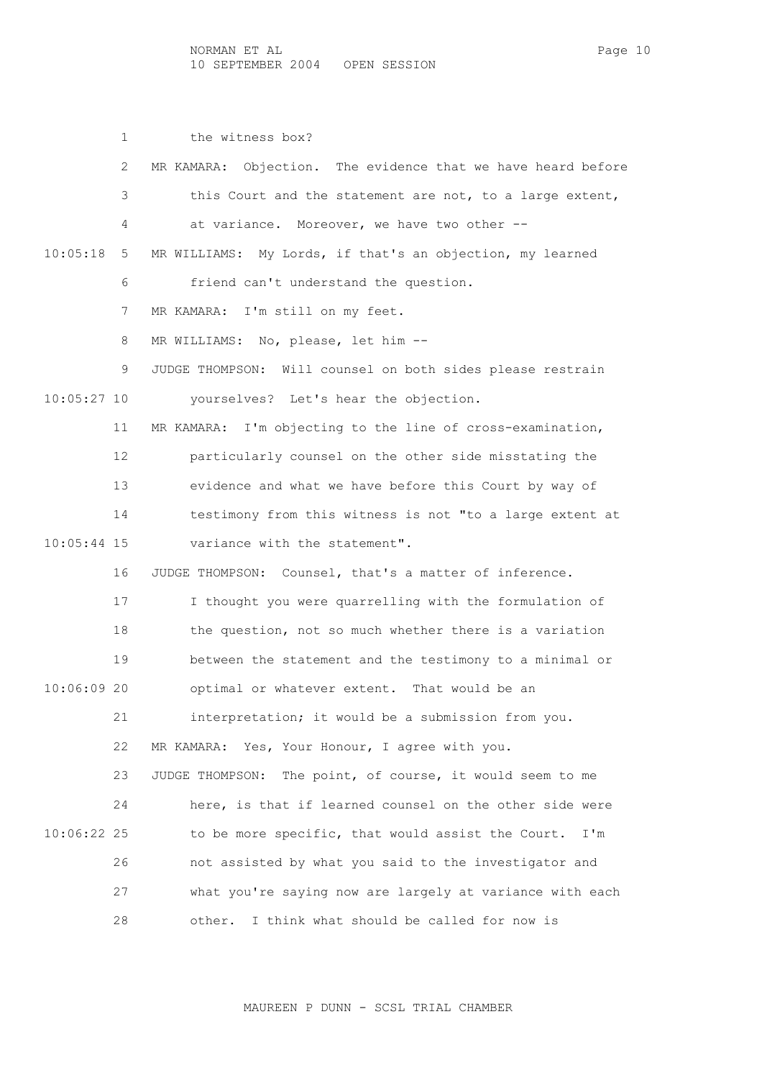1 the witness box? 2 MR KAMARA: Objection. The evidence that we have heard before 3 this Court and the statement are not, to a large extent, 4 at variance. Moreover, we have two other -- 10:05:18 5 MR WILLIAMS: My Lords, if that's an objection, my learned 6 friend can't understand the question. 7 MR KAMARA: I'm still on my feet. 8 MR WILLIAMS: No, please, let him -- 9 JUDGE THOMPSON: Will counsel on both sides please restrain 10:05:27 10 yourselves? Let's hear the objection. 11 MR KAMARA: I'm objecting to the line of cross-examination, 12 particularly counsel on the other side misstating the 13 evidence and what we have before this Court by way of 14 testimony from this witness is not "to a large extent at 10:05:44 15 variance with the statement". 16 JUDGE THOMPSON: Counsel, that's a matter of inference. 17 I thought you were quarrelling with the formulation of 18 the question, not so much whether there is a variation 19 between the statement and the testimony to a minimal or 10:06:09 20 optimal or whatever extent. That would be an 21 interpretation; it would be a submission from you. 22 MR KAMARA: Yes, Your Honour, I agree with you. 23 JUDGE THOMPSON: The point, of course, it would seem to me 24 here, is that if learned counsel on the other side were 10:06:22 25 to be more specific, that would assist the Court. I'm 26 not assisted by what you said to the investigator and 27 what you're saying now are largely at variance with each 28 other. I think what should be called for now is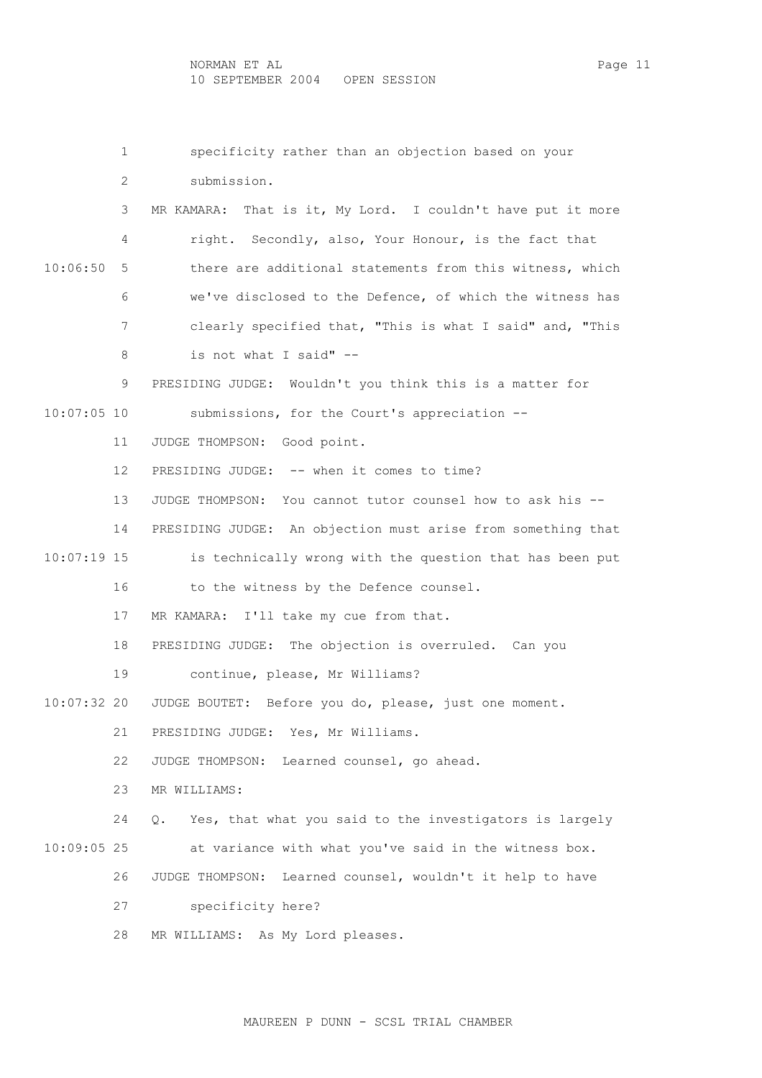1 specificity rather than an objection based on your 2 submission. 3 MR KAMARA: That is it, My Lord. I couldn't have put it more 4 right. Secondly, also, Your Honour, is the fact that 10:06:50 5 there are additional statements from this witness, which 6 we've disclosed to the Defence, of which the witness has 7 clearly specified that, "This is what I said" and, "This 8 is not what I said" -- 9 PRESIDING JUDGE: Wouldn't you think this is a matter for 10:07:05 10 submissions, for the Court's appreciation -- 11 JUDGE THOMPSON: Good point. 12 PRESIDING JUDGE: -- when it comes to time? 13 JUDGE THOMPSON: You cannot tutor counsel how to ask his -- 14 PRESIDING JUDGE: An objection must arise from something that 10:07:19 15 is technically wrong with the question that has been put 16 to the witness by the Defence counsel. 17 MR KAMARA: I'll take my cue from that. 18 PRESIDING JUDGE: The objection is overruled. Can you 19 continue, please, Mr Williams? 10:07:32 20 JUDGE BOUTET: Before you do, please, just one moment. 21 PRESIDING JUDGE: Yes, Mr Williams. 22 JUDGE THOMPSON: Learned counsel, go ahead. 23 MR WILLIAMS: 24 Q. Yes, that what you said to the investigators is largely 10:09:05 25 at variance with what you've said in the witness box. 26 JUDGE THOMPSON: Learned counsel, wouldn't it help to have 27 specificity here? 28 MR WILLIAMS: As My Lord pleases.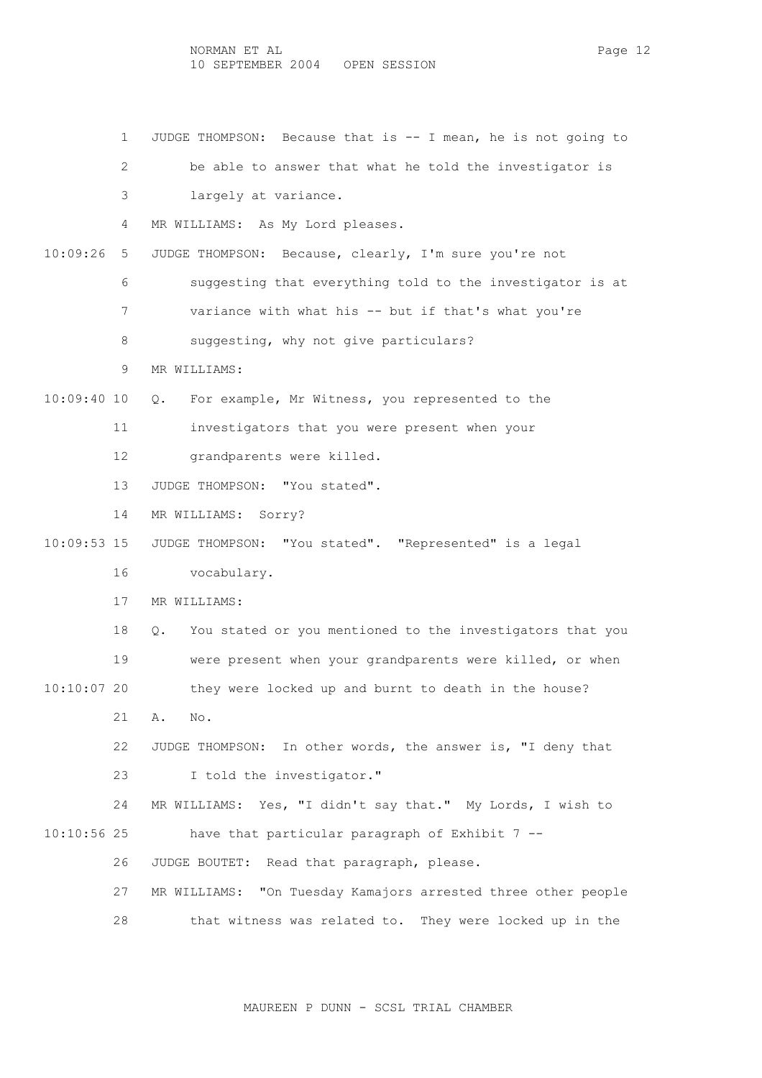1 JUDGE THOMPSON: Because that is -- I mean, he is not going to 2 be able to answer that what he told the investigator is 3 largely at variance. 4 MR WILLIAMS: As My Lord pleases. 10:09:26 5 JUDGE THOMPSON: Because, clearly, I'm sure you're not 6 suggesting that everything told to the investigator is at 7 variance with what his -- but if that's what you're 8 suggesting, why not give particulars? 9 MR WILLIAMS: 10:09:40 10 Q. For example, Mr Witness, you represented to the 11 investigators that you were present when your 12 grandparents were killed. 13 JUDGE THOMPSON: "You stated". 14 MR WILLIAMS: Sorry? 10:09:53 15 JUDGE THOMPSON: "You stated". "Represented" is a legal 16 vocabulary. 17 MR WILLIAMS: 18 Q. You stated or you mentioned to the investigators that you 19 were present when your grandparents were killed, or when 10:10:07 20 they were locked up and burnt to death in the house? 21 A. No. 22 JUDGE THOMPSON: In other words, the answer is, "I deny that 23 I told the investigator." 24 MR WILLIAMS: Yes, "I didn't say that." My Lords, I wish to 10:10:56 25 have that particular paragraph of Exhibit 7 -- 26 JUDGE BOUTET: Read that paragraph, please. 27 MR WILLIAMS: "On Tuesday Kamajors arrested three other people 28 that witness was related to. They were locked up in the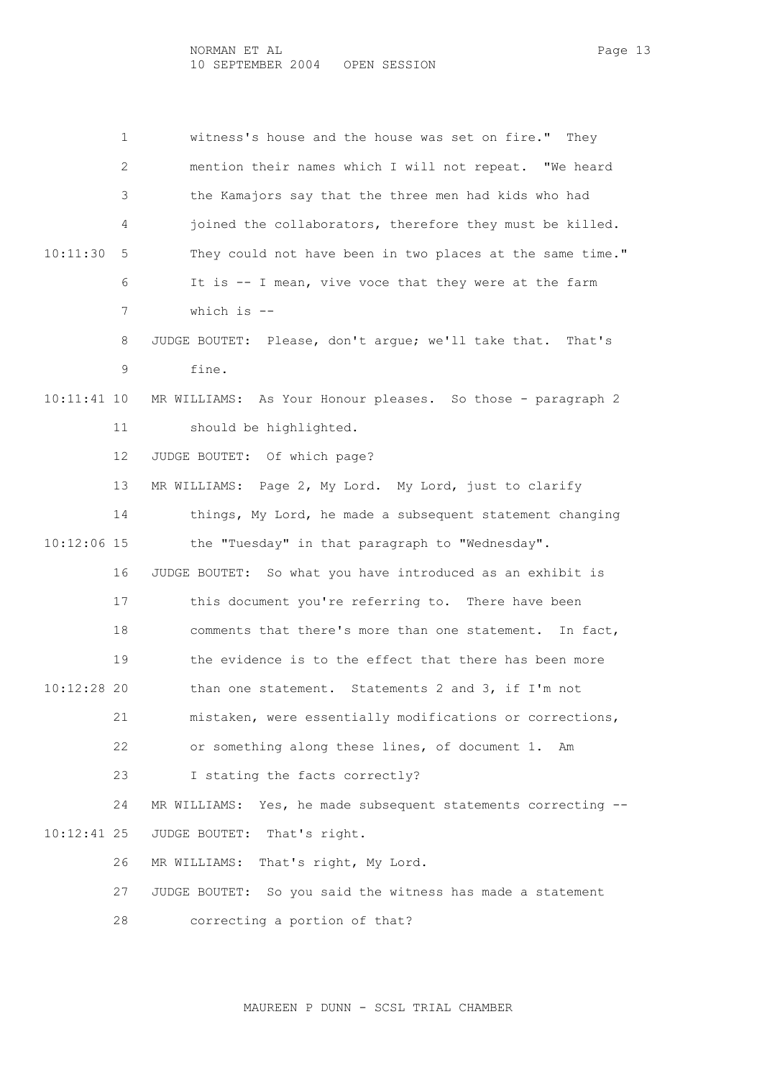| $\mathbf{1}$      | witness's house and the house was set on fire." They             |
|-------------------|------------------------------------------------------------------|
| 2                 | mention their names which I will not repeat. "We heard           |
| 3                 | the Kamajors say that the three men had kids who had             |
| 4                 | joined the collaborators, therefore they must be killed.         |
| 10:11:30<br>-5    | They could not have been in two places at the same time."        |
| 6                 | It is -- I mean, vive voce that they were at the farm            |
| 7                 | which is $-$ -                                                   |
| 8                 | JUDGE BOUTET: Please, don't argue; we'll take that. That's       |
| 9                 | fine.                                                            |
| $10:11:41$ 10     | MR WILLIAMS: As Your Honour pleases. So those - paragraph 2      |
| 11                | should be highlighted.                                           |
| $12 \overline{ }$ | JUDGE BOUTET: Of which page?                                     |
| 13                | MR WILLIAMS: Page 2, My Lord. My Lord, just to clarify           |
| 14                | things, My Lord, he made a subsequent statement changing         |
| $10:12:06$ 15     | the "Tuesday" in that paragraph to "Wednesday".                  |
| 16                | JUDGE BOUTET: So what you have introduced as an exhibit is       |
| 17                | this document you're referring to. There have been               |
| 18                | comments that there's more than one statement. In fact,          |
| 19                | the evidence is to the effect that there has been more           |
| $10:12:28$ 20     | than one statement. Statements 2 and 3, if I'm not               |
| 21                | mistaken, were essentially modifications or corrections,         |
| 22                | or something along these lines, of document 1.<br>Am             |
| 23                | I stating the facts correctly?                                   |
| 24                | Yes, he made subsequent statements correcting --<br>MR WILLIAMS: |
| $10:12:41$ 25     | JUDGE BOUTET: That's right.                                      |
| 26                | MR WILLIAMS:<br>That's right, My Lord.                           |
| 27                | So you said the witness has made a statement<br>JUDGE BOUTET:    |
| 28                | correcting a portion of that?                                    |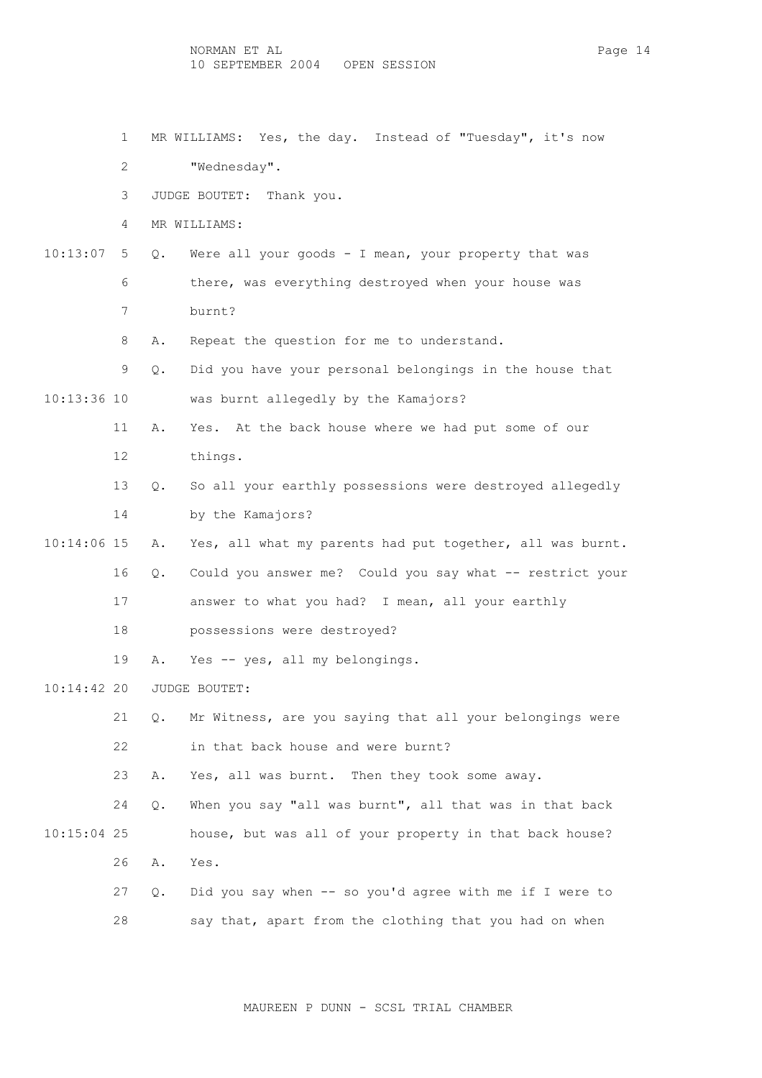- 1 MR WILLIAMS: Yes, the day. Instead of "Tuesday", it's now
- 2 "Wednesday".
- 3 JUDGE BOUTET: Thank you.
- 4 MR WILLIAMS:
- 10:13:07 5 Q. Were all your goods I mean, your property that was 6 there, was everything destroyed when your house was 7 burnt?
	- 8 A. Repeat the question for me to understand.
- 9 Q. Did you have your personal belongings in the house that 10:13:36 10 was burnt allegedly by the Kamajors?
	- 11 A. Yes. At the back house where we had put some of our 12 things.
	- 13 Q. So all your earthly possessions were destroyed allegedly 14 by the Kamajors?
- 10:14:06 15 A. Yes, all what my parents had put together, all was burnt.
	- 16 Q. Could you answer me? Could you say what -- restrict your
		- 17 answer to what you had? I mean, all your earthly
		- 18 possessions were destroyed?
		- 19 A. Yes -- yes, all my belongings.
- 10:14:42 20 JUDGE BOUTET:
	- 21 Q. Mr Witness, are you saying that all your belongings were 22 in that back house and were burnt?
	- 23 A. Yes, all was burnt. Then they took some away.
- 24 Q. When you say "all was burnt", all that was in that back 10:15:04 25 house, but was all of your property in that back house? 26 A. Yes.
	- 27 Q. Did you say when -- so you'd agree with me if I were to 28 say that, apart from the clothing that you had on when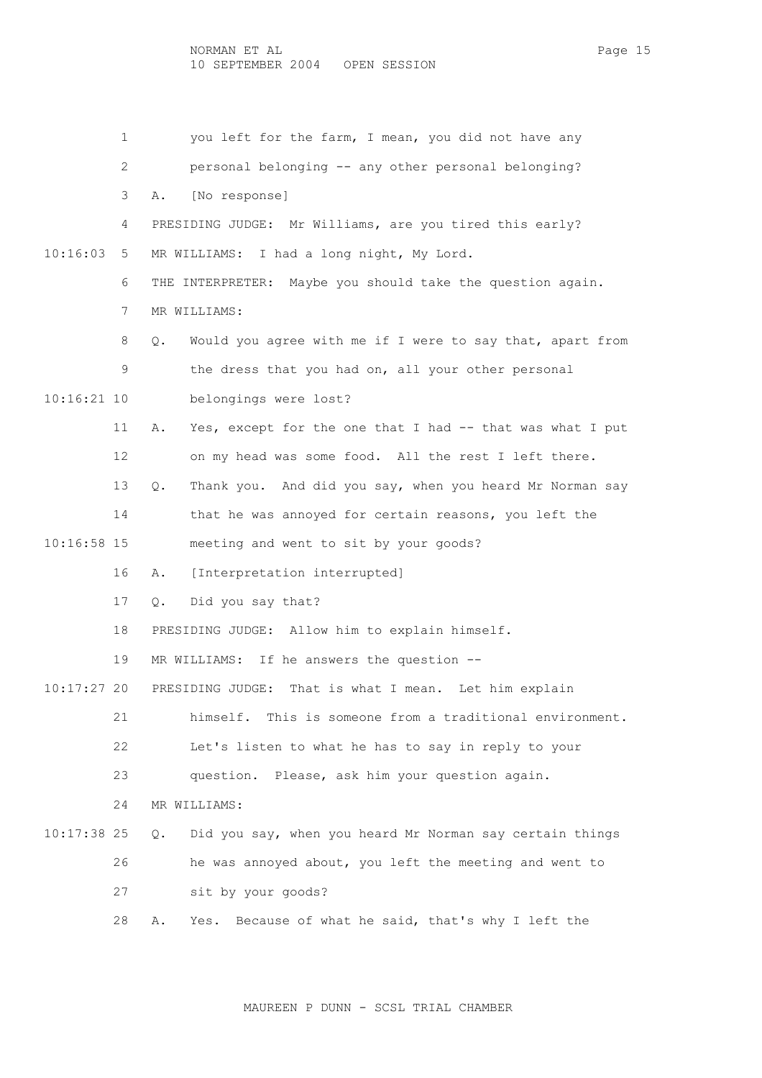|               | $\mathbf{1}$ | you left for the farm, I mean, you did not have any                       |
|---------------|--------------|---------------------------------------------------------------------------|
|               | $\mathbf{2}$ | personal belonging -- any other personal belonging?                       |
|               | 3            | [No response]<br>Α.                                                       |
|               | 4            | PRESIDING JUDGE: Mr Williams, are you tired this early?                   |
| 10:16:03      | 5            | MR WILLIAMS: I had a long night, My Lord.                                 |
|               | 6            | THE INTERPRETER: Maybe you should take the question again.                |
|               | 7            | MR WILLIAMS:                                                              |
|               | 8            | Would you agree with me if I were to say that, apart from<br>Q.           |
|               | 9            | the dress that you had on, all your other personal                        |
| $10:16:21$ 10 |              | belongings were lost?                                                     |
|               | 11           | Yes, except for the one that I had -- that was what I put<br>Α.           |
|               | 12           | on my head was some food. All the rest I left there.                      |
|               | 13           | Thank you. And did you say, when you heard Mr Norman say<br>$Q_{\bullet}$ |
|               | 14           | that he was annoyed for certain reasons, you left the                     |
|               |              |                                                                           |
| $10:16:58$ 15 |              | meeting and went to sit by your goods?                                    |
|               | 16           | [Interpretation interrupted]<br>Α.                                        |
|               | 17           | Did you say that?<br>Q.                                                   |
|               | 18           | PRESIDING JUDGE: Allow him to explain himself.                            |
|               | 19           | If he answers the question --<br>MR WILLIAMS:                             |
| $10:17:27$ 20 |              | PRESIDING JUDGE:<br>That is what I mean. Let him explain                  |
|               | 21           | himself. This is someone from a traditional environment.                  |
|               | 22           | Let's listen to what he has to say in reply to your                       |
|               | 23           | question. Please, ask him your question again.                            |
|               | 24           | MR WILLIAMS:                                                              |
| $10:17:38$ 25 |              | Did you say, when you heard Mr Norman say certain things<br>Q.            |
|               | 26           | he was annoyed about, you left the meeting and went to                    |
|               | 27           | sit by your goods?                                                        |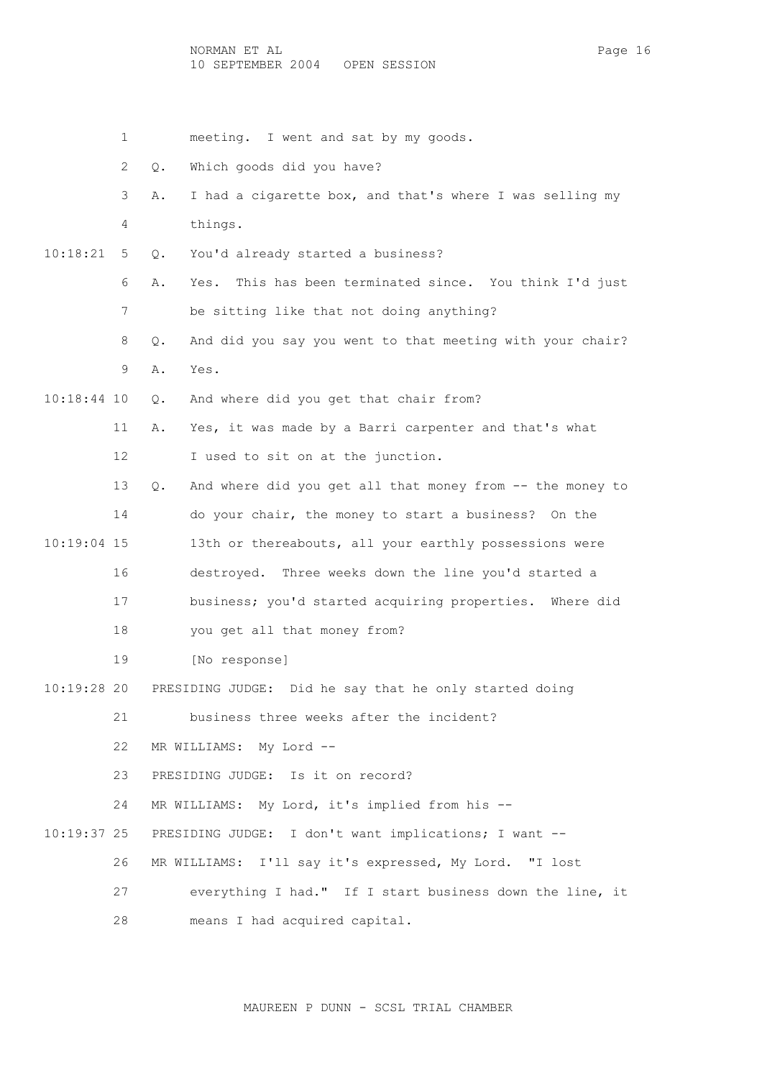NORMAN ET AL Page 16 10 SEPTEMBER 2004 OPEN SESSION

|               | 1  | meeting. I went and sat by my goods.                             |
|---------------|----|------------------------------------------------------------------|
|               | 2  | Which goods did you have?<br>Q.                                  |
|               | 3  | I had a cigarette box, and that's where I was selling my<br>Α.   |
|               | 4  | things.                                                          |
| 10:18:21      | 5  | You'd already started a business?<br>Q.                          |
|               | 6  | This has been terminated since. You think I'd just<br>Yes.<br>Α. |
|               | 7  | be sitting like that not doing anything?                         |
|               | 8  | And did you say you went to that meeting with your chair?<br>Q.  |
|               | 9  | Yes.<br>Α.                                                       |
| $10:18:44$ 10 |    | And where did you get that chair from?<br>Q.                     |
|               | 11 | Yes, it was made by a Barri carpenter and that's what<br>Α.      |
|               | 12 | I used to sit on at the junction.                                |
|               | 13 | And where did you get all that money from -- the money to<br>Q.  |
|               | 14 | do your chair, the money to start a business? On the             |
| $10:19:04$ 15 |    | 13th or thereabouts, all your earthly possessions were           |
|               | 16 | destroyed. Three weeks down the line you'd started a             |
|               | 17 | business; you'd started acquiring properties. Where did          |
|               | 18 | you get all that money from?                                     |
|               | 19 | [No response]                                                    |
| 10:19:28 20   |    | Did he say that he only started doing<br>PRESIDING JUDGE:        |
|               | 21 | business three weeks after the incident?                         |
|               | 22 | MR WILLIAMS: My Lord --                                          |
|               | 23 | PRESIDING JUDGE: Is it on record?                                |
|               | 24 | MR WILLIAMS: My Lord, it's implied from his --                   |
| $10:19:37$ 25 |    | PRESIDING JUDGE: I don't want implications; I want --            |
|               | 26 | I'll say it's expressed, My Lord. "I lost<br>MR WILLIAMS:        |
|               | 27 | everything I had." If I start business down the line, it         |
|               | 28 | means I had acquired capital.                                    |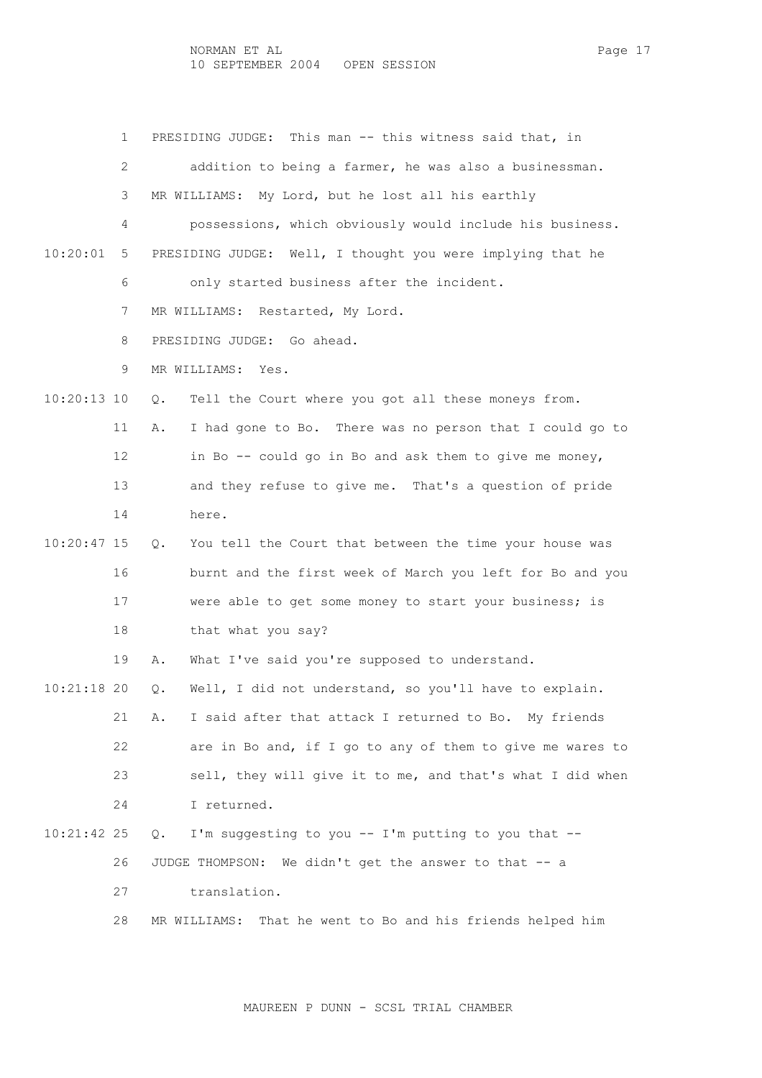1 PRESIDING JUDGE: This man -- this witness said that, in 2 addition to being a farmer, he was also a businessman. 3 MR WILLIAMS: My Lord, but he lost all his earthly 4 possessions, which obviously would include his business. 10:20:01 5 PRESIDING JUDGE: Well, I thought you were implying that he 6 only started business after the incident. 7 MR WILLIAMS: Restarted, My Lord. 8 PRESIDING JUDGE: Go ahead. 9 MR WILLIAMS: Yes. 10:20:13 10 Q. Tell the Court where you got all these moneys from. 11 A. I had gone to Bo. There was no person that I could go to 12 in Bo -- could go in Bo and ask them to give me money, 13 and they refuse to give me. That's a question of pride 14 here. 10:20:47 15 Q. You tell the Court that between the time your house was 16 burnt and the first week of March you left for Bo and you 17 were able to get some money to start your business; is 18 that what you say? 19 A. What I've said you're supposed to understand. 10:21:18 20 Q. Well, I did not understand, so you'll have to explain. 21 A. I said after that attack I returned to Bo. My friends 22 are in Bo and, if I go to any of them to give me wares to 23 sell, they will give it to me, and that's what I did when 24 I returned. 10:21:42 25 Q. I'm suggesting to you -- I'm putting to you that -- 26 JUDGE THOMPSON: We didn't get the answer to that -- a 27 translation. 28 MR WILLIAMS: That he went to Bo and his friends helped him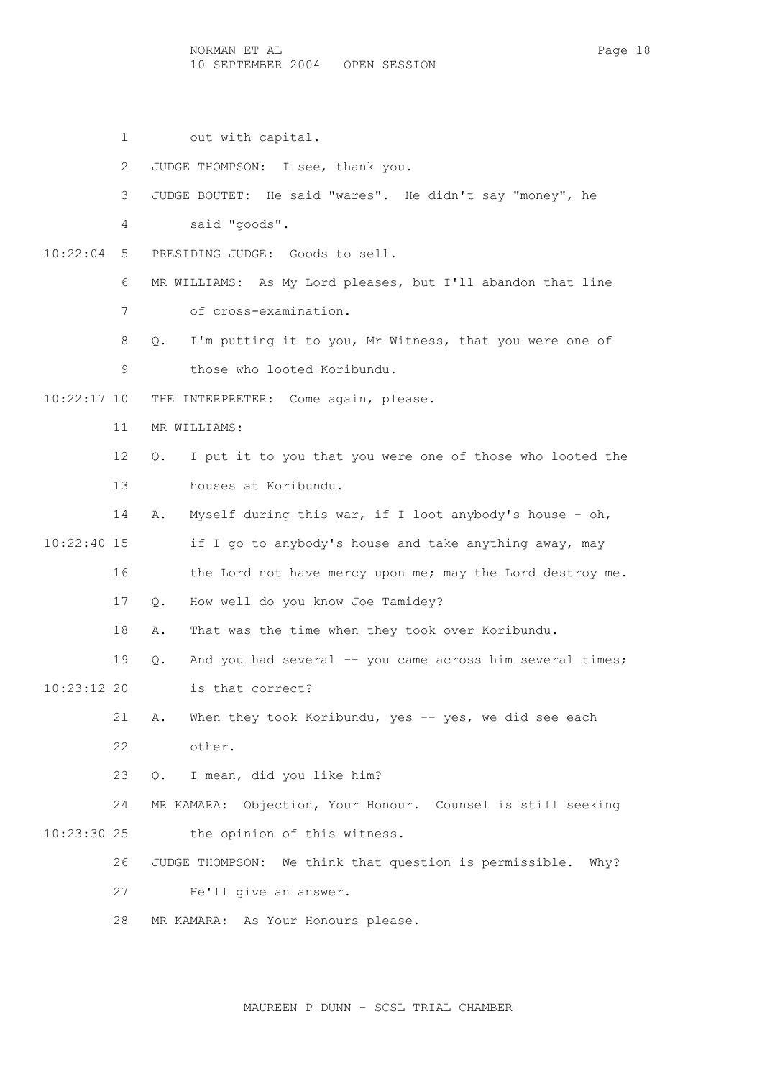1 out with capital.

2 JUDGE THOMPSON: I see, thank you.

3 JUDGE BOUTET: He said "wares". He didn't say "money", he

4 said "goods".

10:22:04 5 PRESIDING JUDGE: Goods to sell.

6 MR WILLIAMS: As My Lord pleases, but I'll abandon that line

7 of cross-examination.

8 Q. I'm putting it to you, Mr Witness, that you were one of

9 those who looted Koribundu.

10:22:17 10 THE INTERPRETER: Come again, please.

11 MR WILLIAMS:

 12 Q. I put it to you that you were one of those who looted the 13 houses at Koribundu.

14 A. Myself during this war, if I loot anybody's house - oh,

 10:22:40 15 if I go to anybody's house and take anything away, may 16 the Lord not have mercy upon me; may the Lord destroy me. 17 Q. How well do you know Joe Tamidey?

18 A. That was the time when they took over Koribundu.

 19 Q. And you had several -- you came across him several times; 10:23:12 20 is that correct?

> 21 A. When they took Koribundu, yes -- yes, we did see each 22 other.

23 Q. I mean, did you like him?

 24 MR KAMARA: Objection, Your Honour. Counsel is still seeking 10:23:30 25 the opinion of this witness.

26 JUDGE THOMPSON: We think that question is permissible. Why?

27 He'll give an answer.

28 MR KAMARA: As Your Honours please.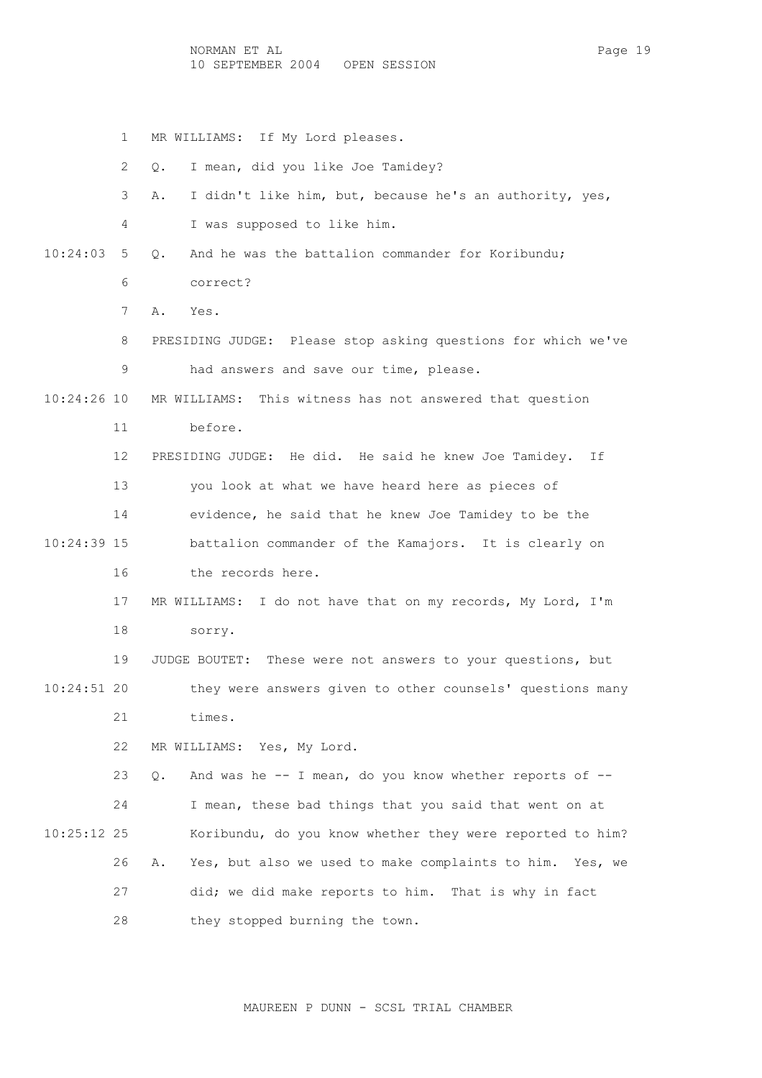- 1 MR WILLIAMS: If My Lord pleases.
- 2 Q. I mean, did you like Joe Tamidey?
- 3 A. I didn't like him, but, because he's an authority, yes,
- 4 I was supposed to like him.
- 10:24:03 5 Q. And he was the battalion commander for Koribundu; 6 correct?
	- 7 A. Yes.
	- 8 PRESIDING JUDGE: Please stop asking questions for which we've 9 had answers and save our time, please.
- 10:24:26 10 MR WILLIAMS: This witness has not answered that question
	- 11 before.

 12 PRESIDING JUDGE: He did. He said he knew Joe Tamidey. If 13 you look at what we have heard here as pieces of 14 evidence, he said that he knew Joe Tamidey to be the 10:24:39 15 battalion commander of the Kamajors. It is clearly on 16 the records here.

- 17 MR WILLIAMS: I do not have that on my records, My Lord, I'm 18 sorry.
- 19 JUDGE BOUTET: These were not answers to your questions, but 10:24:51 20 they were answers given to other counsels' questions many 21 times.
	- 22 MR WILLIAMS: Yes, My Lord.

23  $Q.$  And was he  $-$ - I mean, do you know whether reports of  $-$ - 24 I mean, these bad things that you said that went on at 10:25:12 25 Koribundu, do you know whether they were reported to him? 26 A. Yes, but also we used to make complaints to him. Yes, we 27 did; we did make reports to him. That is why in fact 28 they stopped burning the town.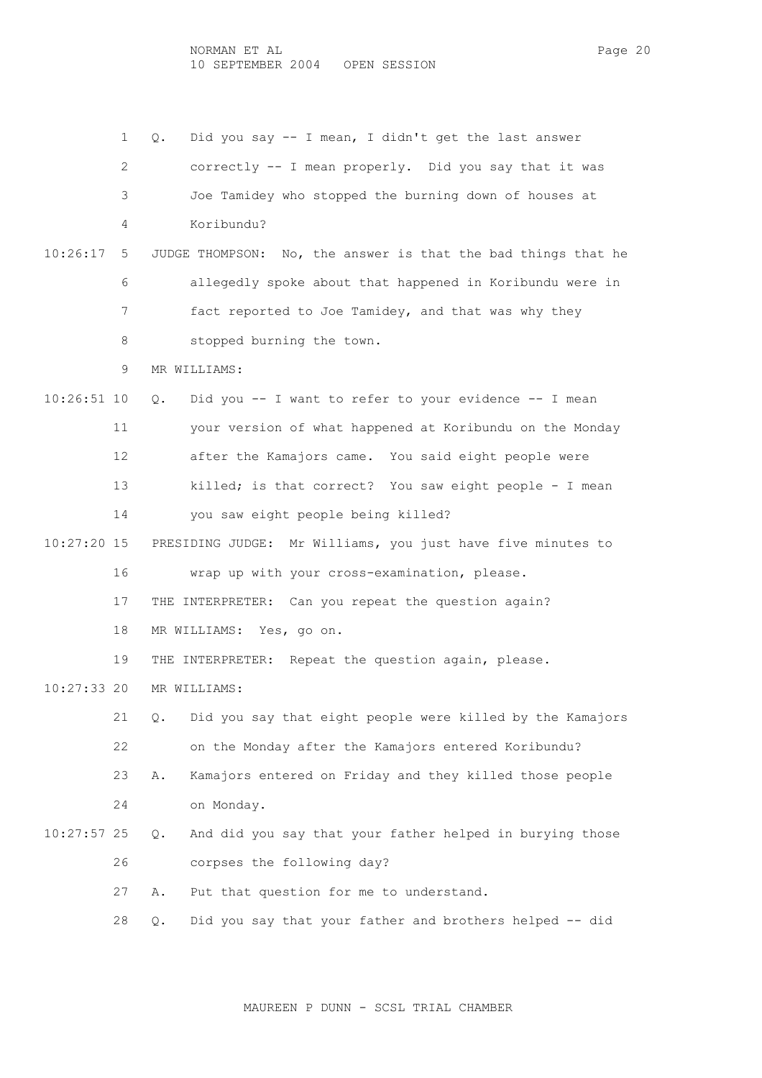NORMAN ET AL Page 20 10 SEPTEMBER 2004 OPEN SESSION

 1 Q. Did you say -- I mean, I didn't get the last answer 2 correctly -- I mean properly. Did you say that it was 3 Joe Tamidey who stopped the burning down of houses at 4 Koribundu? 10:26:17 5 JUDGE THOMPSON: No, the answer is that the bad things that he 6 allegedly spoke about that happened in Koribundu were in 7 fact reported to Joe Tamidey, and that was why they 8 stopped burning the town. 9 MR WILLIAMS: 10:26:51 10 Q. Did you -- I want to refer to your evidence -- I mean 11 your version of what happened at Koribundu on the Monday 12 after the Kamajors came. You said eight people were 13 killed; is that correct? You saw eight people - I mean 14 you saw eight people being killed? 10:27:20 15 PRESIDING JUDGE: Mr Williams, you just have five minutes to 16 wrap up with your cross-examination, please. 17 THE INTERPRETER: Can you repeat the question again? 18 MR WILLIAMS: Yes, go on. 19 THE INTERPRETER: Repeat the question again, please. 10:27:33 20 MR WILLIAMS: 21 Q. Did you say that eight people were killed by the Kamajors 22 on the Monday after the Kamajors entered Koribundu? 23 A. Kamajors entered on Friday and they killed those people 24 on Monday. 10:27:57 25 Q. And did you say that your father helped in burying those 26 corpses the following day? 27 A. Put that question for me to understand. 28 Q. Did you say that your father and brothers helped -- did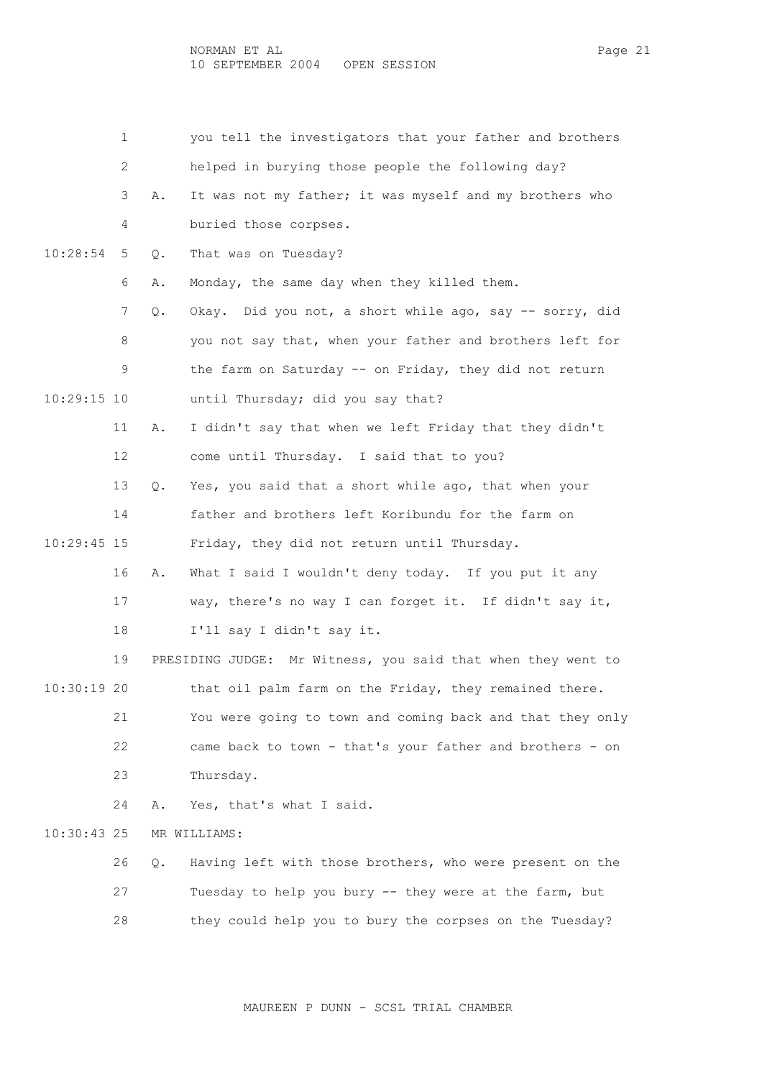1 you tell the investigators that your father and brothers 2 helped in burying those people the following day? 3 A. It was not my father; it was myself and my brothers who 4 buried those corpses. 10:28:54 5 Q. That was on Tuesday? 6 A. Monday, the same day when they killed them. 7 Q. Okay. Did you not, a short while ago, say -- sorry, did 8 you not say that, when your father and brothers left for 9 the farm on Saturday -- on Friday, they did not return 10:29:15 10 until Thursday; did you say that? 11 A. I didn't say that when we left Friday that they didn't 12 come until Thursday. I said that to you? 13 Q. Yes, you said that a short while ago, that when your 14 father and brothers left Koribundu for the farm on 10:29:45 15 Friday, they did not return until Thursday. 16 A. What I said I wouldn't deny today. If you put it any 17 way, there's no way I can forget it. If didn't say it, 18 I'll say I didn't say it. 19 PRESIDING JUDGE: Mr Witness, you said that when they went to 10:30:19 20 that oil palm farm on the Friday, they remained there. 21 You were going to town and coming back and that they only 22 came back to town - that's your father and brothers - on 23 Thursday. 24 A. Yes, that's what I said. 10:30:43 25 MR WILLIAMS: 26 Q. Having left with those brothers, who were present on the 27 Tuesday to help you bury -- they were at the farm, but 28 they could help you to bury the corpses on the Tuesday?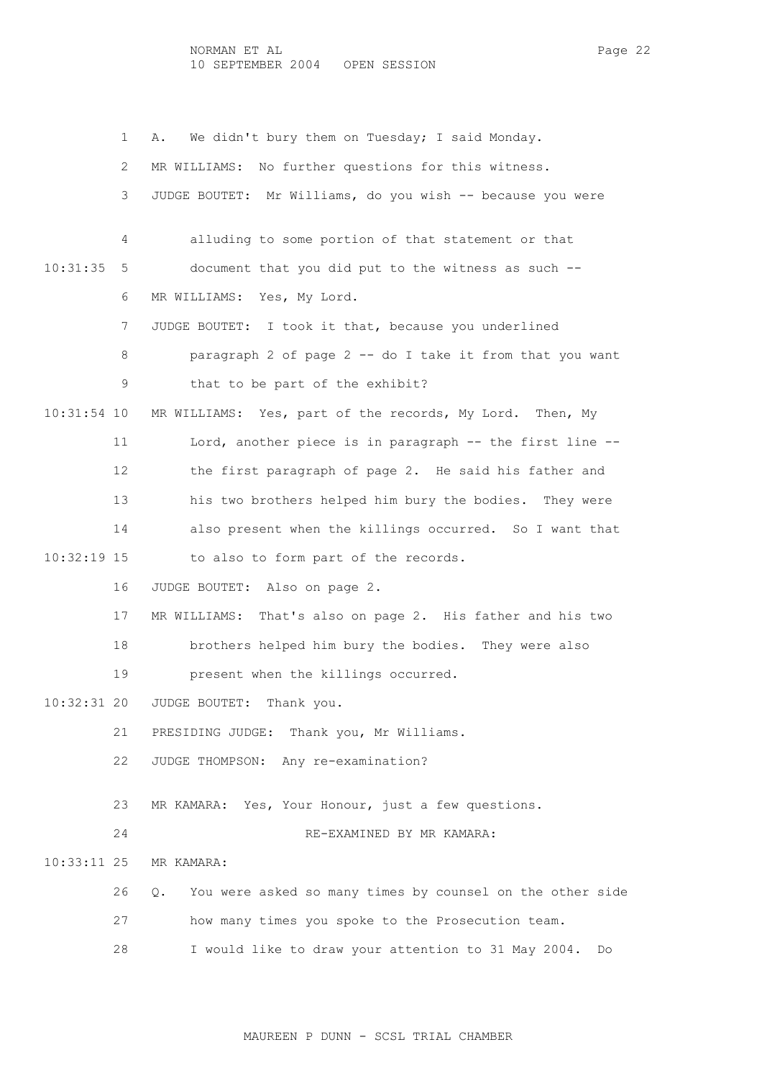1 A. We didn't bury them on Tuesday; I said Monday. 2 MR WILLIAMS: No further questions for this witness. 3 JUDGE BOUTET: Mr Williams, do you wish -- because you were 4 alluding to some portion of that statement or that 10:31:35 5 document that you did put to the witness as such -- 6 MR WILLIAMS: Yes, My Lord. 7 JUDGE BOUTET: I took it that, because you underlined 8 paragraph 2 of page 2 -- do I take it from that you want 9 that to be part of the exhibit? 10:31:54 10 MR WILLIAMS: Yes, part of the records, My Lord. Then, My 11 Lord, another piece is in paragraph -- the first line -- 12 the first paragraph of page 2. He said his father and 13 his two brothers helped him bury the bodies. They were 14 also present when the killings occurred. So I want that 10:32:19 15 to also to form part of the records. 16 JUDGE BOUTET: Also on page 2. 17 MR WILLIAMS: That's also on page 2. His father and his two 18 brothers helped him bury the bodies. They were also 19 present when the killings occurred. 10:32:31 20 JUDGE BOUTET: Thank you. 21 PRESIDING JUDGE: Thank you, Mr Williams. 22 JUDGE THOMPSON: Any re-examination? 23 MR KAMARA: Yes, Your Honour, just a few questions. 24 RE-EXAMINED BY MR KAMARA: 10:33:11 25 MR KAMARA: 26 Q. You were asked so many times by counsel on the other side 27 how many times you spoke to the Prosecution team. 28 I would like to draw your attention to 31 May 2004. Do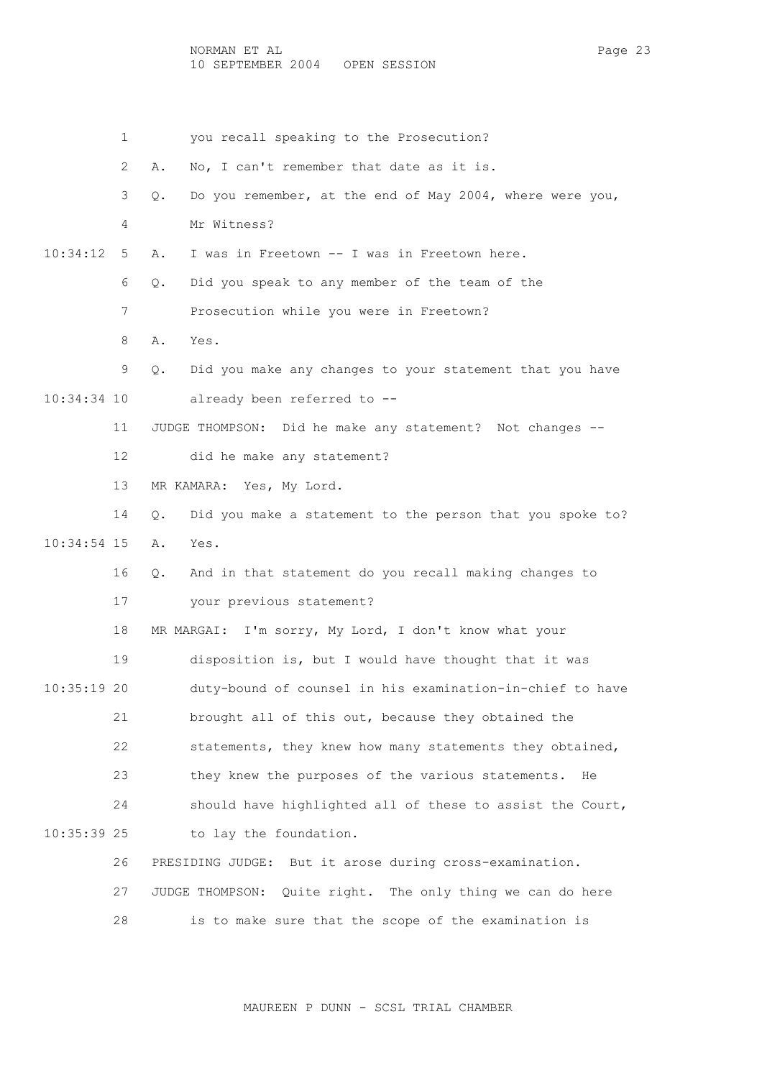NORMAN ET AL Page 23 10 SEPTEMBER 2004 OPEN SESSION

 1 you recall speaking to the Prosecution? 2 A. No, I can't remember that date as it is. 3 Q. Do you remember, at the end of May 2004, where were you, 4 Mr Witness? 10:34:12 5 A. I was in Freetown -- I was in Freetown here. 6 Q. Did you speak to any member of the team of the 7 Prosecution while you were in Freetown? 8 A. Yes. 9 Q. Did you make any changes to your statement that you have 10:34:34 10 already been referred to -- 11 JUDGE THOMPSON: Did he make any statement? Not changes -- 12 did he make any statement? 13 MR KAMARA: Yes, My Lord. 14 Q. Did you make a statement to the person that you spoke to? 10:34:54 15 A. Yes. 16 Q. And in that statement do you recall making changes to 17 your previous statement? 18 MR MARGAI: I'm sorry, My Lord, I don't know what your 19 disposition is, but I would have thought that it was 10:35:19 20 duty-bound of counsel in his examination-in-chief to have 21 brought all of this out, because they obtained the 22 statements, they knew how many statements they obtained, 23 they knew the purposes of the various statements. He 24 should have highlighted all of these to assist the Court, 10:35:39 25 to lay the foundation. 26 PRESIDING JUDGE: But it arose during cross-examination. 27 JUDGE THOMPSON: Quite right. The only thing we can do here 28 is to make sure that the scope of the examination is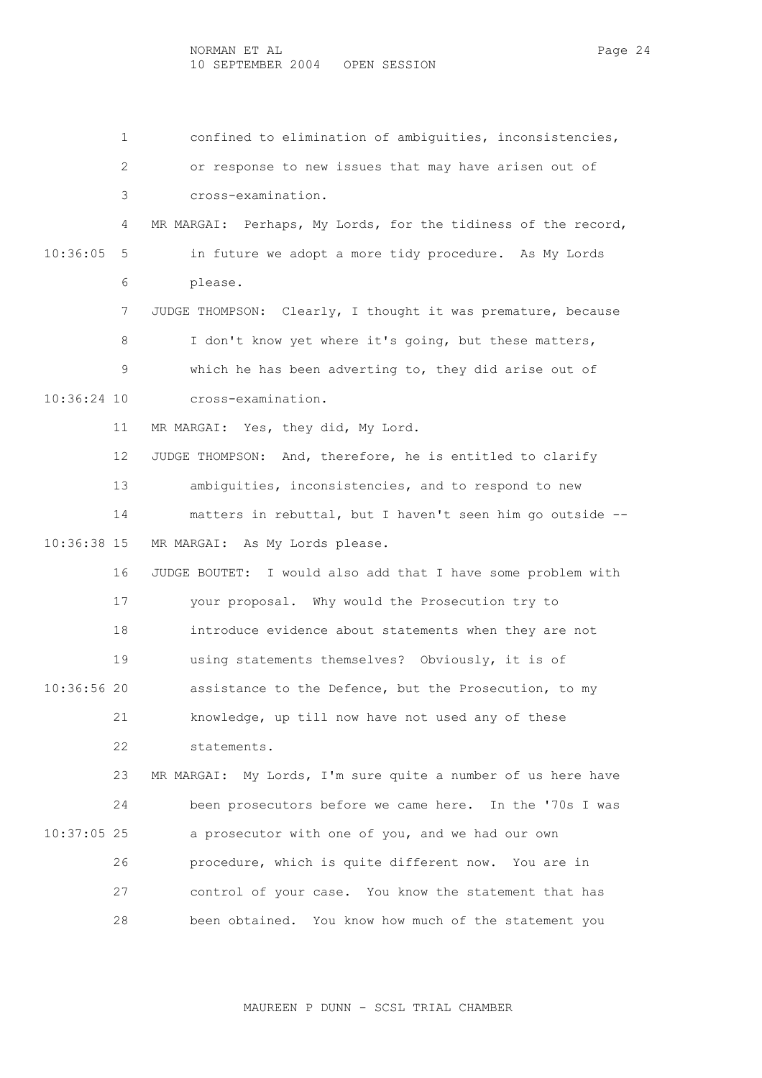1 confined to elimination of ambiguities, inconsistencies, 2 or response to new issues that may have arisen out of 3 cross-examination. 4 MR MARGAI: Perhaps, My Lords, for the tidiness of the record, 10:36:05 5 in future we adopt a more tidy procedure. As My Lords 6 please. 7 JUDGE THOMPSON: Clearly, I thought it was premature, because 8 I don't know yet where it's going, but these matters, 9 which he has been adverting to, they did arise out of 10:36:24 10 cross-examination. 11 MR MARGAI: Yes, they did, My Lord. 12 JUDGE THOMPSON: And, therefore, he is entitled to clarify 13 ambiguities, inconsistencies, and to respond to new 14 matters in rebuttal, but I haven't seen him go outside -- 10:36:38 15 MR MARGAI: As My Lords please. 16 JUDGE BOUTET: I would also add that I have some problem with 17 your proposal. Why would the Prosecution try to 18 introduce evidence about statements when they are not 19 using statements themselves? Obviously, it is of 10:36:56 20 assistance to the Defence, but the Prosecution, to my 21 knowledge, up till now have not used any of these 22 statements. 23 MR MARGAI: My Lords, I'm sure quite a number of us here have 24 been prosecutors before we came here. In the '70s I was 10:37:05 25 a prosecutor with one of you, and we had our own 26 procedure, which is quite different now. You are in 27 control of your case. You know the statement that has 28 been obtained. You know how much of the statement you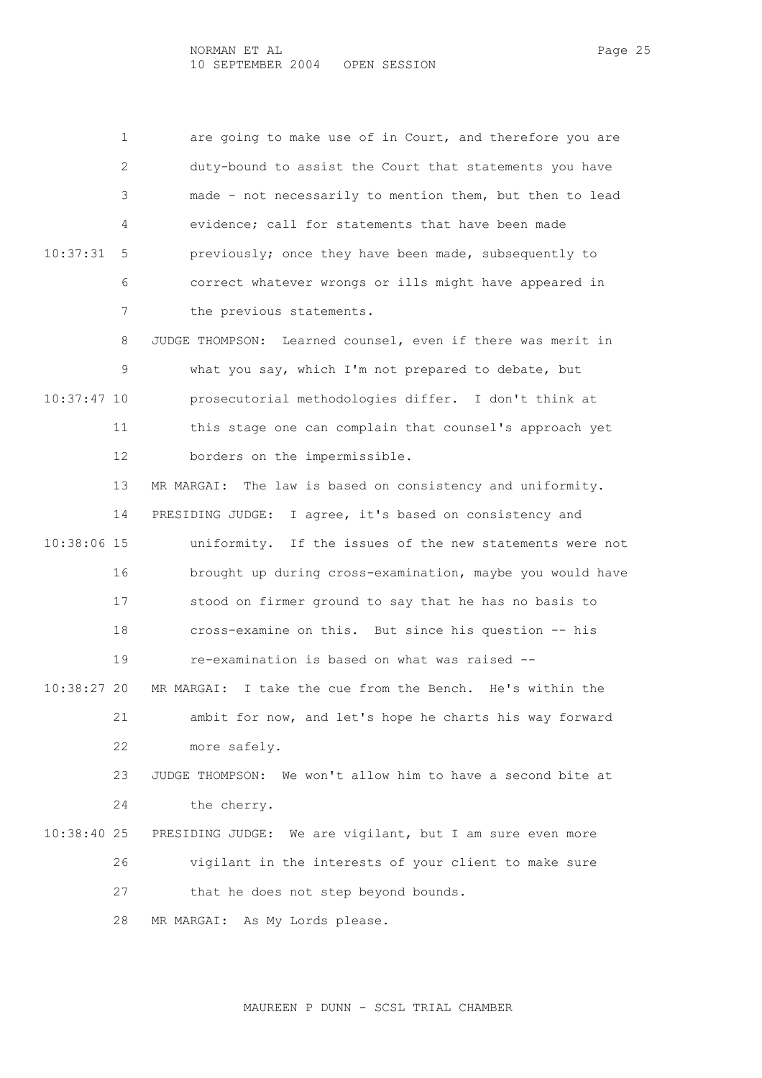1 are going to make use of in Court, and therefore you are 2 duty-bound to assist the Court that statements you have 3 made - not necessarily to mention them, but then to lead 4 evidence; call for statements that have been made 10:37:31 5 previously; once they have been made, subsequently to 6 correct whatever wrongs or ills might have appeared in 7 the previous statements.

 8 JUDGE THOMPSON: Learned counsel, even if there was merit in 9 what you say, which I'm not prepared to debate, but 10:37:47 10 prosecutorial methodologies differ. I don't think at 11 this stage one can complain that counsel's approach yet 12 borders on the impermissible.

 13 MR MARGAI: The law is based on consistency and uniformity. 14 PRESIDING JUDGE: I agree, it's based on consistency and 10:38:06 15 uniformity. If the issues of the new statements were not 16 brought up during cross-examination, maybe you would have 17 stood on firmer ground to say that he has no basis to 18 cross-examine on this. But since his question -- his 19 re-examination is based on what was raised -- 10:38:27 20 MR MARGAI: I take the cue from the Bench. He's within the 21 ambit for now, and let's hope he charts his way forward 22 more safely. 23 JUDGE THOMPSON: We won't allow him to have a second bite at 24 the cherry. 10:38:40 25 PRESIDING JUDGE: We are vigilant, but I am sure even more 26 vigilant in the interests of your client to make sure

27 that he does not step beyond bounds.

28 MR MARGAI: As My Lords please.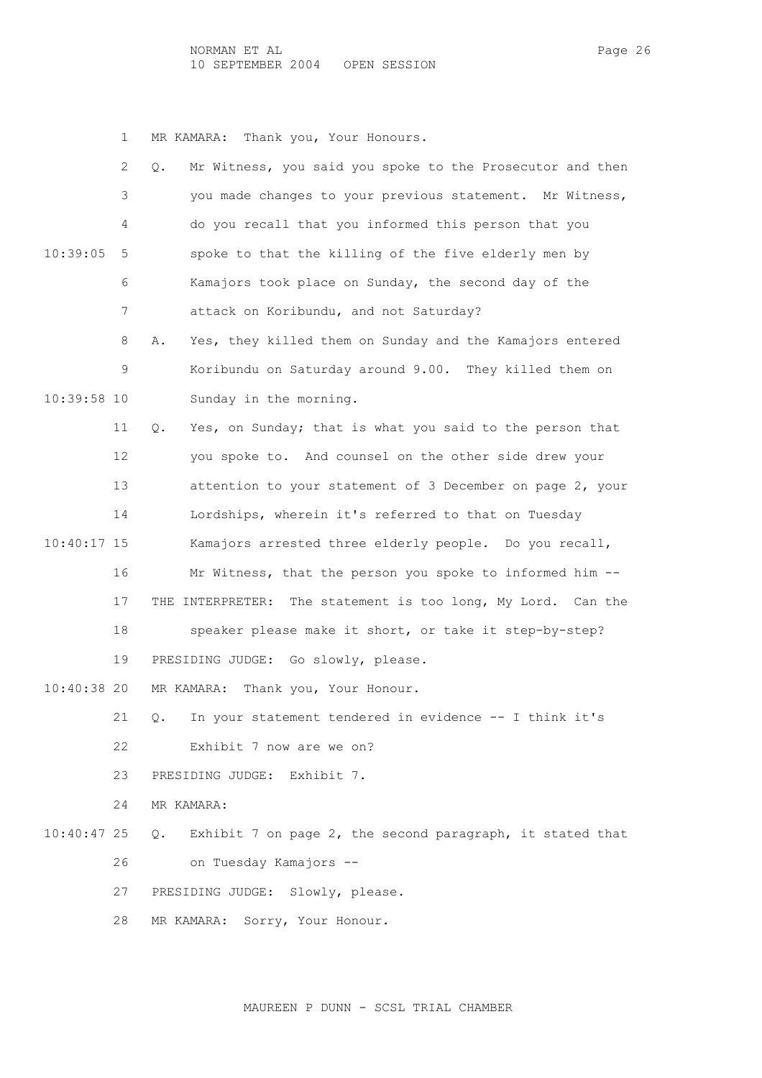1 MR KAMARA: Thank you, Your Honours.

|               | 2  | Mr Witness, you said you spoke to the Prosecutor and then<br>Q. |
|---------------|----|-----------------------------------------------------------------|
|               | 3  | you made changes to your previous statement. Mr Witness,        |
|               | 4  | do you recall that you informed this person that you            |
| 10:39:05      | 5  | spoke to that the killing of the five elderly men by            |
|               | 6  | Kamajors took place on Sunday, the second day of the            |
|               | 7  | attack on Koribundu, and not Saturday?                          |
|               | 8  | Yes, they killed them on Sunday and the Kamajors entered<br>Α.  |
|               | 9  | Koribundu on Saturday around 9.00. They killed them on          |
| 10:39:58 10   |    | Sunday in the morning.                                          |
|               | 11 | Yes, on Sunday; that is what you said to the person that<br>Q.  |
|               | 12 | you spoke to. And counsel on the other side drew your           |
|               | 13 | attention to your statement of 3 December on page 2, your       |
|               | 14 | Lordships, wherein it's referred to that on Tuesday             |
| $10:40:17$ 15 |    | Kamajors arrested three elderly people. Do you recall,          |
|               | 16 | Mr Witness, that the person you spoke to informed him --        |
|               | 17 | THE INTERPRETER: The statement is too long, My Lord. Can the    |
|               | 18 | speaker please make it short, or take it step-by-step?          |
|               | 19 | PRESIDING JUDGE: Go slowly, please.                             |
| 10:40:38 20   |    | Thank you, Your Honour.<br>MR KAMARA:                           |
|               | 21 | In your statement tendered in evidence -- I think it's<br>Q.    |
|               | 22 | Exhibit 7 now are we on?                                        |
|               | 23 | PRESIDING JUDGE: Exhibit 7.                                     |
|               | 24 | MR KAMARA:                                                      |
| $10:40:47$ 25 |    | Exhibit 7 on page 2, the second paragraph, it stated that<br>0. |
|               | 26 | on Tuesday Kamajors --                                          |
|               |    |                                                                 |
|               | 27 | PRESIDING JUDGE: Slowly, please.                                |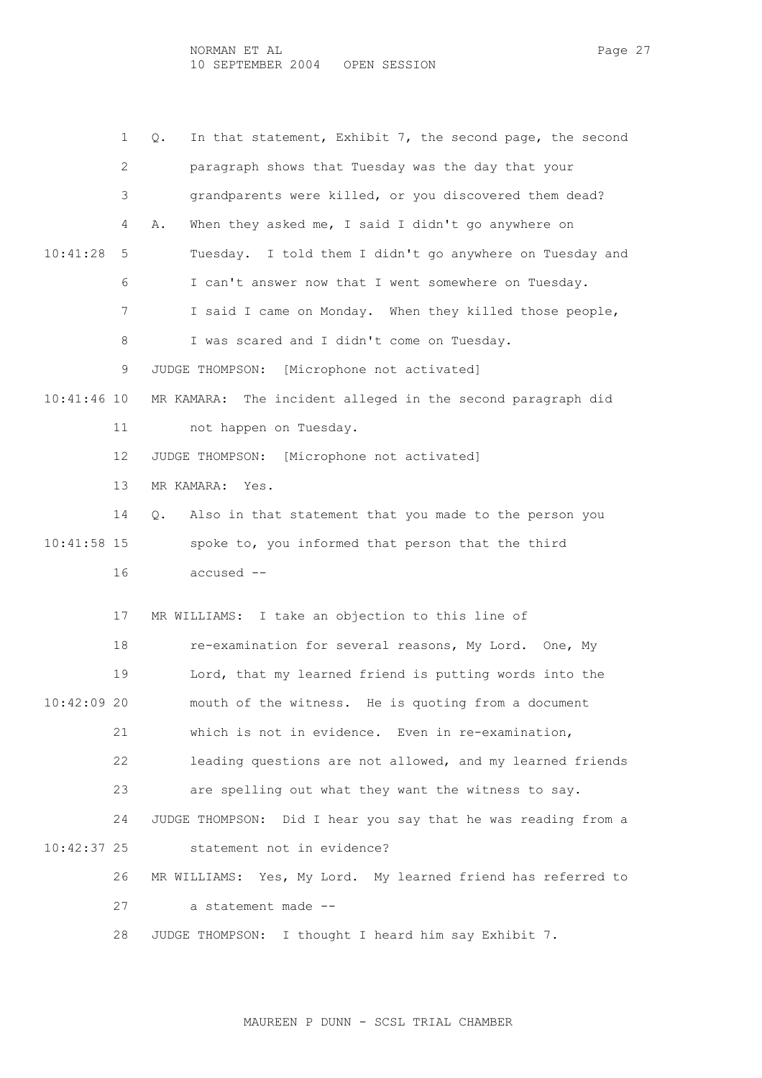|               | 1  | In that statement, Exhibit 7, the second page, the second<br>Q. |
|---------------|----|-----------------------------------------------------------------|
|               | 2  | paragraph shows that Tuesday was the day that your              |
|               | 3  | grandparents were killed, or you discovered them dead?          |
|               | 4  | When they asked me, I said I didn't go anywhere on<br>Α.        |
| 10:41:28      | 5  | Tuesday. I told them I didn't go anywhere on Tuesday and        |
|               | 6  | I can't answer now that I went somewhere on Tuesday.            |
|               | 7  | I said I came on Monday. When they killed those people,         |
|               | 8  | I was scared and I didn't come on Tuesday.                      |
|               | 9  | JUDGE THOMPSON: [Microphone not activated]                      |
| $10:41:46$ 10 |    | MR KAMARA: The incident alleged in the second paragraph did     |
|               | 11 | not happen on Tuesday.                                          |
|               | 12 | JUDGE THOMPSON: [Microphone not activated]                      |
|               | 13 | MR KAMARA: Yes.                                                 |
|               | 14 | Also in that statement that you made to the person you<br>Q.    |
| $10:41:58$ 15 |    | spoke to, you informed that person that the third               |
|               | 16 | accused --                                                      |
|               | 17 | I take an objection to this line of<br>MR WILLIAMS:             |
|               | 18 | re-examination for several reasons, My Lord. One, My            |
|               | 19 | Lord, that my learned friend is putting words into the          |
| 10:42:09 20   |    | mouth of the witness. He is quoting from a document             |
|               | 21 | which is not in evidence. Even in re-examination,               |
|               | 22 | leading questions are not allowed, and my learned friends       |
|               | 23 | are spelling out what they want the witness to say.             |
|               | 24 | JUDGE THOMPSON: Did I hear you say that he was reading from a   |
| $10:42:37$ 25 |    | statement not in evidence?                                      |
|               | 26 | MR WILLIAMS: Yes, My Lord. My learned friend has referred to    |
|               | 27 | a statement made --                                             |
|               | 28 | JUDGE THOMPSON: I thought I heard him say Exhibit 7.            |
|               |    |                                                                 |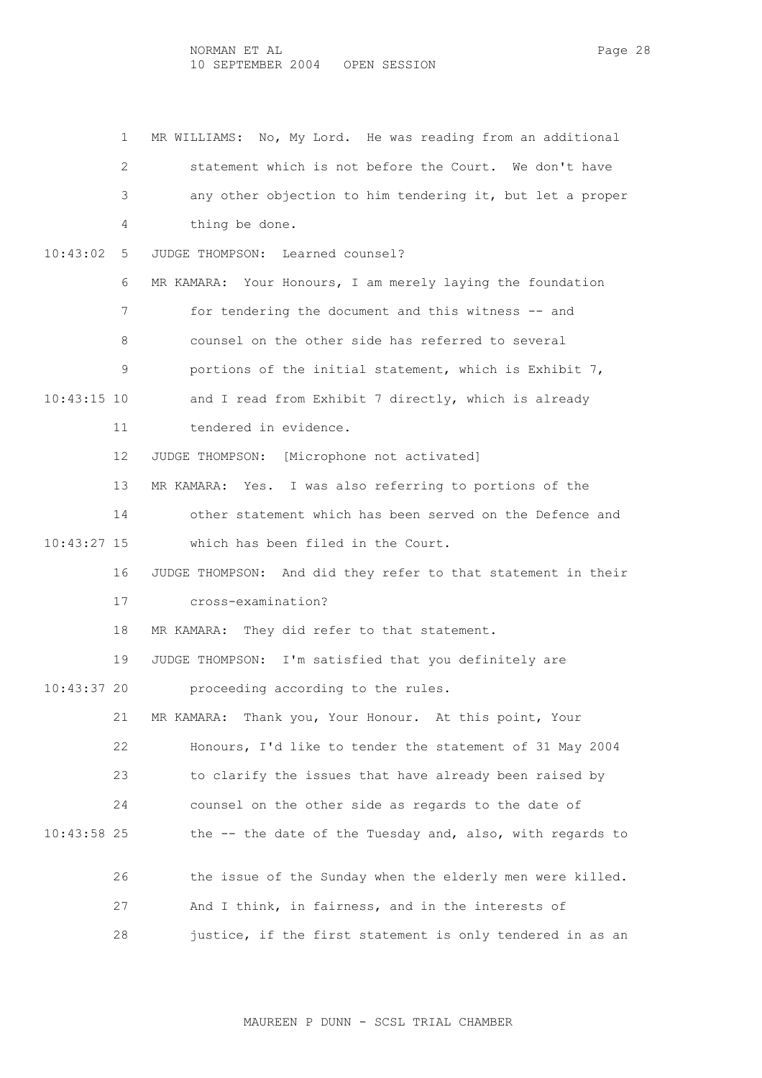1 MR WILLIAMS: No, My Lord. He was reading from an additional 2 statement which is not before the Court. We don't have 3 any other objection to him tendering it, but let a proper 4 thing be done. 10:43:02 5 JUDGE THOMPSON: Learned counsel? 6 MR KAMARA: Your Honours, I am merely laying the foundation 7 for tendering the document and this witness -- and 8 counsel on the other side has referred to several 9 portions of the initial statement, which is Exhibit 7, 10:43:15 10 and I read from Exhibit 7 directly, which is already 11 tendered in evidence. 12 JUDGE THOMPSON: [Microphone not activated] 13 MR KAMARA: Yes. I was also referring to portions of the 14 other statement which has been served on the Defence and 10:43:27 15 which has been filed in the Court. 16 JUDGE THOMPSON: And did they refer to that statement in their 17 cross-examination? 18 MR KAMARA: They did refer to that statement. 19 JUDGE THOMPSON: I'm satisfied that you definitely are 10:43:37 20 proceeding according to the rules. 21 MR KAMARA: Thank you, Your Honour. At this point, Your 22 Honours, I'd like to tender the statement of 31 May 2004 23 to clarify the issues that have already been raised by 24 counsel on the other side as regards to the date of 10:43:58 25 the -- the date of the Tuesday and, also, with regards to 26 the issue of the Sunday when the elderly men were killed. 27 And I think, in fairness, and in the interests of 28 justice, if the first statement is only tendered in as an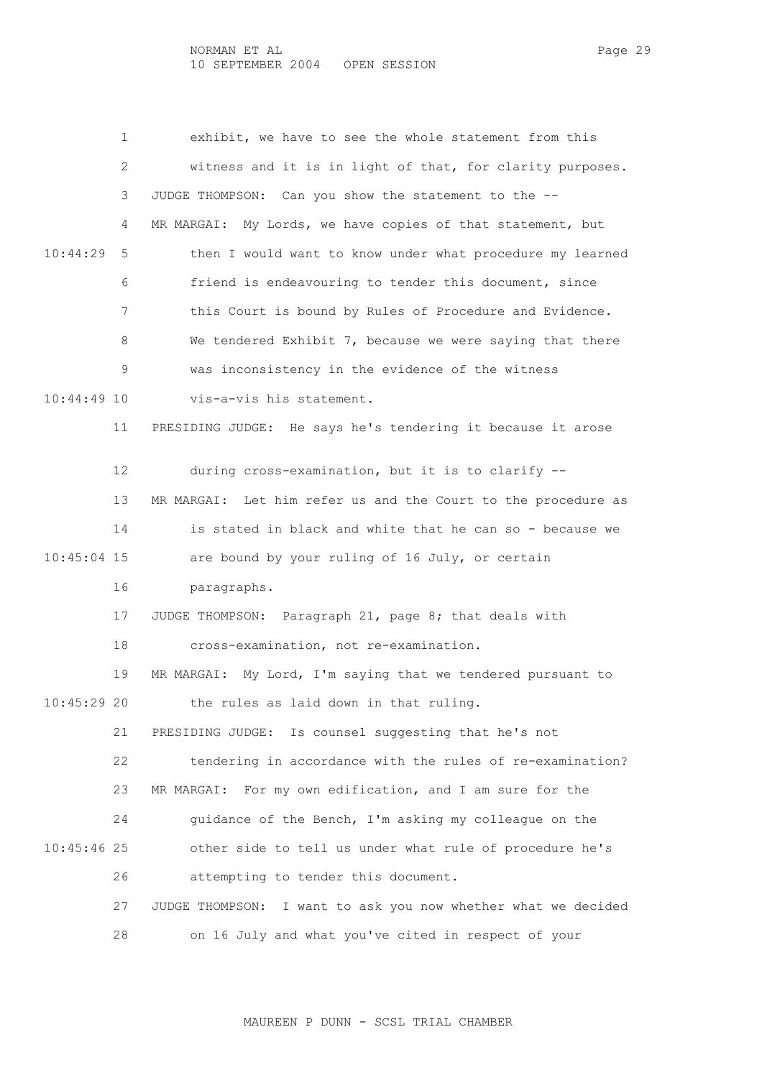1 exhibit, we have to see the whole statement from this 2 witness and it is in light of that, for clarity purposes. 3 JUDGE THOMPSON: Can you show the statement to the -- 4 MR MARGAI: My Lords, we have copies of that statement, but 10:44:29 5 then I would want to know under what procedure my learned 6 friend is endeavouring to tender this document, since 7 this Court is bound by Rules of Procedure and Evidence. 8 We tendered Exhibit 7, because we were saying that there 9 was inconsistency in the evidence of the witness 10:44:49 10 vis-a-vis his statement. 11 PRESIDING JUDGE: He says he's tendering it because it arose 12 during cross-examination, but it is to clarify -- 13 MR MARGAI: Let him refer us and the Court to the procedure as 14 is stated in black and white that he can so - because we 10:45:04 15 are bound by your ruling of 16 July, or certain 16 paragraphs. 17 JUDGE THOMPSON: Paragraph 21, page 8; that deals with 18 cross-examination, not re-examination. 19 MR MARGAI: My Lord, I'm saying that we tendered pursuant to 10:45:29 20 the rules as laid down in that ruling. 21 PRESIDING JUDGE: Is counsel suggesting that he's not 22 tendering in accordance with the rules of re-examination? 23 MR MARGAI: For my own edification, and I am sure for the 24 guidance of the Bench, I'm asking my colleague on the 10:45:46 25 other side to tell us under what rule of procedure he's 26 attempting to tender this document. 27 JUDGE THOMPSON: I want to ask you now whether what we decided 28 on 16 July and what you've cited in respect of your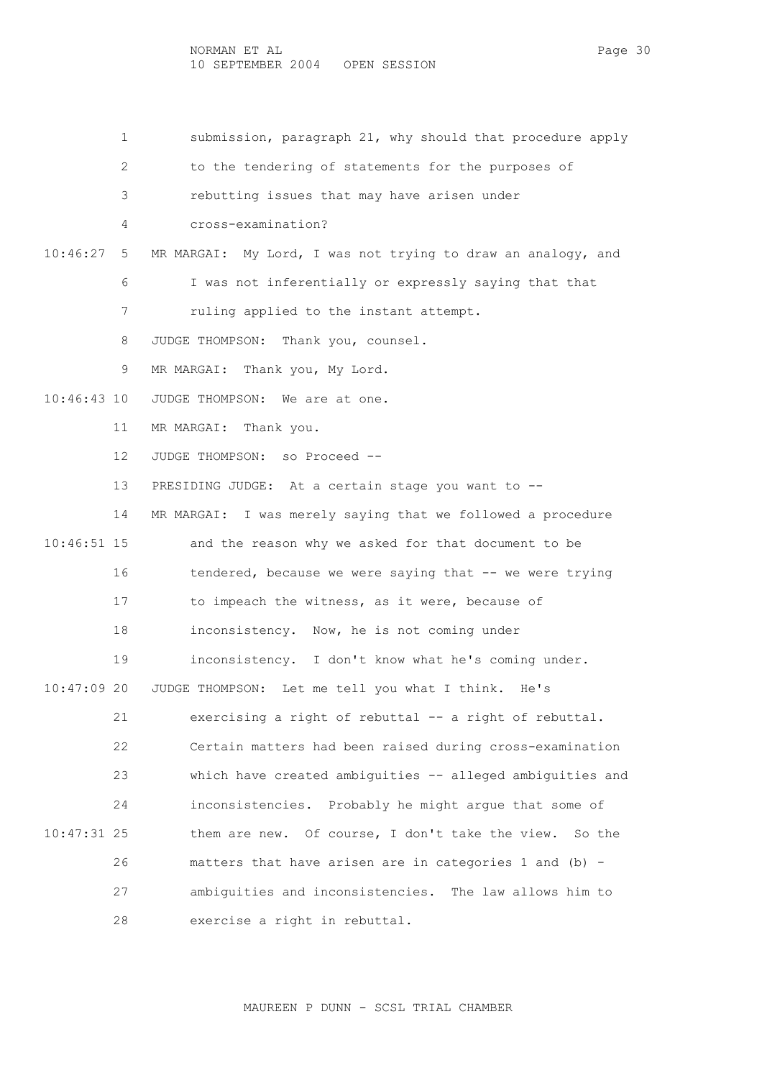1 submission, paragraph 21, why should that procedure apply

2 to the tendering of statements for the purposes of

3 rebutting issues that may have arisen under

- 4 cross-examination?
- 10:46:27 5 MR MARGAI: My Lord, I was not trying to draw an analogy, and
	- 6 I was not inferentially or expressly saying that that
	- 7 ruling applied to the instant attempt.
	- 8 JUDGE THOMPSON: Thank you, counsel.
	- 9 MR MARGAI: Thank you, My Lord.
- 10:46:43 10 JUDGE THOMPSON: We are at one.
	- 11 MR MARGAI: Thank you.
	- 12 JUDGE THOMPSON: so Proceed --
	- 13 PRESIDING JUDGE: At a certain stage you want to --
- 14 MR MARGAI: I was merely saying that we followed a procedure 10:46:51 15 and the reason why we asked for that document to be 16 tendered, because we were saying that -- we were trying 17 to impeach the witness, as it were, because of 18 inconsistency. Now, he is not coming under 19 inconsistency. I don't know what he's coming under. 10:47:09 20 JUDGE THOMPSON: Let me tell you what I think. He's
- 21 exercising a right of rebuttal -- a right of rebuttal. 22 Certain matters had been raised during cross-examination 23 which have created ambiguities -- alleged ambiguities and 24 inconsistencies. Probably he might argue that some of 10:47:31 25 them are new. Of course, I don't take the view. So the 26 matters that have arisen are in categories 1 and (b) - 27 ambiguities and inconsistencies. The law allows him to 28 exercise a right in rebuttal.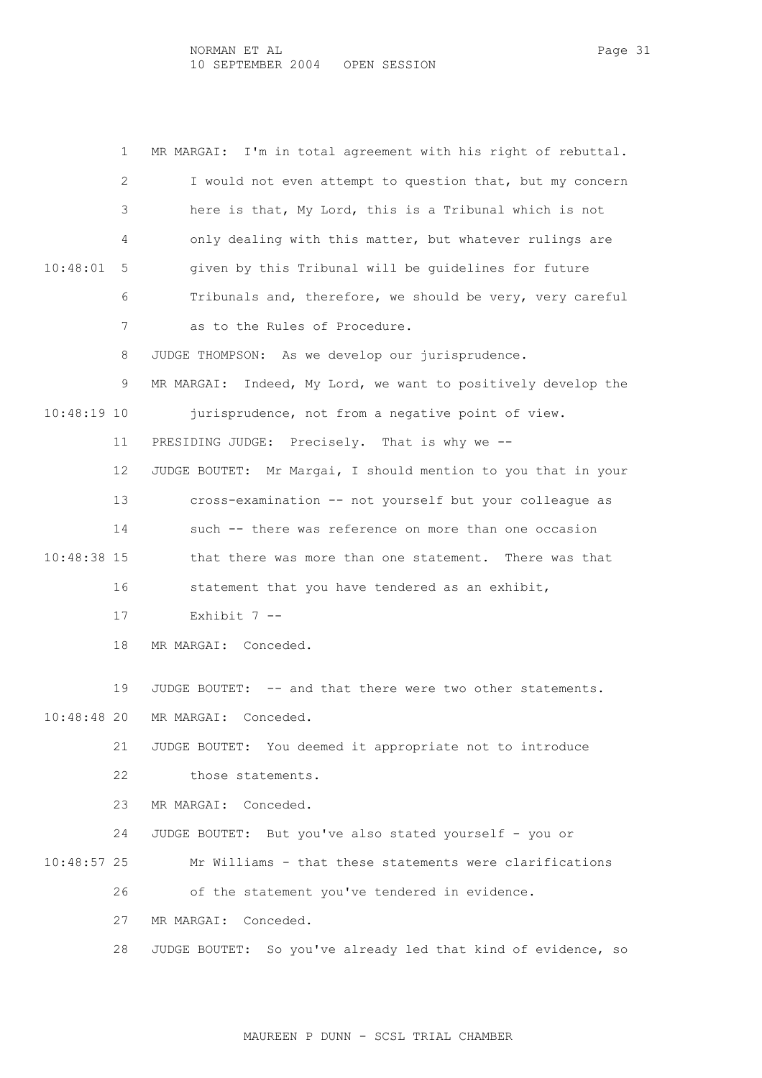1 MR MARGAI: I'm in total agreement with his right of rebuttal. 2 I would not even attempt to question that, but my concern 3 here is that, My Lord, this is a Tribunal which is not 4 only dealing with this matter, but whatever rulings are 10:48:01 5 given by this Tribunal will be guidelines for future 6 Tribunals and, therefore, we should be very, very careful 7 as to the Rules of Procedure. 8 JUDGE THOMPSON: As we develop our jurisprudence. 9 MR MARGAI: Indeed, My Lord, we want to positively develop the 10:48:19 10 jurisprudence, not from a negative point of view. 11 PRESIDING JUDGE: Precisely. That is why we -- 12 JUDGE BOUTET: Mr Margai, I should mention to you that in your 13 cross-examination -- not yourself but your colleague as 14 such -- there was reference on more than one occasion 10:48:38 15 that there was more than one statement. There was that 16 statement that you have tendered as an exhibit,  $17$  Exhibit  $7 -$  18 MR MARGAI: Conceded. 19 JUDGE BOUTET: -- and that there were two other statements. 10:48:48 20 MR MARGAI: Conceded. 21 JUDGE BOUTET: You deemed it appropriate not to introduce 22 those statements. 23 MR MARGAI: Conceded. 24 JUDGE BOUTET: But you've also stated yourself - you or 10:48:57 25 Mr Williams - that these statements were clarifications 26 of the statement you've tendered in evidence. 27 MR MARGAI: Conceded.

28 JUDGE BOUTET: So you've already led that kind of evidence, so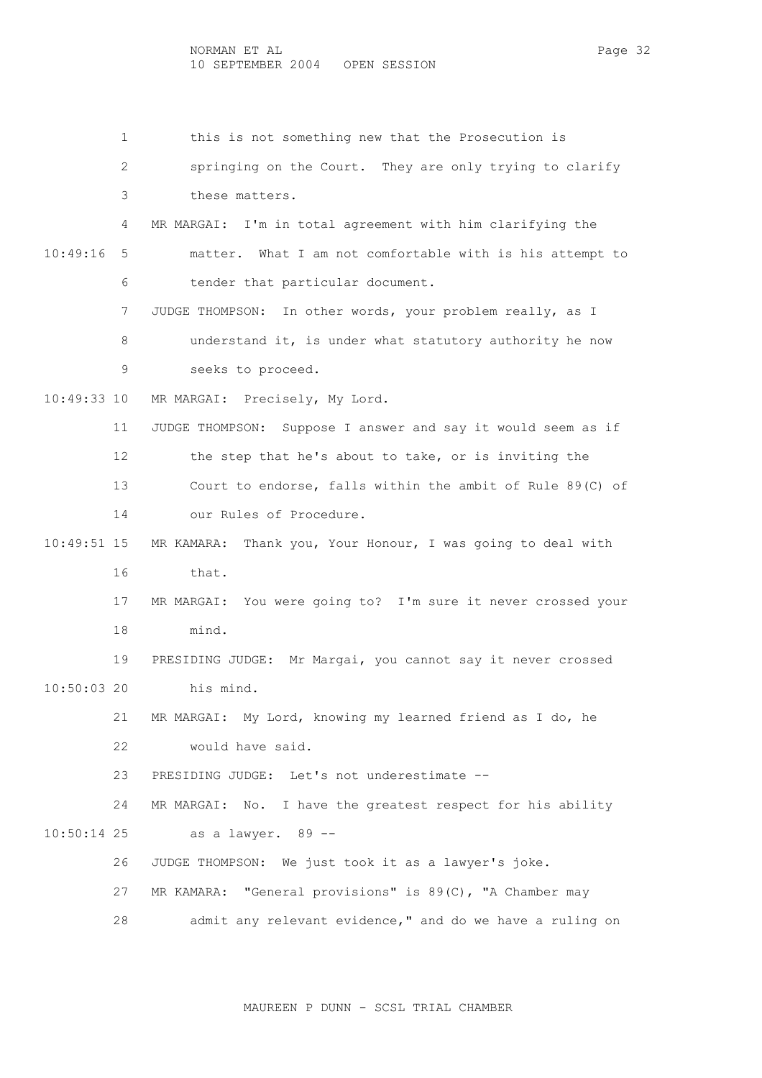1 this is not something new that the Prosecution is 2 springing on the Court. They are only trying to clarify 3 these matters. 4 MR MARGAI: I'm in total agreement with him clarifying the 10:49:16 5 matter. What I am not comfortable with is his attempt to 6 tender that particular document. 7 JUDGE THOMPSON: In other words, your problem really, as I 8 understand it, is under what statutory authority he now 9 seeks to proceed. 10:49:33 10 MR MARGAI: Precisely, My Lord. 11 JUDGE THOMPSON: Suppose I answer and say it would seem as if 12 the step that he's about to take, or is inviting the 13 Court to endorse, falls within the ambit of Rule 89(C) of 14 our Rules of Procedure. 10:49:51 15 MR KAMARA: Thank you, Your Honour, I was going to deal with 16 that. 17 MR MARGAI: You were going to? I'm sure it never crossed your 18 mind. 19 PRESIDING JUDGE: Mr Margai, you cannot say it never crossed 10:50:03 20 his mind. 21 MR MARGAI: My Lord, knowing my learned friend as I do, he 22 would have said. 23 PRESIDING JUDGE: Let's not underestimate -- 24 MR MARGAI: No. I have the greatest respect for his ability 10:50:14 25 as a lawyer. 89 -- 26 JUDGE THOMPSON: We just took it as a lawyer's joke. 27 MR KAMARA: "General provisions" is 89(C), "A Chamber may 28 admit any relevant evidence," and do we have a ruling on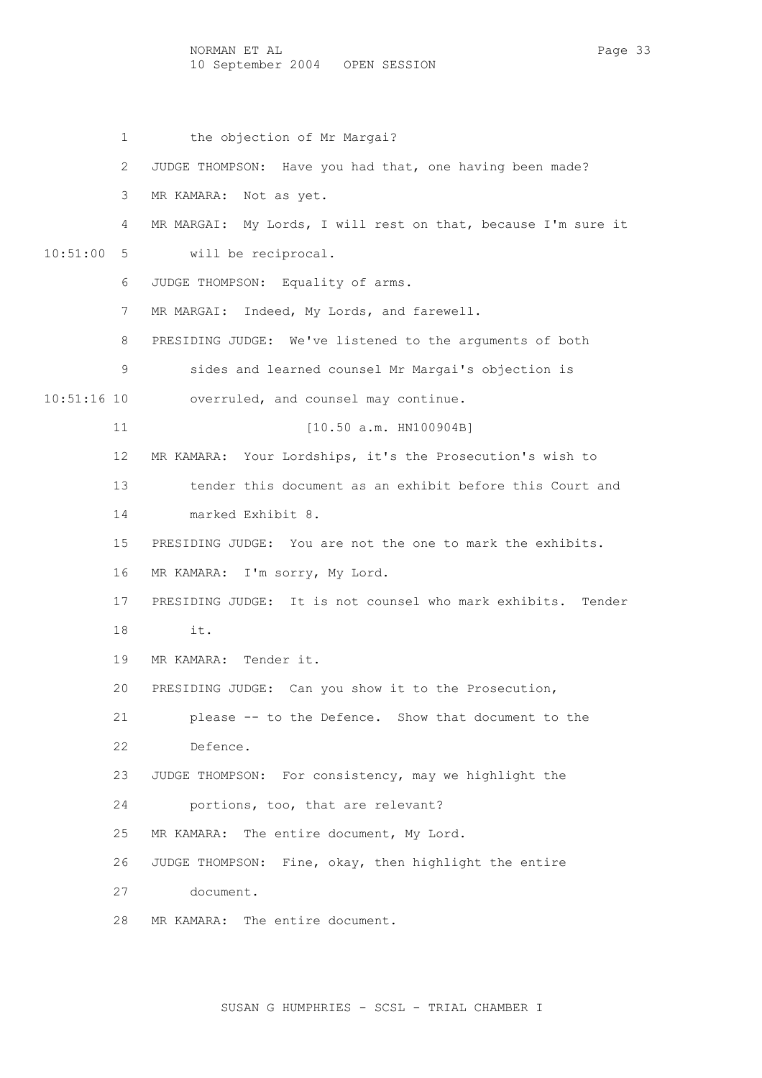NORMAN ET AL Page 33 10 September 2004 OPEN SESSION

 1 the objection of Mr Margai? 2 JUDGE THOMPSON: Have you had that, one having been made? 3 MR KAMARA: Not as yet. 4 MR MARGAI: My Lords, I will rest on that, because I'm sure it 10:51:00 5 will be reciprocal. 6 JUDGE THOMPSON: Equality of arms. 7 MR MARGAI: Indeed, My Lords, and farewell. 8 PRESIDING JUDGE: We've listened to the arguments of both 9 sides and learned counsel Mr Margai's objection is 10:51:16 10 overruled, and counsel may continue. 11 [10.50 a.m. HN100904B] 12 MR KAMARA: Your Lordships, it's the Prosecution's wish to 13 tender this document as an exhibit before this Court and 14 marked Exhibit 8. 15 PRESIDING JUDGE: You are not the one to mark the exhibits. 16 MR KAMARA: I'm sorry, My Lord. 17 PRESIDING JUDGE: It is not counsel who mark exhibits. Tender 18 it. 19 MR KAMARA: Tender it. 20 PRESIDING JUDGE: Can you show it to the Prosecution, 21 please -- to the Defence. Show that document to the 22 Defence. 23 JUDGE THOMPSON: For consistency, may we highlight the 24 portions, too, that are relevant? 25 MR KAMARA: The entire document, My Lord. 26 JUDGE THOMPSON: Fine, okay, then highlight the entire 27 document. 28 MR KAMARA: The entire document.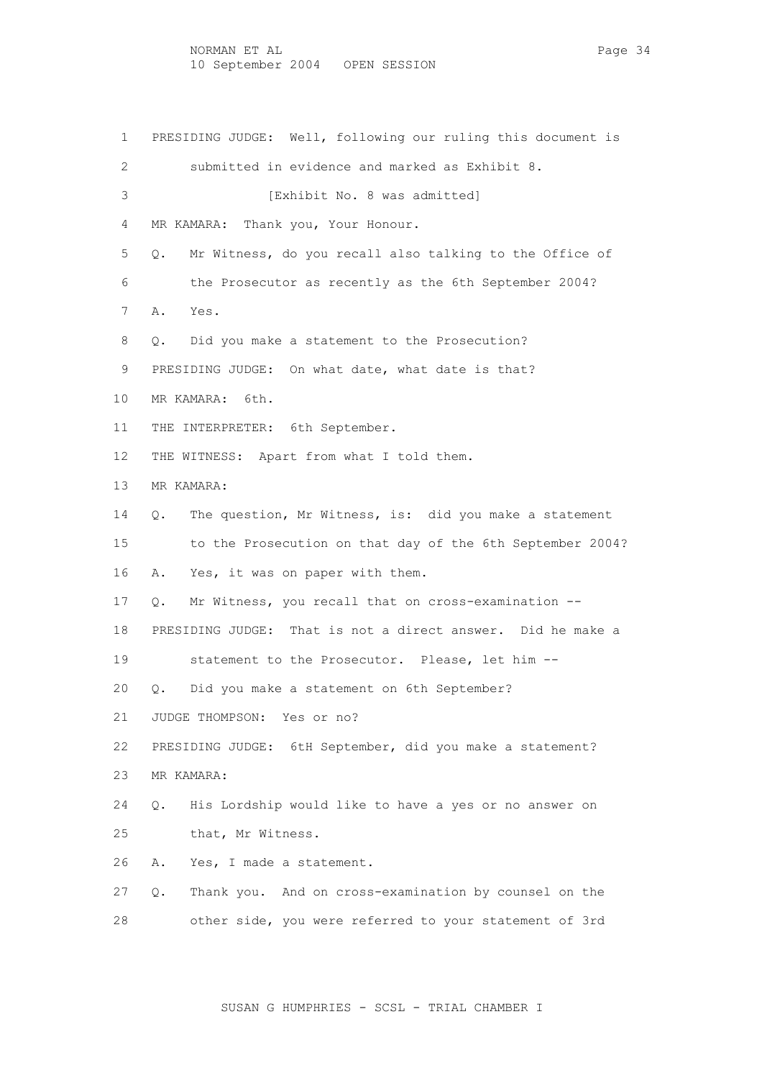1 PRESIDING JUDGE: Well, following our ruling this document is 2 submitted in evidence and marked as Exhibit 8. 3 [Exhibit No. 8 was admitted] 4 MR KAMARA: Thank you, Your Honour. 5 Q. Mr Witness, do you recall also talking to the Office of 6 the Prosecutor as recently as the 6th September 2004? 7 A. Yes. 8 Q. Did you make a statement to the Prosecution? 9 PRESIDING JUDGE: On what date, what date is that? 10 MR KAMARA: 6th. 11 THE INTERPRETER: 6th September. 12 THE WITNESS: Apart from what I told them. 13 MR KAMARA: 14 Q. The question, Mr Witness, is: did you make a statement 15 to the Prosecution on that day of the 6th September 2004? 16 A. Yes, it was on paper with them. 17 Q. Mr Witness, you recall that on cross-examination -- 18 PRESIDING JUDGE: That is not a direct answer. Did he make a 19 statement to the Prosecutor. Please, let him -- 20 Q. Did you make a statement on 6th September? 21 JUDGE THOMPSON: Yes or no? 22 PRESIDING JUDGE: 6tH September, did you make a statement? 23 MR KAMARA: 24 Q. His Lordship would like to have a yes or no answer on 25 that, Mr Witness. 26 A. Yes, I made a statement. 27 Q. Thank you. And on cross-examination by counsel on the 28 other side, you were referred to your statement of 3rd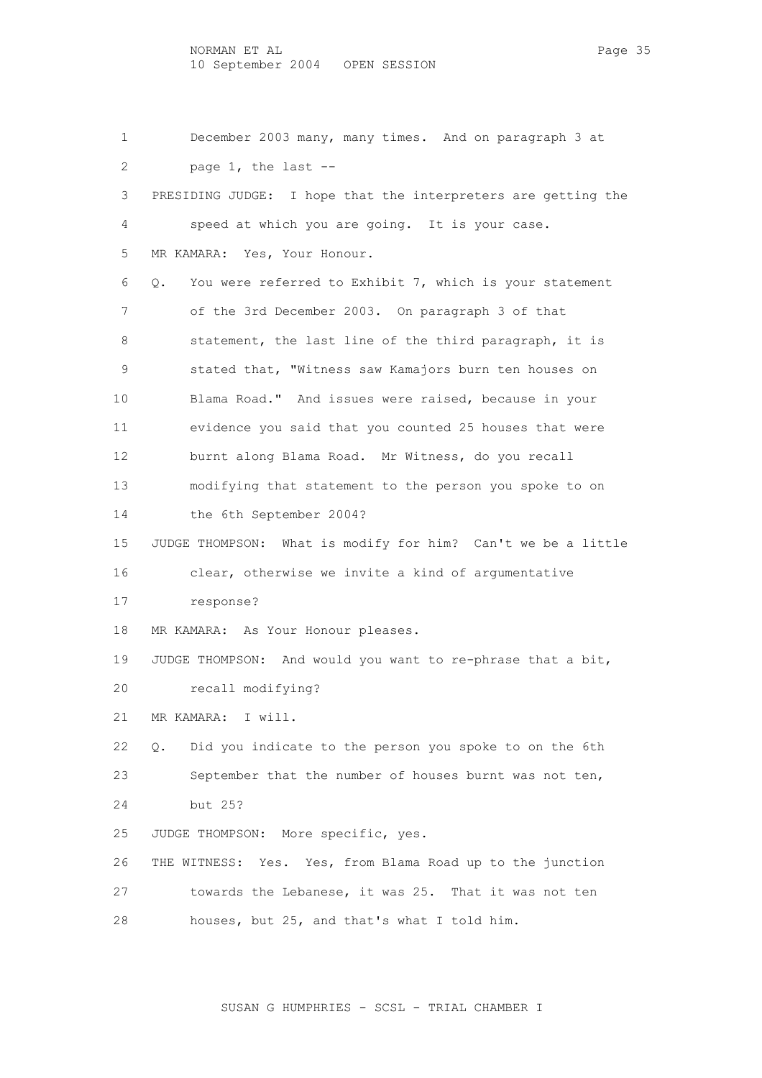1 December 2003 many, many times. And on paragraph 3 at 2 page 1, the last -- 3 PRESIDING JUDGE: I hope that the interpreters are getting the 4 speed at which you are going. It is your case. 5 MR KAMARA: Yes, Your Honour. 6 Q. You were referred to Exhibit 7, which is your statement 7 of the 3rd December 2003. On paragraph 3 of that 8 statement, the last line of the third paragraph, it is 9 stated that, "Witness saw Kamajors burn ten houses on 10 Blama Road." And issues were raised, because in your 11 evidence you said that you counted 25 houses that were 12 burnt along Blama Road. Mr Witness, do you recall 13 modifying that statement to the person you spoke to on 14 the 6th September 2004? 15 JUDGE THOMPSON: What is modify for him? Can't we be a little 16 clear, otherwise we invite a kind of argumentative 17 response? 18 MR KAMARA: As Your Honour pleases. 19 JUDGE THOMPSON: And would you want to re-phrase that a bit, 20 recall modifying? 21 MR KAMARA: I will. 22 Q. Did you indicate to the person you spoke to on the 6th 23 September that the number of houses burnt was not ten, 24 but 25? 25 JUDGE THOMPSON: More specific, yes. 26 THE WITNESS: Yes. Yes, from Blama Road up to the junction 27 towards the Lebanese, it was 25. That it was not ten 28 houses, but 25, and that's what I told him.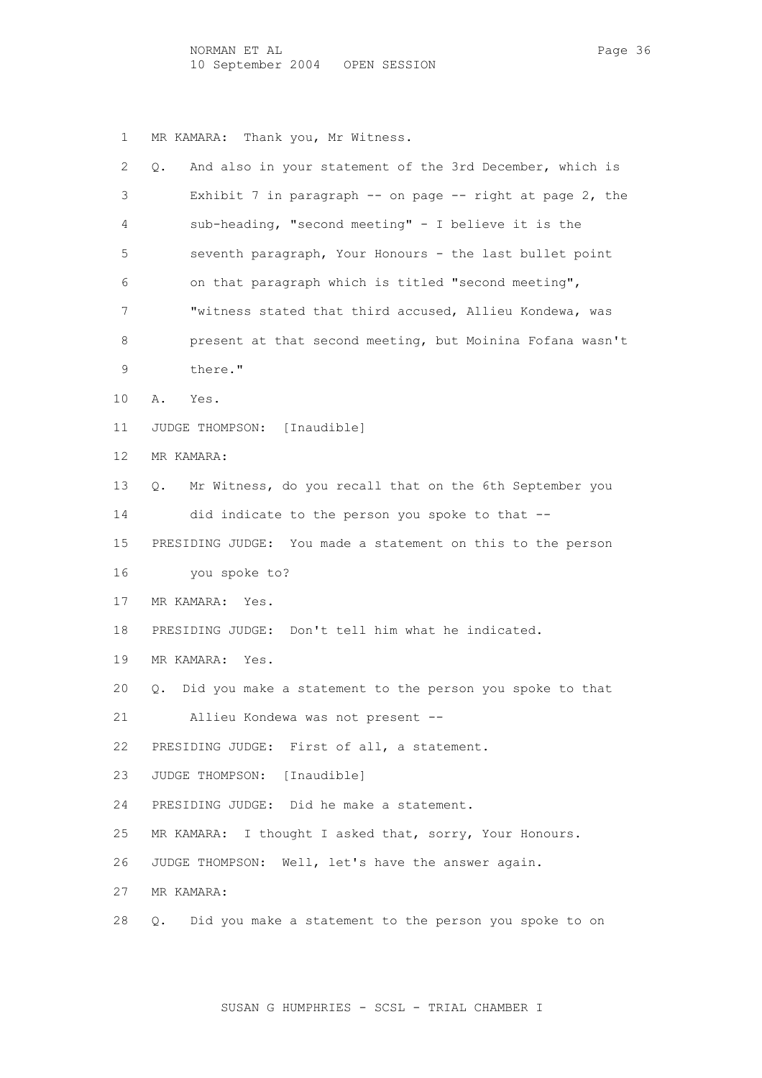1 MR KAMARA: Thank you, Mr Witness.

| 2               | And also in your statement of the 3rd December, which is<br>Q. |
|-----------------|----------------------------------------------------------------|
| 3               | Exhibit 7 in paragraph $-$ on page $-$ right at page 2, the    |
| 4               | sub-heading, "second meeting" - I believe it is the            |
| 5               | seventh paragraph, Your Honours - the last bullet point        |
| 6               | on that paragraph which is titled "second meeting",            |
| 7               | "witness stated that third accused, Allieu Kondewa, was        |
| 8               | present at that second meeting, but Moinina Fofana wasn't      |
| 9               | there."                                                        |
| 10              | Α.<br>Yes.                                                     |
| 11              | JUDGE THOMPSON: [Inaudible]                                    |
| 12 <sup>°</sup> | MR KAMARA:                                                     |
| 13              | Mr Witness, do you recall that on the 6th September you<br>Q.  |
| 14              | did indicate to the person you spoke to that --                |
| 15              | PRESIDING JUDGE: You made a statement on this to the person    |
| 16              | you spoke to?                                                  |
| 17              | MR KAMARA:<br>Yes.                                             |
| 18              | PRESIDING JUDGE: Don't tell him what he indicated.             |
| 19              | MR KAMARA: Yes.                                                |
| 20              | Did you make a statement to the person you spoke to that<br>Q. |
| 21              | Allieu Kondewa was not present --                              |
| 22              | PRESIDING JUDGE: First of all, a statement.                    |
| 23              | JUDGE THOMPSON:<br>[Inaudible]                                 |
| 24              | PRESIDING JUDGE: Did he make a statement.                      |
| 25              | I thought I asked that, sorry, Your Honours.<br>MR KAMARA:     |
| 26              | JUDGE THOMPSON: Well, let's have the answer again.             |
| 27              | MR KAMARA:                                                     |
| 28              | Did you make a statement to the person you spoke to on<br>Q.   |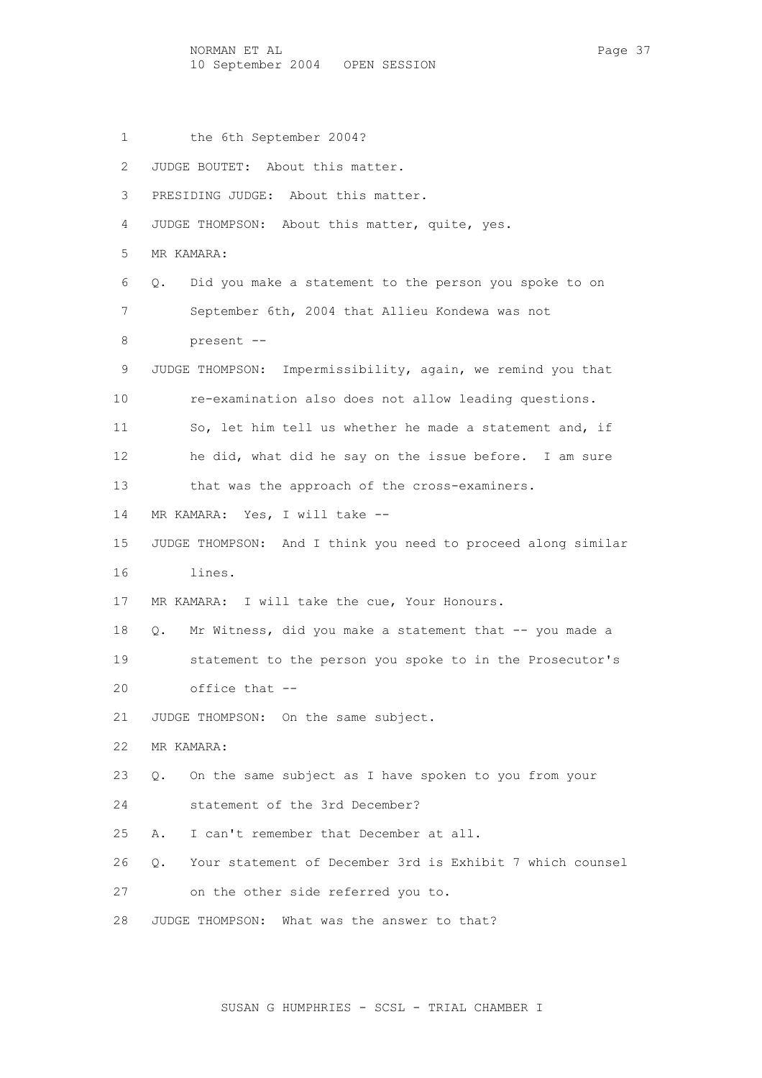NORMAN ET AL Page 37 10 September 2004 OPEN SESSION

- 1 the 6th September 2004?
- 2 JUDGE BOUTET: About this matter.
- 3 PRESIDING JUDGE: About this matter.
- 4 JUDGE THOMPSON: About this matter, quite, yes.
- 5 MR KAMARA:
- 6 Q. Did you make a statement to the person you spoke to on 7 September 6th, 2004 that Allieu Kondewa was not
- 8 present --
- 9 JUDGE THOMPSON: Impermissibility, again, we remind you that
- 10 re-examination also does not allow leading questions.
- 11 So, let him tell us whether he made a statement and, if 12 he did, what did he say on the issue before. I am sure
- 13 that was the approach of the cross-examiners.
- 14 MR KAMARA: Yes, I will take --
- 15 JUDGE THOMPSON: And I think you need to proceed along similar 16 lines.
- 17 MR KAMARA: I will take the cue, Your Honours.
- 18 Q. Mr Witness, did you make a statement that -- you made a 19 statement to the person you spoke to in the Prosecutor's 20 office that --
- 21 JUDGE THOMPSON: On the same subject.
- 22 MR KAMARA:
- 23 Q. On the same subject as I have spoken to you from your
- 24 statement of the 3rd December?
- 25 A. I can't remember that December at all.
- 26 Q. Your statement of December 3rd is Exhibit 7 which counsel
- 27 on the other side referred you to.
- 28 JUDGE THOMPSON: What was the answer to that?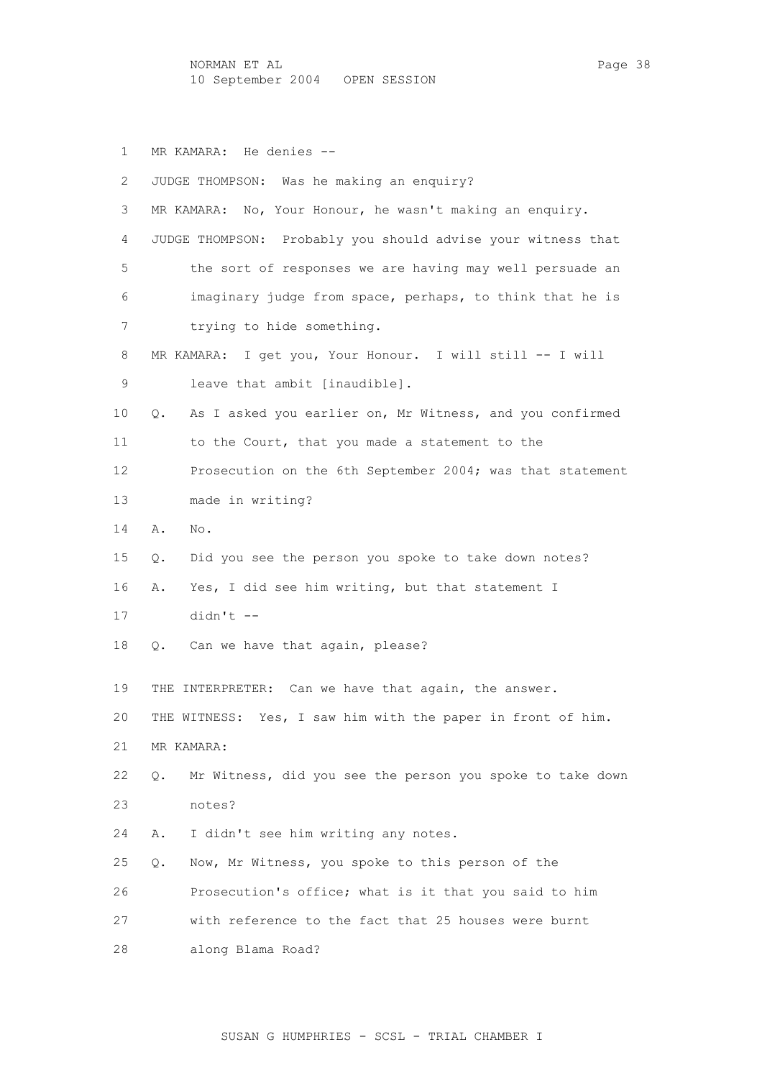NORMAN ET AL PAGE 28 Page 38 10 September 2004 OPEN SESSION

1 MR KAMARA: He denies --

| 2        | JUDGE THOMPSON: Was he making an enquiry?                                     |
|----------|-------------------------------------------------------------------------------|
| 3        | No, Your Honour, he wasn't making an enquiry.<br>MR KAMARA:                   |
| 4        | JUDGE THOMPSON: Probably you should advise your witness that                  |
| 5        | the sort of responses we are having may well persuade an                      |
| 6        | imaginary judge from space, perhaps, to think that he is                      |
| 7        | trying to hide something.                                                     |
| 8        | I get you, Your Honour. I will still -- I will<br>MR KAMARA:                  |
| 9        | leave that ambit [inaudible].                                                 |
| 10       | As I asked you earlier on, Mr Witness, and you confirmed<br>Q.                |
| 11       | to the Court, that you made a statement to the                                |
| 12       | Prosecution on the 6th September 2004; was that statement                     |
| 13       | made in writing?                                                              |
| 14       | Α.<br>No.                                                                     |
| 15       | Did you see the person you spoke to take down notes?<br>Q.                    |
| 16       | Yes, I did see him writing, but that statement I<br>Α.                        |
| 17       | $didn't$ --                                                                   |
| 18       | Can we have that again, please?<br>Q.                                         |
| 19       | THE INTERPRETER: Can we have that again, the answer.                          |
| 20       |                                                                               |
|          | THE WITNESS: Yes, I saw him with the paper in front of him.                   |
| 21<br>22 | MR KAMARA:<br>Mr Witness, did you see the person you spoke to take down<br>О. |
| 23       | notes?                                                                        |
| 24       | I didn't see him writing any notes.<br>Α.                                     |
| 25       | Now, Mr Witness, you spoke to this person of the                              |
| 26       | Q.                                                                            |
|          | Prosecution's office; what is it that you said to him                         |
| 27       | with reference to the fact that 25 houses were burnt                          |
| 28       | along Blama Road?                                                             |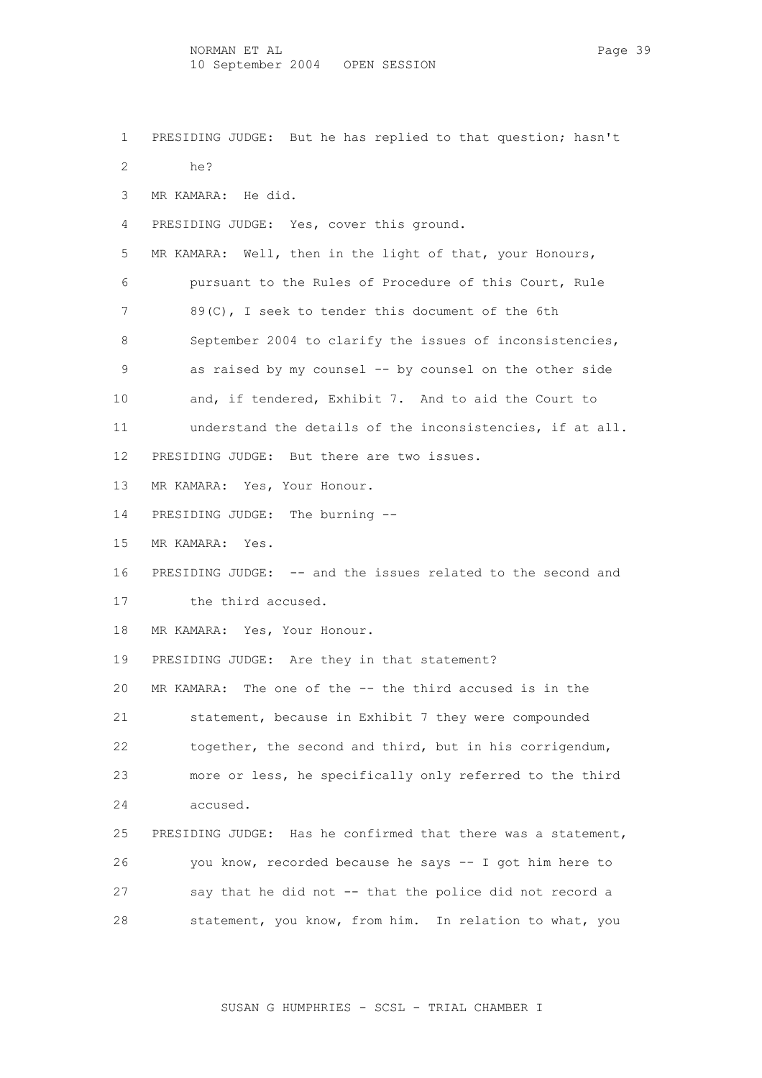- 1 PRESIDING JUDGE: But he has replied to that question; hasn't
- 2 he?
- 3 MR KAMARA: He did.
- 4 PRESIDING JUDGE: Yes, cover this ground.
- 5 MR KAMARA: Well, then in the light of that, your Honours, 6 pursuant to the Rules of Procedure of this Court, Rule 7 89(C), I seek to tender this document of the 6th 8 September 2004 to clarify the issues of inconsistencies, 9 as raised by my counsel -- by counsel on the other side 10 and, if tendered, Exhibit 7. And to aid the Court to 11 understand the details of the inconsistencies, if at all.
- 12 PRESIDING JUDGE: But there are two issues.
- 13 MR KAMARA: Yes, Your Honour.
- 14 PRESIDING JUDGE: The burning --
- 15 MR KAMARA: Yes.
- 16 PRESIDING JUDGE: -- and the issues related to the second and 17 the third accused.
- 18 MR KAMARA: Yes, Your Honour.
- 19 PRESIDING JUDGE: Are they in that statement?

 20 MR KAMARA: The one of the -- the third accused is in the 21 statement, because in Exhibit 7 they were compounded 22 together, the second and third, but in his corrigendum, 23 more or less, he specifically only referred to the third 24 accused.

 25 PRESIDING JUDGE: Has he confirmed that there was a statement, 26 you know, recorded because he says -- I got him here to 27 say that he did not -- that the police did not record a 28 statement, you know, from him. In relation to what, you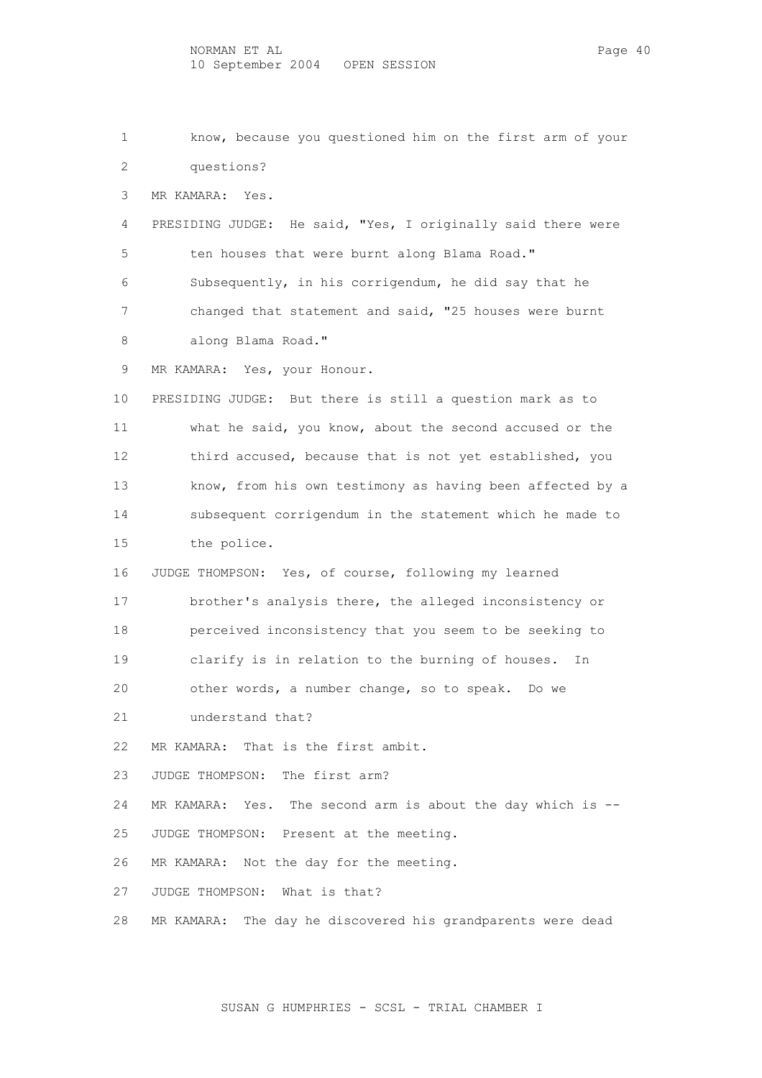1 know, because you questioned him on the first arm of your 2 questions? 3 MR KAMARA: Yes. 4 PRESIDING JUDGE: He said, "Yes, I originally said there were 5 ten houses that were burnt along Blama Road." 6 Subsequently, in his corrigendum, he did say that he 7 changed that statement and said, "25 houses were burnt 8 along Blama Road." 9 MR KAMARA: Yes, your Honour. 10 PRESIDING JUDGE: But there is still a question mark as to 11 what he said, you know, about the second accused or the 12 third accused, because that is not yet established, you 13 know, from his own testimony as having been affected by a 14 subsequent corrigendum in the statement which he made to 15 the police. 16 JUDGE THOMPSON: Yes, of course, following my learned 17 brother's analysis there, the alleged inconsistency or 18 perceived inconsistency that you seem to be seeking to 19 clarify is in relation to the burning of houses. In 20 other words, a number change, so to speak. Do we 21 understand that? 22 MR KAMARA: That is the first ambit. 23 JUDGE THOMPSON: The first arm? 24 MR KAMARA: Yes. The second arm is about the day which is -- 25 JUDGE THOMPSON: Present at the meeting. 26 MR KAMARA: Not the day for the meeting. 27 JUDGE THOMPSON: What is that? 28 MR KAMARA: The day he discovered his grandparents were dead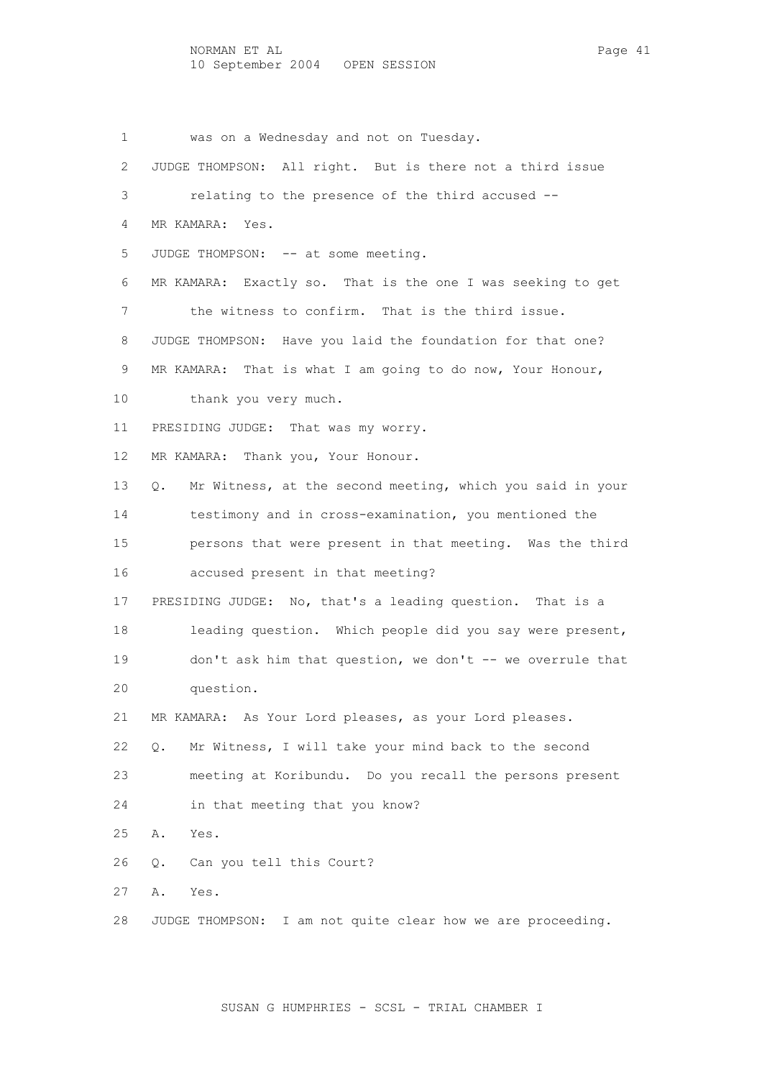1 was on a Wednesday and not on Tuesday. 2 JUDGE THOMPSON: All right. But is there not a third issue 3 relating to the presence of the third accused -- 4 MR KAMARA: Yes. 5 JUDGE THOMPSON: -- at some meeting. 6 MR KAMARA: Exactly so. That is the one I was seeking to get 7 the witness to confirm. That is the third issue. 8 JUDGE THOMPSON: Have you laid the foundation for that one? 9 MR KAMARA: That is what I am going to do now, Your Honour, 10 thank you very much. 11 PRESIDING JUDGE: That was my worry. 12 MR KAMARA: Thank you, Your Honour. 13 Q. Mr Witness, at the second meeting, which you said in your 14 testimony and in cross-examination, you mentioned the 15 persons that were present in that meeting. Was the third 16 accused present in that meeting? 17 PRESIDING JUDGE: No, that's a leading question. That is a 18 leading question. Which people did you say were present, 19 don't ask him that question, we don't -- we overrule that 20 question. 21 MR KAMARA: As Your Lord pleases, as your Lord pleases. 22 Q. Mr Witness, I will take your mind back to the second 23 meeting at Koribundu. Do you recall the persons present 24 in that meeting that you know? 25 A. Yes. 26 Q. Can you tell this Court? 27 A. Yes. 28 JUDGE THOMPSON: I am not quite clear how we are proceeding.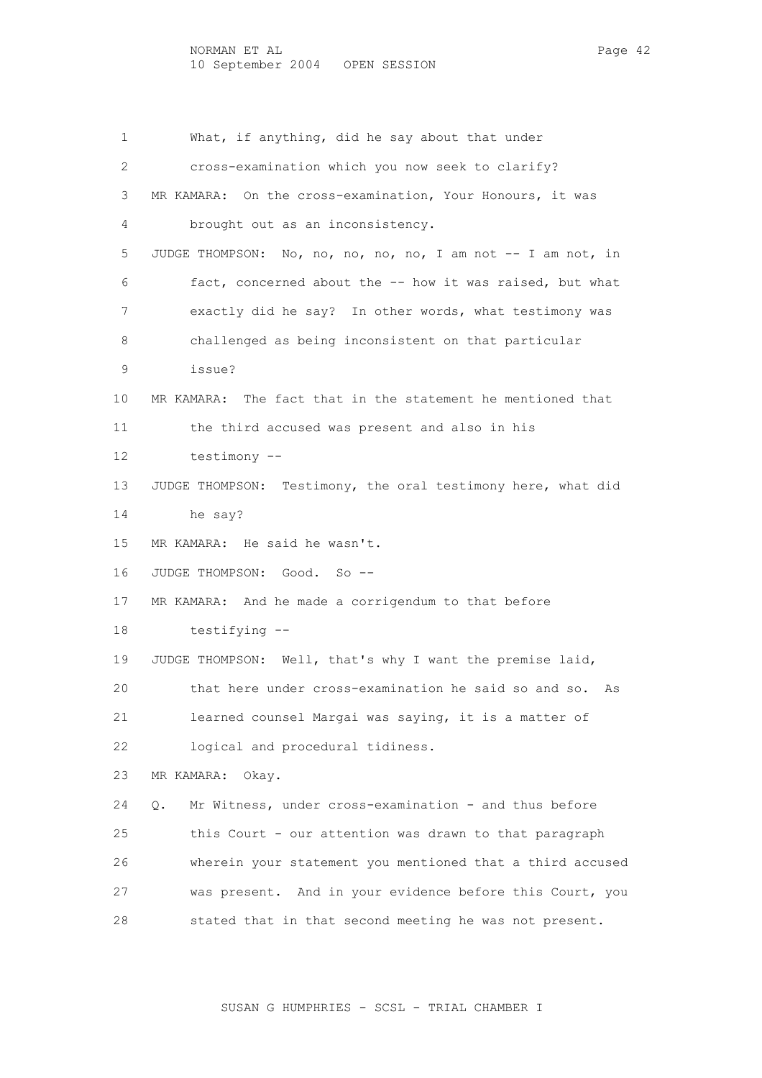1 What, if anything, did he say about that under 2 cross-examination which you now seek to clarify? 3 MR KAMARA: On the cross-examination, Your Honours, it was 4 brought out as an inconsistency. 5 JUDGE THOMPSON: No, no, no, no, no, I am not -- I am not, in 6 fact, concerned about the -- how it was raised, but what 7 exactly did he say? In other words, what testimony was 8 challenged as being inconsistent on that particular 9 issue? 10 MR KAMARA: The fact that in the statement he mentioned that 11 the third accused was present and also in his 12 testimony -- 13 JUDGE THOMPSON: Testimony, the oral testimony here, what did 14 he say? 15 MR KAMARA: He said he wasn't. 16 JUDGE THOMPSON: Good. So -- 17 MR KAMARA: And he made a corrigendum to that before 18 testifying -- 19 JUDGE THOMPSON: Well, that's why I want the premise laid, 20 that here under cross-examination he said so and so. As 21 learned counsel Margai was saying, it is a matter of 22 logical and procedural tidiness. 23 MR KAMARA: Okay. 24 Q. Mr Witness, under cross-examination - and thus before 25 this Court - our attention was drawn to that paragraph 26 wherein your statement you mentioned that a third accused 27 was present. And in your evidence before this Court, you 28 stated that in that second meeting he was not present.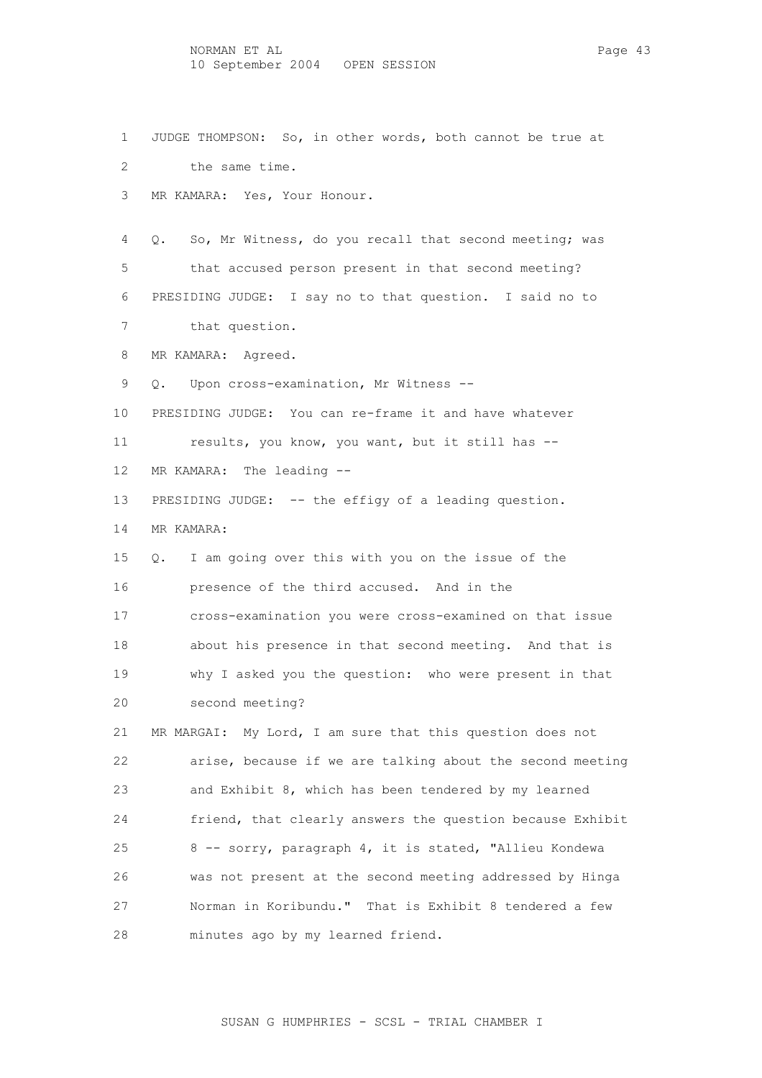2 the same time. 3 MR KAMARA: Yes, Your Honour. 4 Q. So, Mr Witness, do you recall that second meeting; was 5 that accused person present in that second meeting? 6 PRESIDING JUDGE: I say no to that question. I said no to 7 that question. 8 MR KAMARA: Agreed.

1 JUDGE THOMPSON: So, in other words, both cannot be true at

9 Q. Upon cross-examination, Mr Witness --

10 PRESIDING JUDGE: You can re-frame it and have whatever

11 results, you know, you want, but it still has --

12 MR KAMARA: The leading --

13 PRESIDING JUDGE: -- the effigy of a leading question. 14 MR KAMARA:

 15 Q. I am going over this with you on the issue of the 16 presence of the third accused. And in the 17 cross-examination you were cross-examined on that issue

 19 why I asked you the question: who were present in that 20 second meeting?

18 about his presence in that second meeting. And that is

 21 MR MARGAI: My Lord, I am sure that this question does not 22 arise, because if we are talking about the second meeting 23 and Exhibit 8, which has been tendered by my learned 24 friend, that clearly answers the question because Exhibit 25 8 -- sorry, paragraph 4, it is stated, "Allieu Kondewa 26 was not present at the second meeting addressed by Hinga 27 Norman in Koribundu." That is Exhibit 8 tendered a few 28 minutes ago by my learned friend.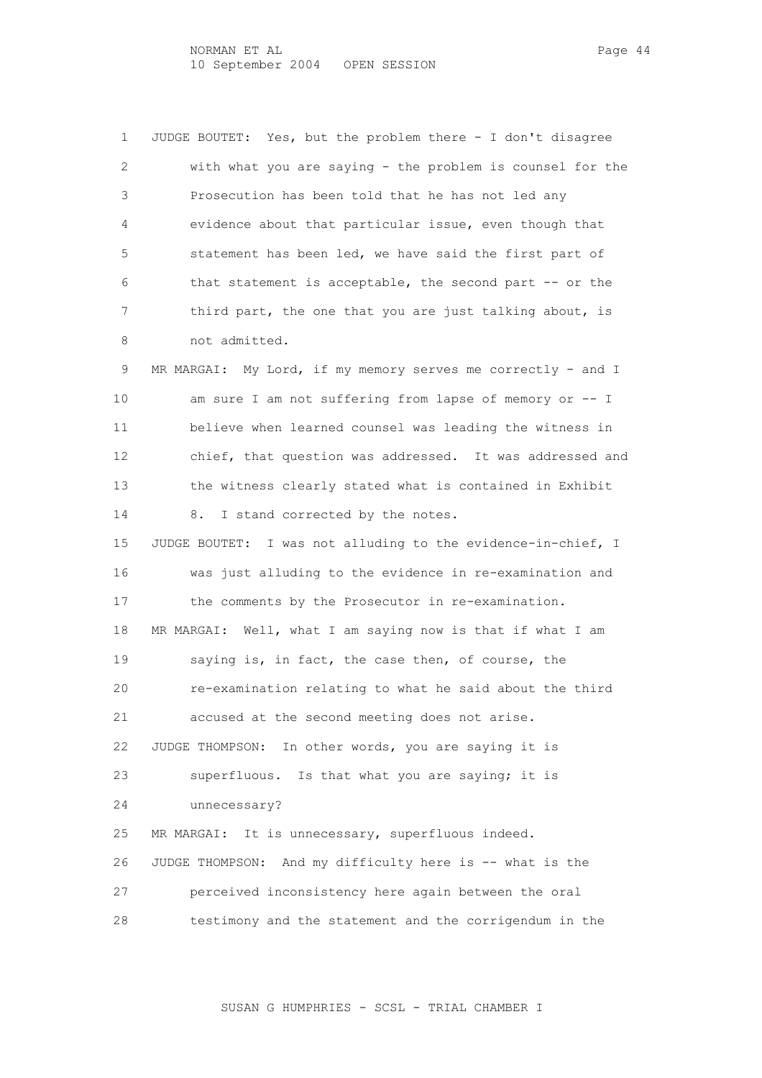1 JUDGE BOUTET: Yes, but the problem there - I don't disagree 2 with what you are saying - the problem is counsel for the 3 Prosecution has been told that he has not led any 4 evidence about that particular issue, even though that 5 statement has been led, we have said the first part of 6 that statement is acceptable, the second part -- or the 7 third part, the one that you are just talking about, is 8 not admitted.

9 MR MARGAI: My Lord, if my memory serves me correctly - and I 10 am sure I am not suffering from lapse of memory or -- I 11 believe when learned counsel was leading the witness in 12 chief, that question was addressed. It was addressed and 13 the witness clearly stated what is contained in Exhibit 14 8. I stand corrected by the notes.

 15 JUDGE BOUTET: I was not alluding to the evidence-in-chief, I 16 was just alluding to the evidence in re-examination and 17 the comments by the Prosecutor in re-examination. 18 MR MARGAI: Well, what I am saying now is that if what I am 19 saying is, in fact, the case then, of course, the 20 re-examination relating to what he said about the third 21 accused at the second meeting does not arise. 22 JUDGE THOMPSON: In other words, you are saying it is 23 superfluous. Is that what you are saying; it is 24 unnecessary? 25 MR MARGAI: It is unnecessary, superfluous indeed. 26 JUDGE THOMPSON: And my difficulty here is -- what is the 27 perceived inconsistency here again between the oral

28 testimony and the statement and the corrigendum in the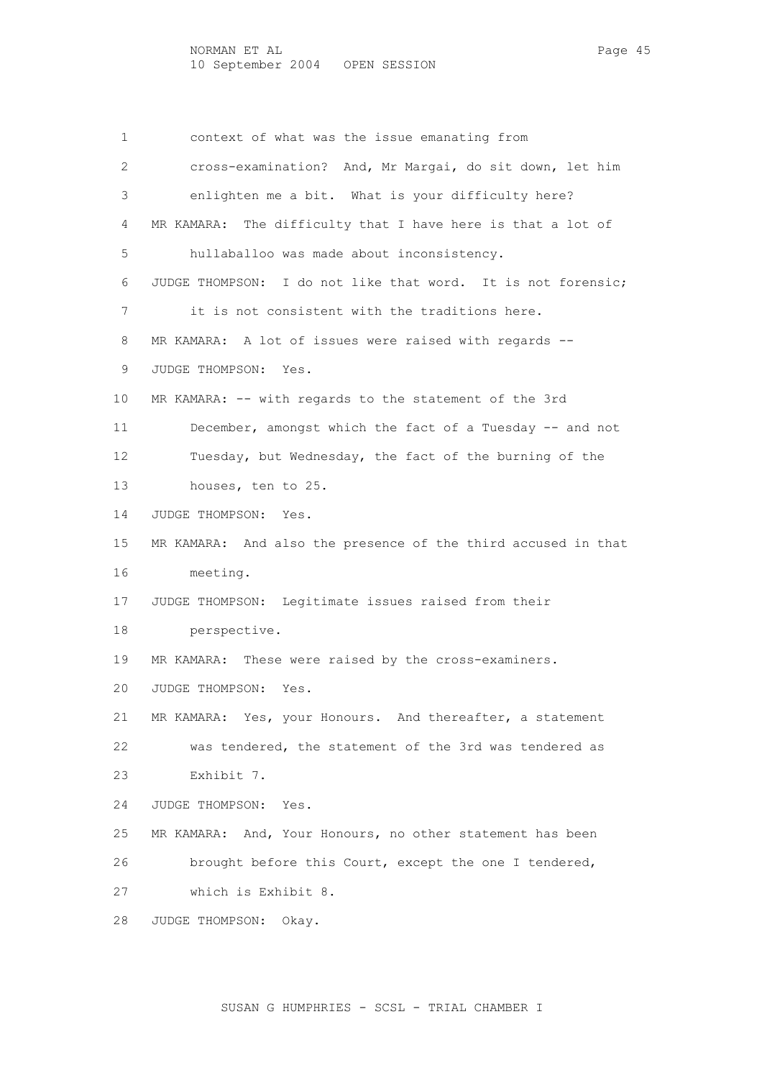1 context of what was the issue emanating from 2 cross-examination? And, Mr Margai, do sit down, let him 3 enlighten me a bit. What is your difficulty here? 4 MR KAMARA: The difficulty that I have here is that a lot of 5 hullaballoo was made about inconsistency. 6 JUDGE THOMPSON: I do not like that word. It is not forensic; 7 it is not consistent with the traditions here. 8 MR KAMARA: A lot of issues were raised with regards -- 9 JUDGE THOMPSON: Yes. 10 MR KAMARA: -- with regards to the statement of the 3rd 11 December, amongst which the fact of a Tuesday -- and not 12 Tuesday, but Wednesday, the fact of the burning of the 13 houses, ten to 25. 14 JUDGE THOMPSON: Yes. 15 MR KAMARA: And also the presence of the third accused in that 16 meeting. 17 JUDGE THOMPSON: Legitimate issues raised from their 18 perspective. 19 MR KAMARA: These were raised by the cross-examiners. 20 JUDGE THOMPSON: Yes. 21 MR KAMARA: Yes, your Honours. And thereafter, a statement 22 was tendered, the statement of the 3rd was tendered as 23 Exhibit 7. 24 JUDGE THOMPSON: Yes. 25 MR KAMARA: And, Your Honours, no other statement has been 26 brought before this Court, except the one I tendered, 27 which is Exhibit 8. 28 JUDGE THOMPSON: Okay.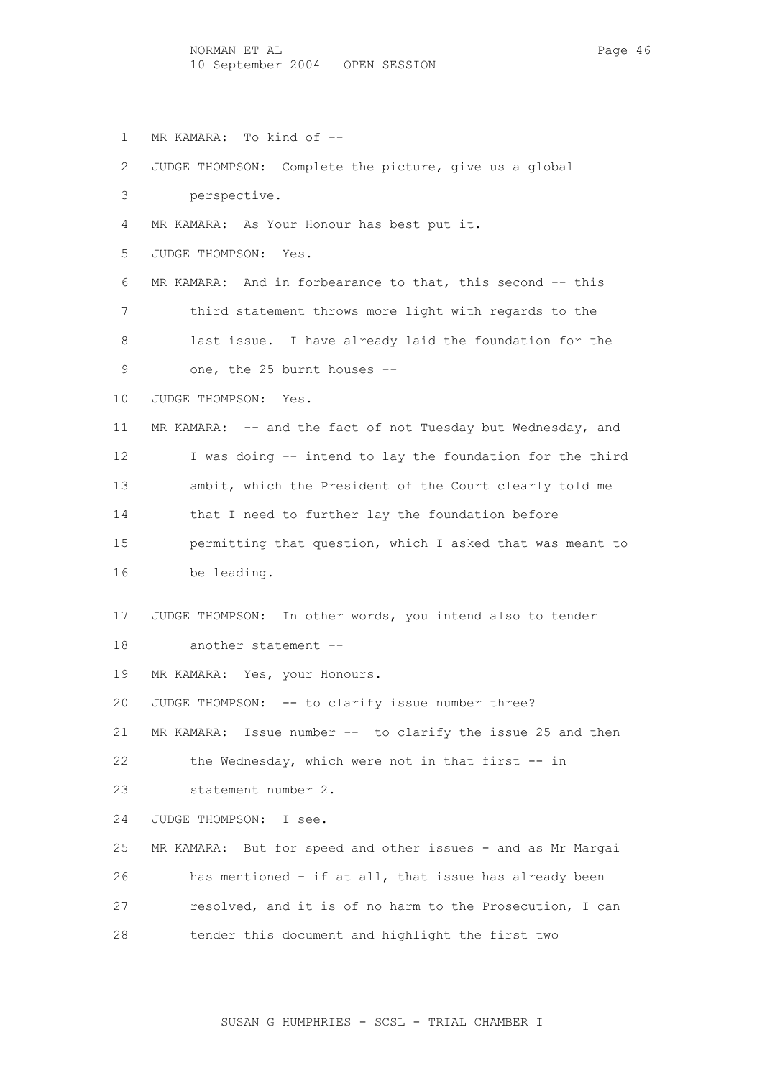- 1 MR KAMARA: To kind of --
- 2 JUDGE THOMPSON: Complete the picture, give us a global
- 3 perspective.
- 4 MR KAMARA: As Your Honour has best put it.
- 5 JUDGE THOMPSON: Yes.
- 6 MR KAMARA: And in forbearance to that, this second -- this 7 third statement throws more light with regards to the 8 last issue. I have already laid the foundation for the 9 one, the 25 burnt houses --
- 10 JUDGE THOMPSON: Yes.
- 11 MR KAMARA: -- and the fact of not Tuesday but Wednesday, and 12 I was doing -- intend to lay the foundation for the third 13 ambit, which the President of the Court clearly told me 14 that I need to further lay the foundation before 15 permitting that question, which I asked that was meant to 16 be leading.
- 17 JUDGE THOMPSON: In other words, you intend also to tender 18 another statement --
- 19 MR KAMARA: Yes, your Honours.
- 20 JUDGE THOMPSON: -- to clarify issue number three?
- 21 MR KAMARA: Issue number -- to clarify the issue 25 and then 22 the Wednesday, which were not in that first -- in
- 23 statement number 2.
- 24 JUDGE THOMPSON: I see.
- 25 MR KAMARA: But for speed and other issues and as Mr Margai 26 has mentioned - if at all, that issue has already been 27 resolved, and it is of no harm to the Prosecution, I can 28 tender this document and highlight the first two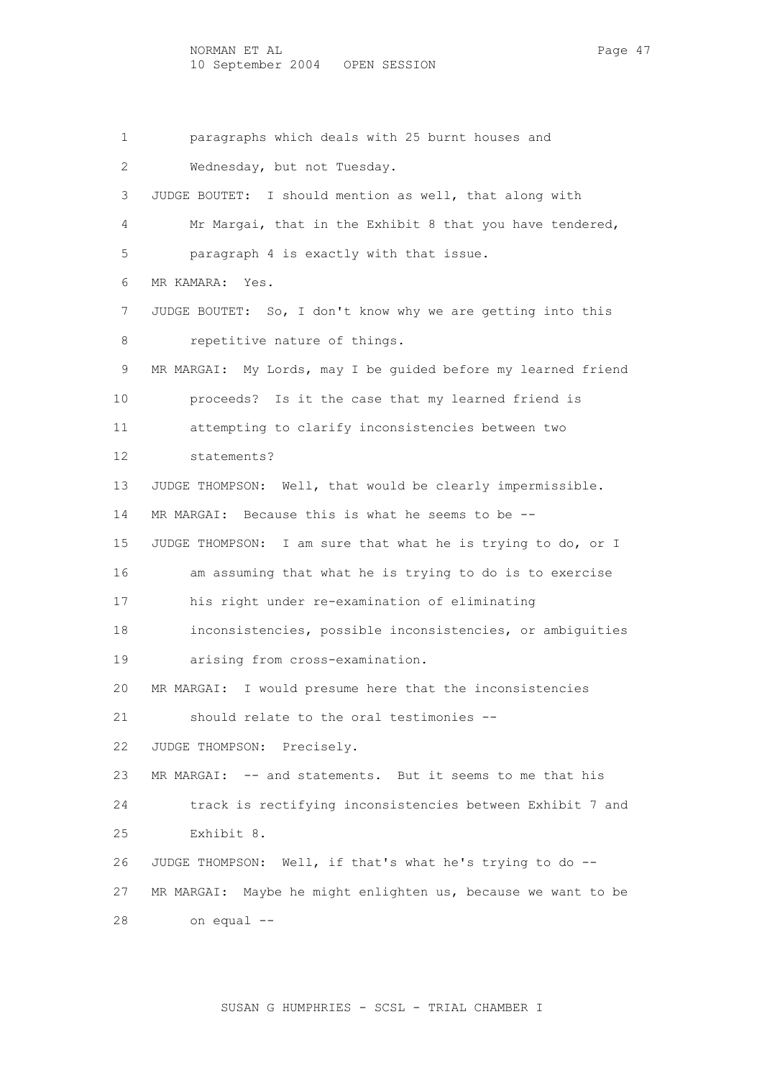1 paragraphs which deals with 25 burnt houses and 2 Wednesday, but not Tuesday. 3 JUDGE BOUTET: I should mention as well, that along with 4 Mr Margai, that in the Exhibit 8 that you have tendered, 5 paragraph 4 is exactly with that issue. 6 MR KAMARA: Yes. 7 JUDGE BOUTET: So, I don't know why we are getting into this 8 repetitive nature of things. 9 MR MARGAI: My Lords, may I be guided before my learned friend 10 proceeds? Is it the case that my learned friend is 11 attempting to clarify inconsistencies between two 12 statements? 13 JUDGE THOMPSON: Well, that would be clearly impermissible. 14 MR MARGAI: Because this is what he seems to be -- 15 JUDGE THOMPSON: I am sure that what he is trying to do, or I 16 am assuming that what he is trying to do is to exercise 17 his right under re-examination of eliminating 18 inconsistencies, possible inconsistencies, or ambiguities 19 arising from cross-examination. 20 MR MARGAI: I would presume here that the inconsistencies 21 should relate to the oral testimonies -- 22 JUDGE THOMPSON: Precisely. 23 MR MARGAI: -- and statements. But it seems to me that his 24 track is rectifying inconsistencies between Exhibit 7 and 25 Exhibit 8. 26 JUDGE THOMPSON: Well, if that's what he's trying to do -- 27 MR MARGAI: Maybe he might enlighten us, because we want to be 28 on equal --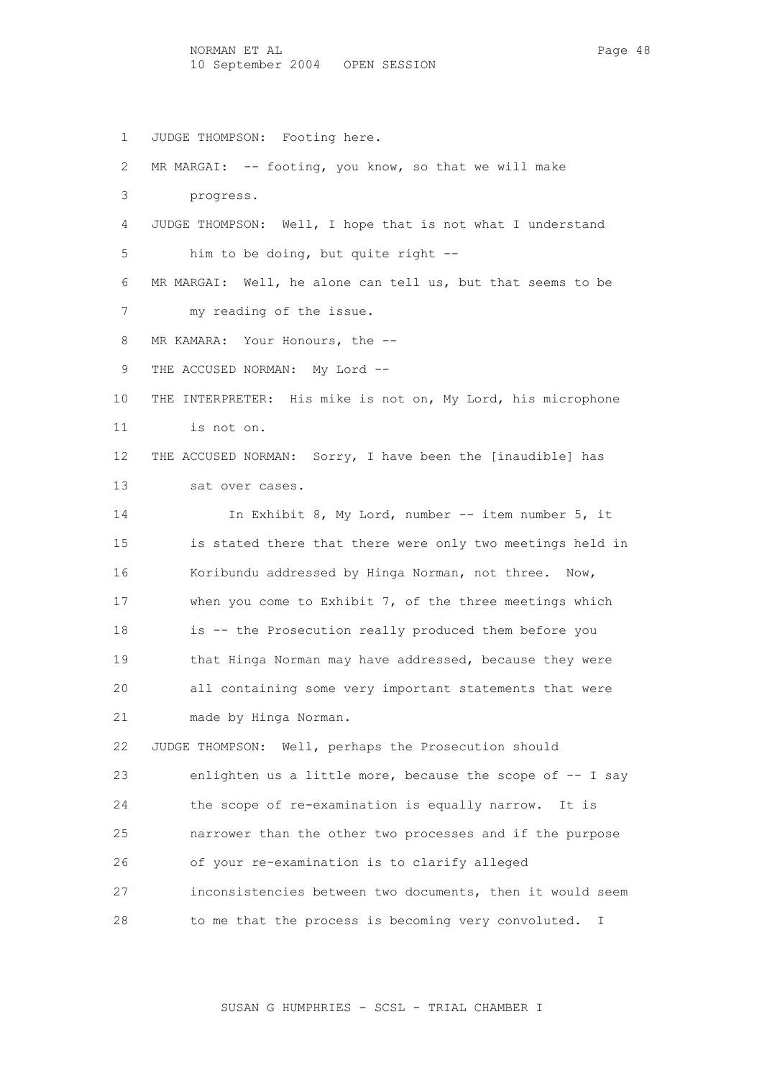1 JUDGE THOMPSON: Footing here. 2 MR MARGAI: -- footing, you know, so that we will make 3 progress. 4 JUDGE THOMPSON: Well, I hope that is not what I understand 5 him to be doing, but quite right -- 6 MR MARGAI: Well, he alone can tell us, but that seems to be 7 my reading of the issue. 8 MR KAMARA: Your Honours, the --9 THE ACCUSED NORMAN: My Lord -- 10 THE INTERPRETER: His mike is not on, My Lord, his microphone 11 is not on. 12 THE ACCUSED NORMAN: Sorry, I have been the [inaudible] has 13 sat over cases. 14 In Exhibit 8, My Lord, number -- item number 5, it 15 is stated there that there were only two meetings held in 16 Koribundu addressed by Hinga Norman, not three. Now, 17 when you come to Exhibit 7, of the three meetings which 18 is -- the Prosecution really produced them before you 19 that Hinga Norman may have addressed, because they were 20 all containing some very important statements that were 21 made by Hinga Norman. 22 JUDGE THOMPSON: Well, perhaps the Prosecution should 23 enlighten us a little more, because the scope of -- I say 24 the scope of re-examination is equally narrow. It is 25 narrower than the other two processes and if the purpose 26 of your re-examination is to clarify alleged 27 inconsistencies between two documents, then it would seem 28 to me that the process is becoming very convoluted. I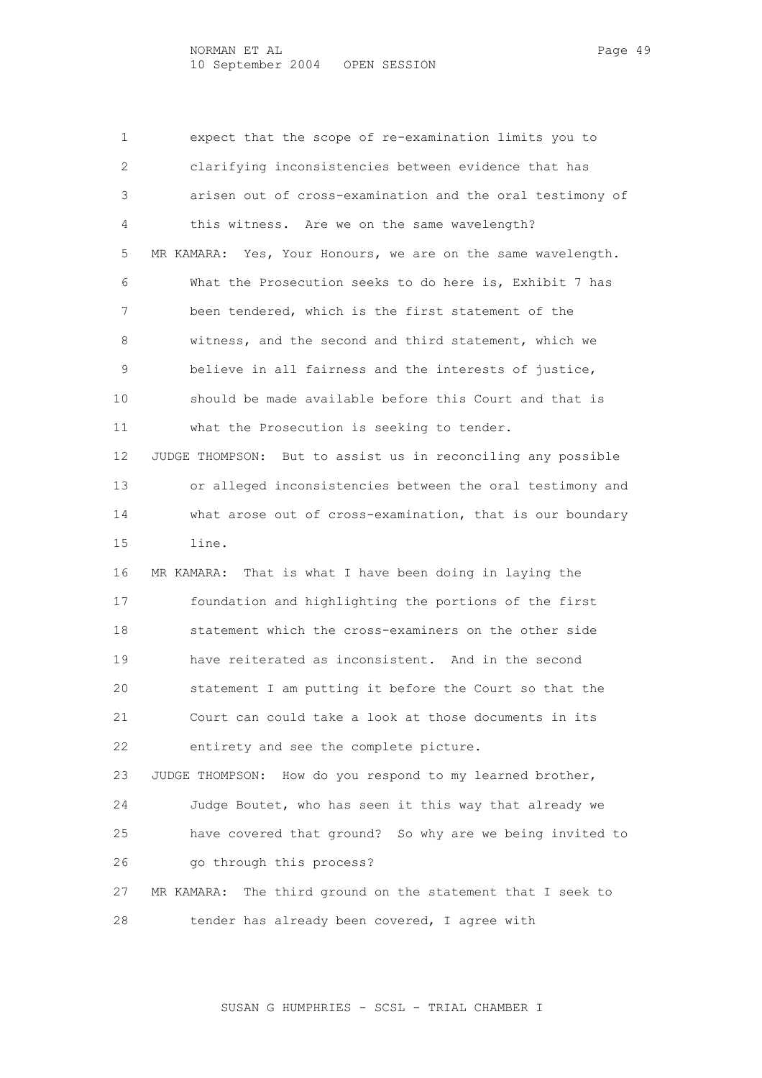1 expect that the scope of re-examination limits you to 2 clarifying inconsistencies between evidence that has 3 arisen out of cross-examination and the oral testimony of 4 this witness. Are we on the same wavelength? 5 MR KAMARA: Yes, Your Honours, we are on the same wavelength. 6 What the Prosecution seeks to do here is, Exhibit 7 has 7 been tendered, which is the first statement of the 8 witness, and the second and third statement, which we 9 believe in all fairness and the interests of justice, 10 should be made available before this Court and that is 11 what the Prosecution is seeking to tender. 12 JUDGE THOMPSON: But to assist us in reconciling any possible 13 or alleged inconsistencies between the oral testimony and 14 what arose out of cross-examination, that is our boundary 15 line. 16 MR KAMARA: That is what I have been doing in laying the 17 foundation and highlighting the portions of the first 18 statement which the cross-examiners on the other side 19 have reiterated as inconsistent. And in the second 20 statement I am putting it before the Court so that the 21 Court can could take a look at those documents in its 22 entirety and see the complete picture. 23 JUDGE THOMPSON: How do you respond to my learned brother, 24 Judge Boutet, who has seen it this way that already we 25 have covered that ground? So why are we being invited to 26 go through this process? 27 MR KAMARA: The third ground on the statement that I seek to 28 tender has already been covered, I agree with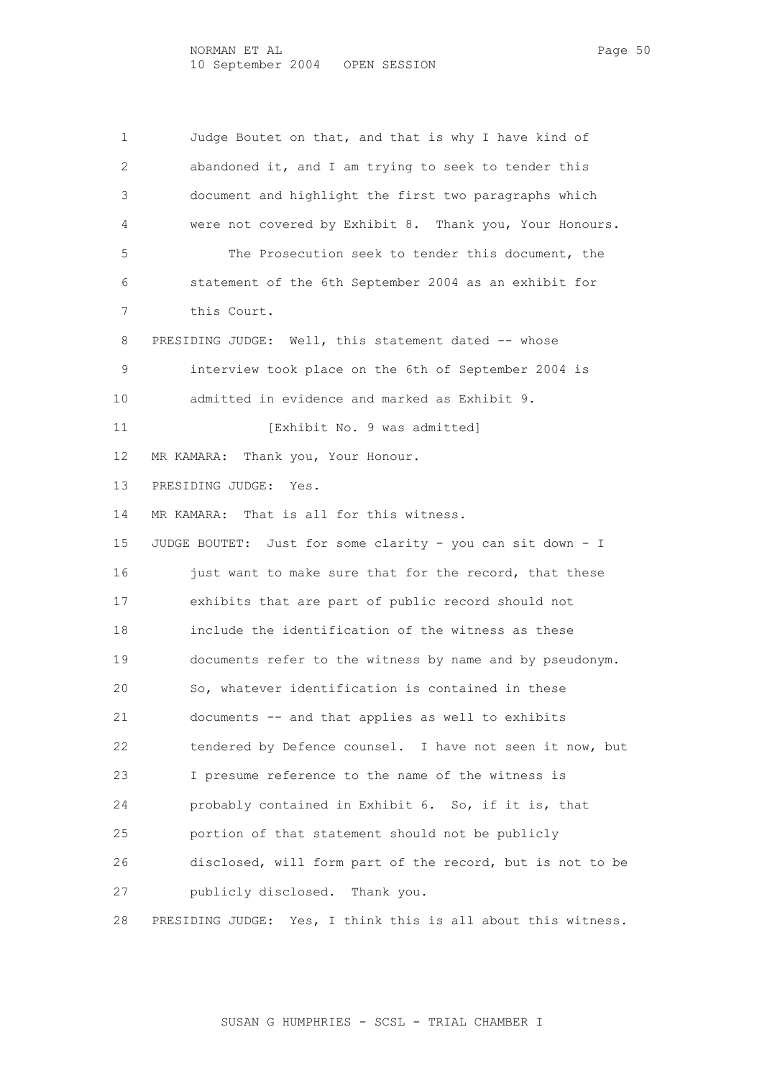1 Judge Boutet on that, and that is why I have kind of 2 abandoned it, and I am trying to seek to tender this 3 document and highlight the first two paragraphs which 4 were not covered by Exhibit 8. Thank you, Your Honours. 5 The Prosecution seek to tender this document, the 6 statement of the 6th September 2004 as an exhibit for 7 this Court. 8 PRESIDING JUDGE: Well, this statement dated -- whose 9 interview took place on the 6th of September 2004 is 10 admitted in evidence and marked as Exhibit 9. 11 [Exhibit No. 9 was admitted] 12 MR KAMARA: Thank you, Your Honour. 13 PRESIDING JUDGE: Yes. 14 MR KAMARA: That is all for this witness. 15 JUDGE BOUTET: Just for some clarity - you can sit down - I 16 just want to make sure that for the record, that these 17 exhibits that are part of public record should not 18 include the identification of the witness as these 19 documents refer to the witness by name and by pseudonym. 20 So, whatever identification is contained in these 21 documents -- and that applies as well to exhibits 22 tendered by Defence counsel. I have not seen it now, but 23 I presume reference to the name of the witness is 24 probably contained in Exhibit 6. So, if it is, that 25 portion of that statement should not be publicly 26 disclosed, will form part of the record, but is not to be 27 publicly disclosed. Thank you. 28 PRESIDING JUDGE: Yes, I think this is all about this witness.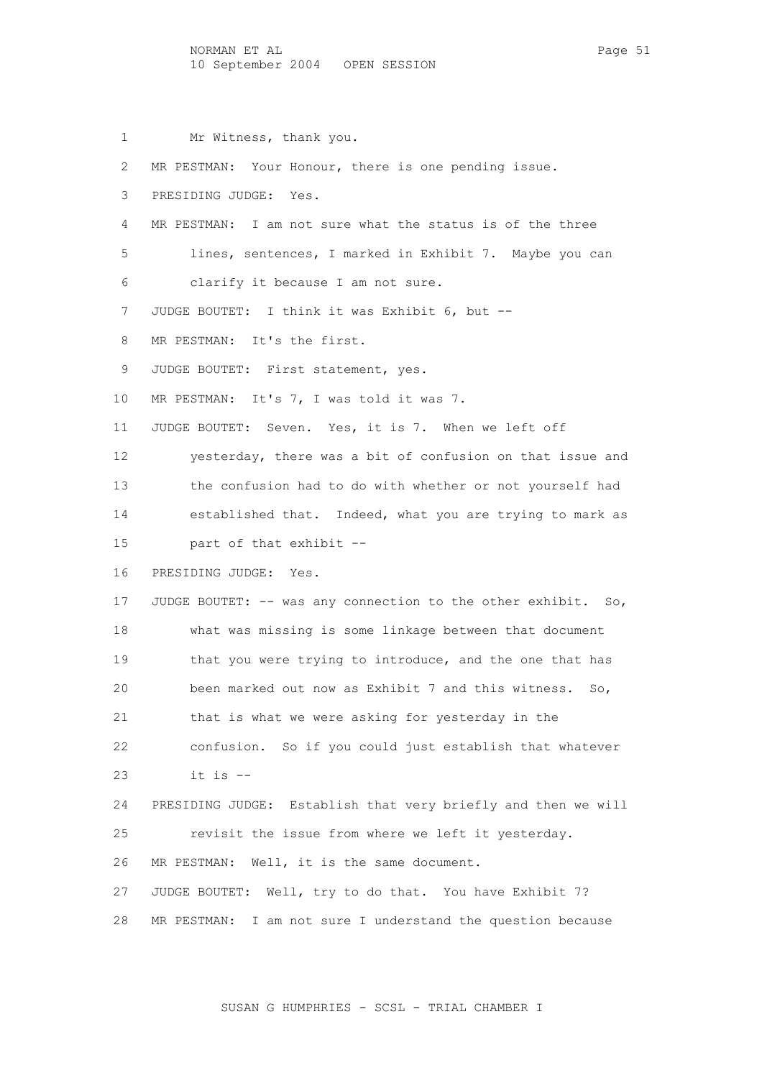1 Mr Witness, thank you.

 2 MR PESTMAN: Your Honour, there is one pending issue. 3 PRESIDING JUDGE: Yes. 4 MR PESTMAN: I am not sure what the status is of the three 5 lines, sentences, I marked in Exhibit 7. Maybe you can 6 clarify it because I am not sure. 7 JUDGE BOUTET: I think it was Exhibit 6, but -- 8 MR PESTMAN: It's the first. 9 JUDGE BOUTET: First statement, yes. 10 MR PESTMAN: It's 7, I was told it was 7. 11 JUDGE BOUTET: Seven. Yes, it is 7. When we left off 12 yesterday, there was a bit of confusion on that issue and 13 the confusion had to do with whether or not yourself had 14 established that. Indeed, what you are trying to mark as 15 part of that exhibit -- 16 PRESIDING JUDGE: Yes. 17 JUDGE BOUTET: -- was any connection to the other exhibit. So, 18 what was missing is some linkage between that document 19 that you were trying to introduce, and the one that has 20 been marked out now as Exhibit 7 and this witness. So, 21 that is what we were asking for yesterday in the 22 confusion. So if you could just establish that whatever 23 it is -- 24 PRESIDING JUDGE: Establish that very briefly and then we will 25 revisit the issue from where we left it yesterday. 26 MR PESTMAN: Well, it is the same document. 27 JUDGE BOUTET: Well, try to do that. You have Exhibit 7? 28 MR PESTMAN: I am not sure I understand the question because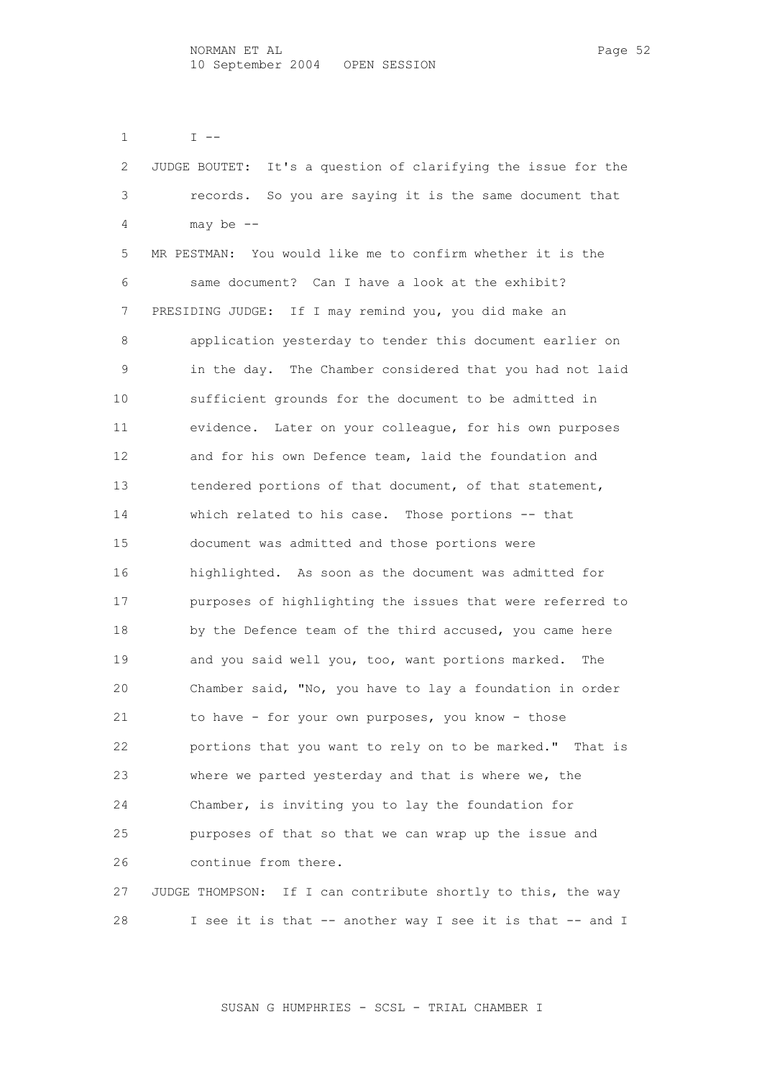1  $I -$ 

| 2  | It's a question of clarifying the issue for the<br>JUDGE BOUTET: |
|----|------------------------------------------------------------------|
| 3  | records. So you are saying it is the same document that          |
| 4  | may be $--$                                                      |
| 5  | MR PESTMAN: You would like me to confirm whether it is the       |
| 6  | same document? Can I have a look at the exhibit?                 |
| 7  | PRESIDING JUDGE: If I may remind you, you did make an            |
| 8  | application yesterday to tender this document earlier on         |
| 9  | in the day. The Chamber considered that you had not laid         |
| 10 | sufficient grounds for the document to be admitted in            |
| 11 | evidence. Later on your colleague, for his own purposes          |
| 12 | and for his own Defence team, laid the foundation and            |
| 13 | tendered portions of that document, of that statement,           |
| 14 | which related to his case. Those portions -- that                |
| 15 | document was admitted and those portions were                    |
| 16 | highlighted. As soon as the document was admitted for            |
| 17 | purposes of highlighting the issues that were referred to        |
| 18 | by the Defence team of the third accused, you came here          |
| 19 | and you said well you, too, want portions marked.<br>The         |
| 20 | Chamber said, "No, you have to lay a foundation in order         |
| 21 | to have - for your own purposes, you know - those                |
| 22 | portions that you want to rely on to be marked." That is         |
| 23 | where we parted yesterday and that is where we, the              |
| 24 | Chamber, is inviting you to lay the foundation for               |
| 25 | purposes of that so that we can wrap up the issue and            |
| 26 | continue from there.                                             |
| 27 | JUDGE THOMPSON: If I can contribute shortly to this, the way     |
| 28 | I see it is that -- another way I see it is that -- and I        |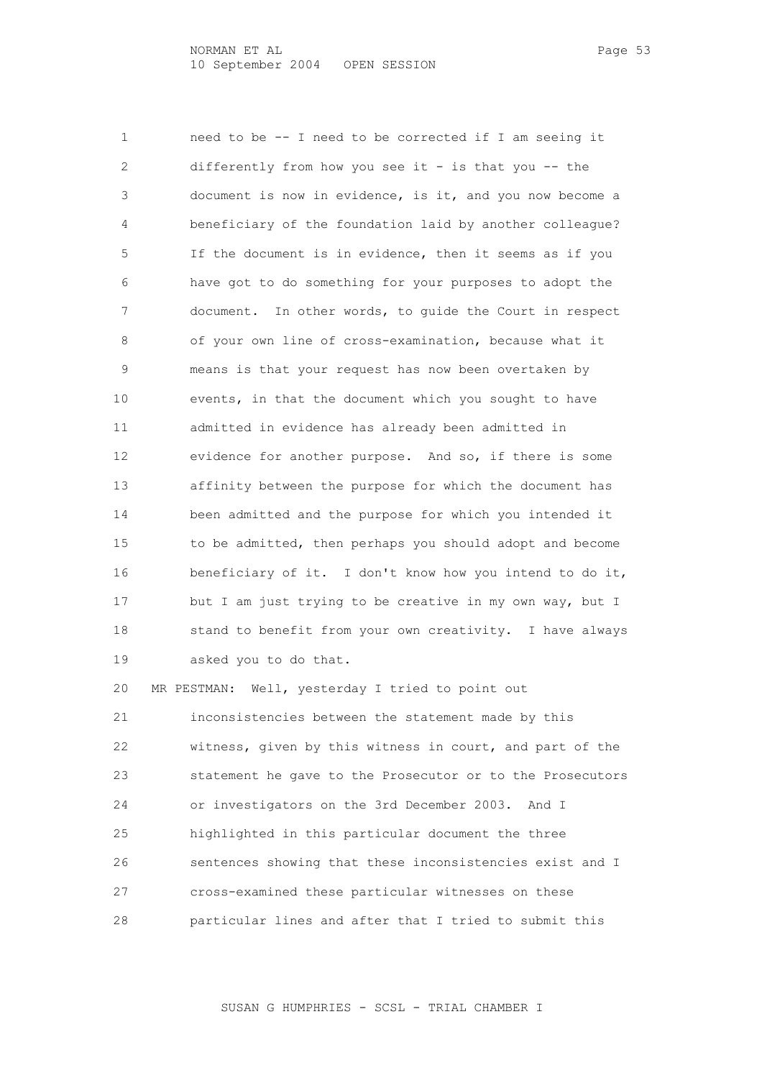1 need to be -- I need to be corrected if I am seeing it 2 differently from how you see it - is that you -- the 3 document is now in evidence, is it, and you now become a 4 beneficiary of the foundation laid by another colleague? 5 If the document is in evidence, then it seems as if you 6 have got to do something for your purposes to adopt the 7 document. In other words, to guide the Court in respect 8 of your own line of cross-examination, because what it 9 means is that your request has now been overtaken by 10 events, in that the document which you sought to have 11 admitted in evidence has already been admitted in 12 evidence for another purpose. And so, if there is some 13 affinity between the purpose for which the document has 14 been admitted and the purpose for which you intended it 15 to be admitted, then perhaps you should adopt and become 16 beneficiary of it. I don't know how you intend to do it, 17 but I am just trying to be creative in my own way, but I 18 stand to benefit from your own creativity. I have always 19 asked you to do that.

 20 MR PESTMAN: Well, yesterday I tried to point out 21 inconsistencies between the statement made by this 22 witness, given by this witness in court, and part of the 23 statement he gave to the Prosecutor or to the Prosecutors 24 or investigators on the 3rd December 2003. And I 25 highlighted in this particular document the three 26 sentences showing that these inconsistencies exist and I 27 cross-examined these particular witnesses on these 28 particular lines and after that I tried to submit this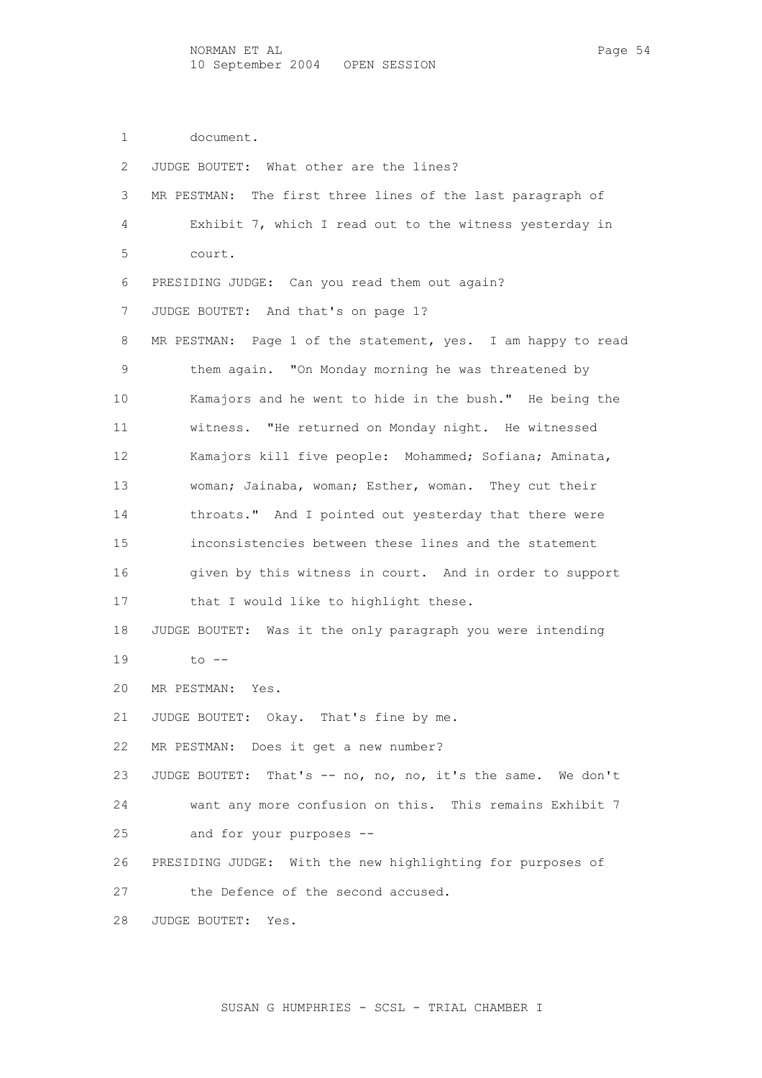1 document.

| 2               | JUDGE BOUTET: What other are the lines?                        |
|-----------------|----------------------------------------------------------------|
| 3               | MR PESTMAN: The first three lines of the last paragraph of     |
| 4               | Exhibit 7, which I read out to the witness yesterday in        |
| 5               | court.                                                         |
| 6               | PRESIDING JUDGE: Can you read them out again?                  |
| 7               | JUDGE BOUTET: And that's on page 1?                            |
| 8               | MR PESTMAN: Page 1 of the statement, yes. I am happy to read   |
| 9               | them again. "On Monday morning he was threatened by            |
| 10              | Kamajors and he went to hide in the bush." He being the        |
| 11              | witness. "He returned on Monday night. He witnessed            |
| 12 <sup>°</sup> | Kamajors kill five people: Mohammed; Sofiana; Aminata,         |
| 13              | woman; Jainaba, woman; Esther, woman. They cut their           |
| 14              | throats." And I pointed out yesterday that there were          |
| 15              | inconsistencies between these lines and the statement          |
| 16              | given by this witness in court. And in order to support        |
| 17              | that I would like to highlight these.                          |
| 18              | JUDGE BOUTET: Was it the only paragraph you were intending     |
| 19              | $to$ $--$                                                      |
| 20              | MR PESTMAN: Yes.                                               |
| 21              | JUDGE BOUTET: Okay. That's fine by me.                         |
| 22              | MR PESTMAN: Does it get a new number?                          |
| 23              | That's -- no, no, no, it's the same. We don't<br>JUDGE BOUTET: |
| 24              | want any more confusion on this. This remains Exhibit 7        |
| 25              | and for your purposes --                                       |
| 26              | PRESIDING JUDGE: With the new highlighting for purposes of     |
| 27              | the Defence of the second accused.                             |
| 28              | JUDGE BOUTET:<br>Yes.                                          |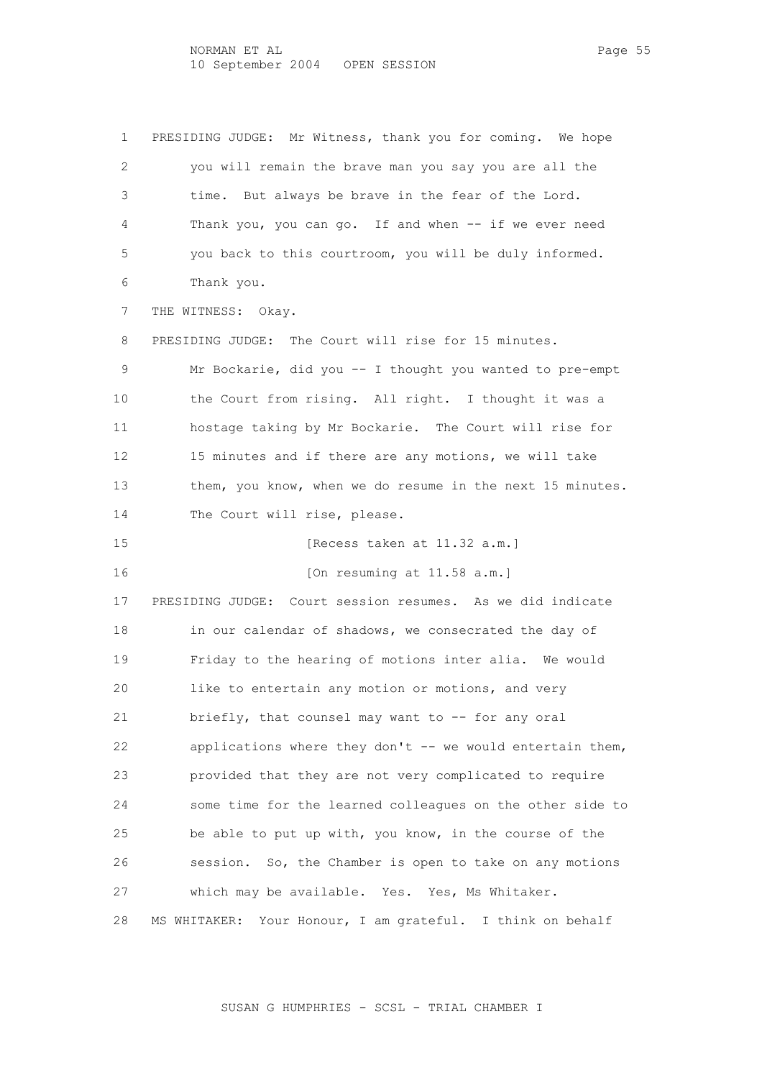1 PRESIDING JUDGE: Mr Witness, thank you for coming. We hope 2 you will remain the brave man you say you are all the 3 time. But always be brave in the fear of the Lord. 4 Thank you, you can go. If and when -- if we ever need 5 you back to this courtroom, you will be duly informed. 6 Thank you. 7 THE WITNESS: Okay. 8 PRESIDING JUDGE: The Court will rise for 15 minutes. 9 Mr Bockarie, did you -- I thought you wanted to pre-empt 10 the Court from rising. All right. I thought it was a 11 hostage taking by Mr Bockarie. The Court will rise for 12 15 minutes and if there are any motions, we will take 13 them, you know, when we do resume in the next 15 minutes. 14 The Court will rise, please. 15 [Recess taken at 11.32 a.m.] 16 [On resuming at 11.58 a.m.] 17 PRESIDING JUDGE: Court session resumes. As we did indicate 18 in our calendar of shadows, we consecrated the day of 19 Friday to the hearing of motions inter alia. We would 20 like to entertain any motion or motions, and very 21 briefly, that counsel may want to -- for any oral 22 applications where they don't -- we would entertain them, 23 provided that they are not very complicated to require 24 some time for the learned colleagues on the other side to 25 be able to put up with, you know, in the course of the 26 session. So, the Chamber is open to take on any motions 27 which may be available. Yes. Yes, Ms Whitaker. 28 MS WHITAKER: Your Honour, I am grateful. I think on behalf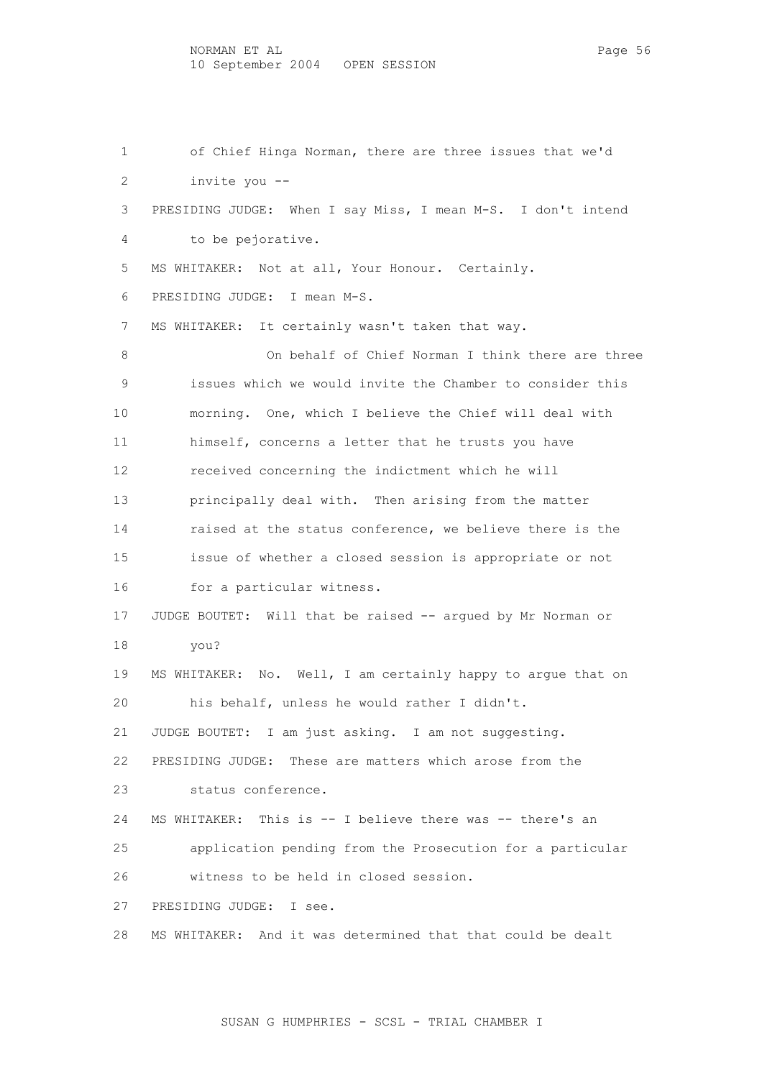1 of Chief Hinga Norman, there are three issues that we'd 2 invite you -- 3 PRESIDING JUDGE: When I say Miss, I mean M-S. I don't intend 4 to be pejorative. 5 MS WHITAKER: Not at all, Your Honour. Certainly. 6 PRESIDING JUDGE: I mean M-S. 7 MS WHITAKER: It certainly wasn't taken that way. 8 On behalf of Chief Norman I think there are three 9 issues which we would invite the Chamber to consider this 10 morning. One, which I believe the Chief will deal with 11 himself, concerns a letter that he trusts you have 12 received concerning the indictment which he will 13 principally deal with. Then arising from the matter 14 raised at the status conference, we believe there is the 15 issue of whether a closed session is appropriate or not 16 for a particular witness. 17 JUDGE BOUTET: Will that be raised -- argued by Mr Norman or 18 you? 19 MS WHITAKER: No. Well, I am certainly happy to argue that on 20 his behalf, unless he would rather I didn't. 21 JUDGE BOUTET: I am just asking. I am not suggesting. 22 PRESIDING JUDGE: These are matters which arose from the 23 status conference. 24 MS WHITAKER: This is -- I believe there was -- there's an 25 application pending from the Prosecution for a particular 26 witness to be held in closed session. 27 PRESIDING JUDGE: I see. 28 MS WHITAKER: And it was determined that that could be dealt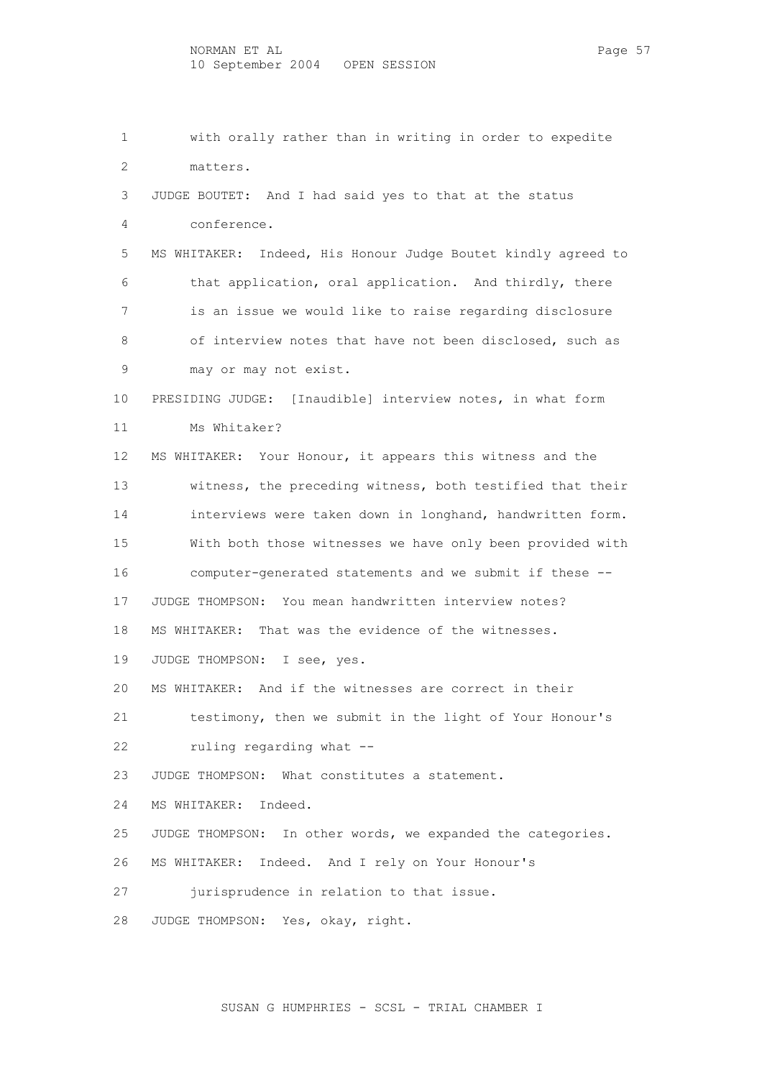1 with orally rather than in writing in order to expedite 2 matters. 3 JUDGE BOUTET: And I had said yes to that at the status 4 conference. 5 MS WHITAKER: Indeed, His Honour Judge Boutet kindly agreed to 6 that application, oral application. And thirdly, there 7 is an issue we would like to raise regarding disclosure 8 of interview notes that have not been disclosed, such as 9 may or may not exist. 10 PRESIDING JUDGE: [Inaudible] interview notes, in what form 11 Ms Whitaker? 12 MS WHITAKER: Your Honour, it appears this witness and the 13 witness, the preceding witness, both testified that their 14 interviews were taken down in longhand, handwritten form. 15 With both those witnesses we have only been provided with 16 computer-generated statements and we submit if these -- 17 JUDGE THOMPSON: You mean handwritten interview notes? 18 MS WHITAKER: That was the evidence of the witnesses. 19 JUDGE THOMPSON: I see, yes. 20 MS WHITAKER: And if the witnesses are correct in their 21 testimony, then we submit in the light of Your Honour's 22 ruling regarding what -- 23 JUDGE THOMPSON: What constitutes a statement. 24 MS WHITAKER: Indeed. 25 JUDGE THOMPSON: In other words, we expanded the categories. 26 MS WHITAKER: Indeed. And I rely on Your Honour's 27 jurisprudence in relation to that issue. 28 JUDGE THOMPSON: Yes, okay, right.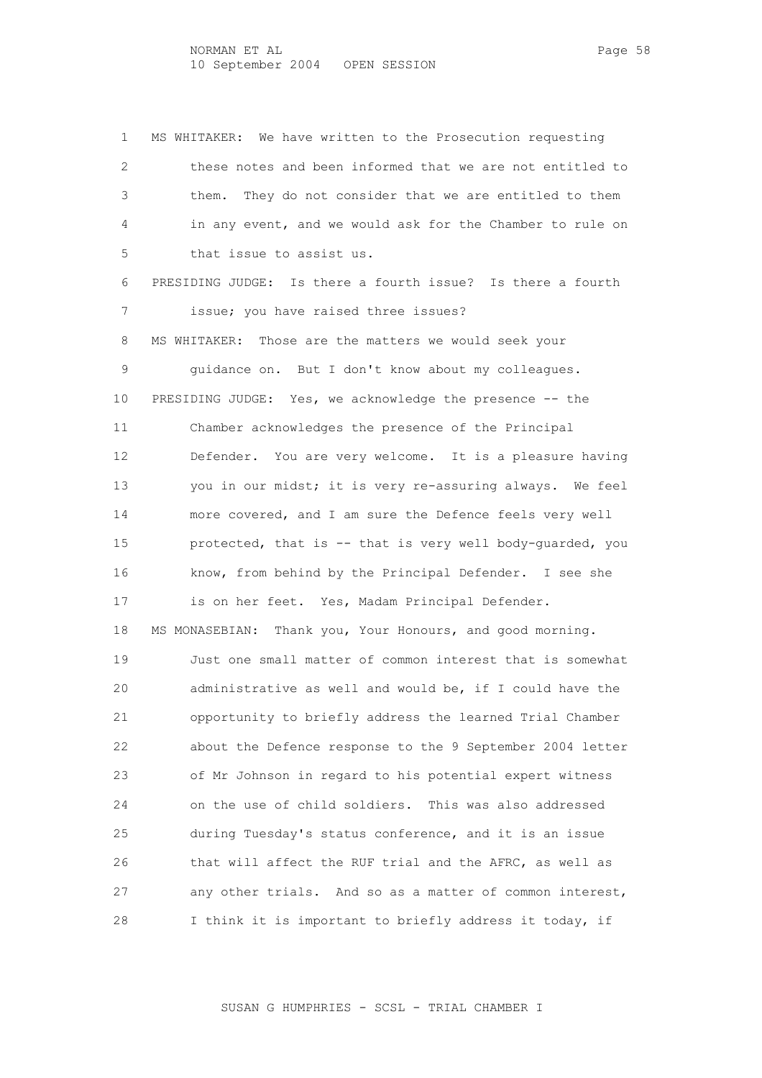1 MS WHITAKER: We have written to the Prosecution requesting 2 these notes and been informed that we are not entitled to 3 them. They do not consider that we are entitled to them 4 in any event, and we would ask for the Chamber to rule on 5 that issue to assist us. 6 PRESIDING JUDGE: Is there a fourth issue? Is there a fourth 7 issue; you have raised three issues? 8 MS WHITAKER: Those are the matters we would seek your 9 guidance on. But I don't know about my colleagues. 10 PRESIDING JUDGE: Yes, we acknowledge the presence -- the 11 Chamber acknowledges the presence of the Principal 12 Defender. You are very welcome. It is a pleasure having 13 you in our midst; it is very re-assuring always. We feel 14 more covered, and I am sure the Defence feels very well 15 protected, that is -- that is very well body-guarded, you 16 know, from behind by the Principal Defender. I see she 17 is on her feet. Yes, Madam Principal Defender. 18 MS MONASEBIAN: Thank you, Your Honours, and good morning. 19 Just one small matter of common interest that is somewhat 20 administrative as well and would be, if I could have the 21 opportunity to briefly address the learned Trial Chamber 22 about the Defence response to the 9 September 2004 letter 23 of Mr Johnson in regard to his potential expert witness 24 on the use of child soldiers. This was also addressed 25 during Tuesday's status conference, and it is an issue 26 that will affect the RUF trial and the AFRC, as well as 27 any other trials. And so as a matter of common interest, 28 I think it is important to briefly address it today, if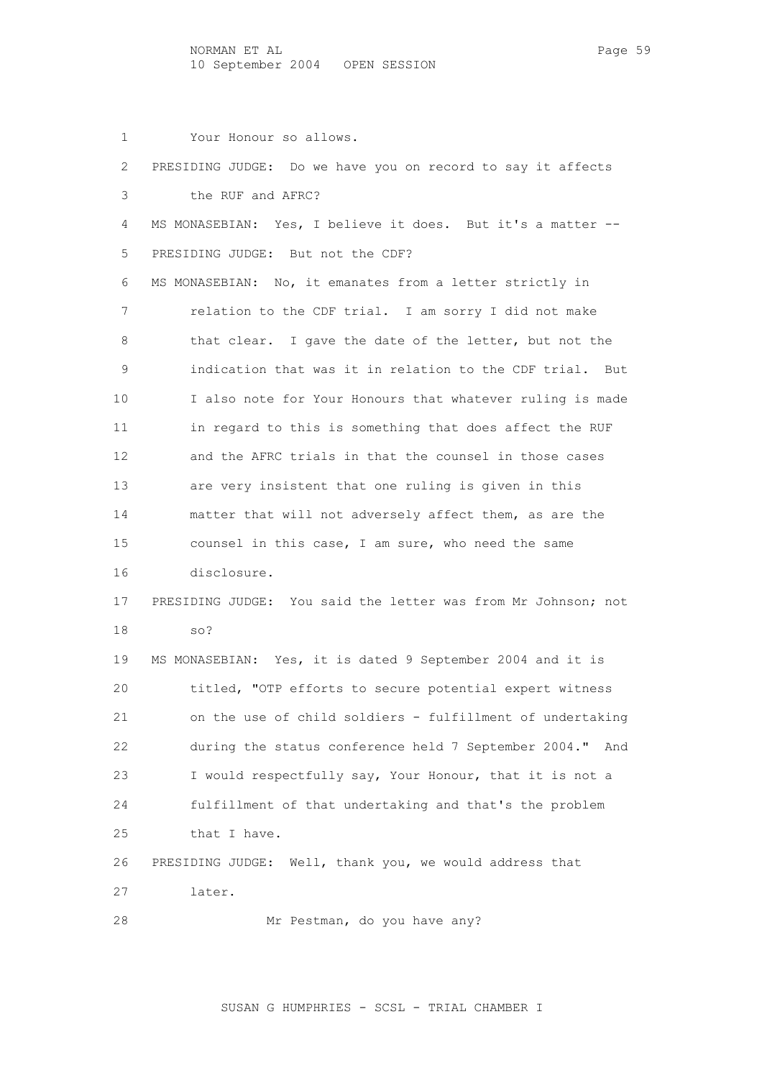1 Your Honour so allows. 2 PRESIDING JUDGE: Do we have you on record to say it affects 3 the RUF and AFRC? 4 MS MONASEBIAN: Yes, I believe it does. But it's a matter -- 5 PRESIDING JUDGE: But not the CDF? 6 MS MONASEBIAN: No, it emanates from a letter strictly in 7 relation to the CDF trial. I am sorry I did not make 8 that clear. I gave the date of the letter, but not the 9 indication that was it in relation to the CDF trial. But 10 I also note for Your Honours that whatever ruling is made 11 in regard to this is something that does affect the RUF 12 and the AFRC trials in that the counsel in those cases 13 are very insistent that one ruling is given in this 14 matter that will not adversely affect them, as are the 15 counsel in this case, I am sure, who need the same 16 disclosure. 17 PRESIDING JUDGE: You said the letter was from Mr Johnson; not 18 so? 19 MS MONASEBIAN: Yes, it is dated 9 September 2004 and it is 20 titled, "OTP efforts to secure potential expert witness 21 on the use of child soldiers - fulfillment of undertaking 22 during the status conference held 7 September 2004." And 23 I would respectfully say, Your Honour, that it is not a 24 fulfillment of that undertaking and that's the problem 25 that I have. 26 PRESIDING JUDGE: Well, thank you, we would address that 27 later. 28 Mr Pestman, do you have any?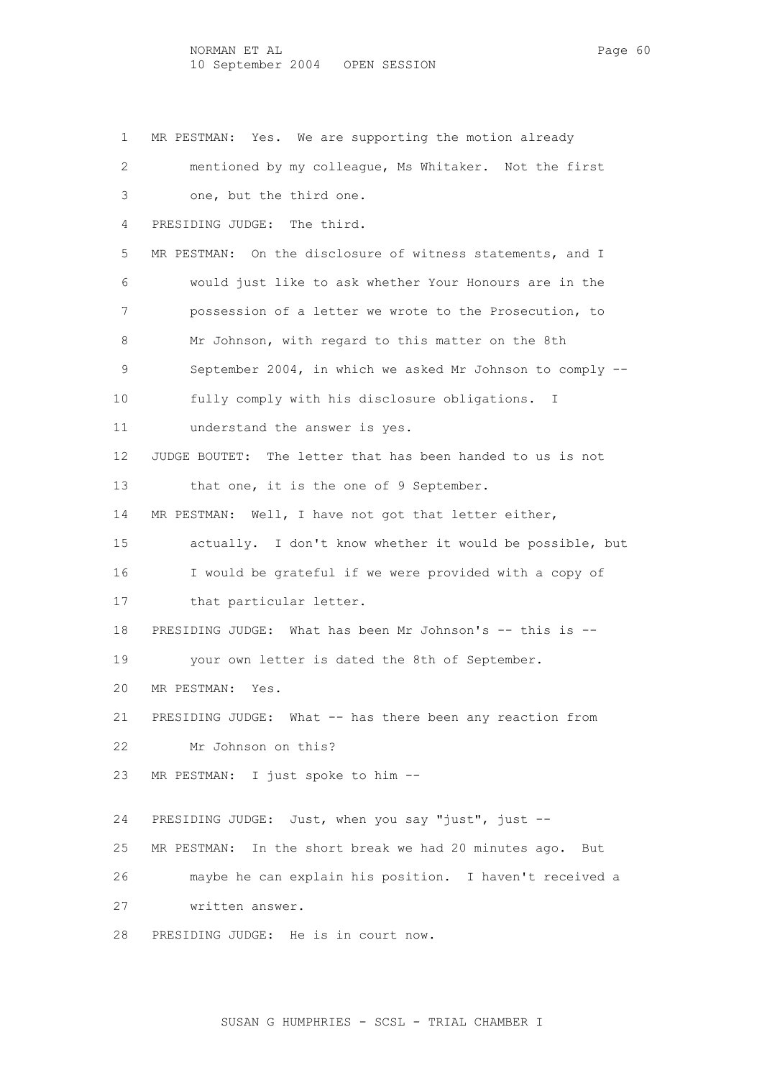1 MR PESTMAN: Yes. We are supporting the motion already 2 mentioned by my colleague, Ms Whitaker. Not the first 3 one, but the third one. 4 PRESIDING JUDGE: The third. 5 MR PESTMAN: On the disclosure of witness statements, and I 6 would just like to ask whether Your Honours are in the 7 possession of a letter we wrote to the Prosecution, to 8 Mr Johnson, with regard to this matter on the 8th 9 September 2004, in which we asked Mr Johnson to comply -- 10 fully comply with his disclosure obligations. I 11 understand the answer is yes. 12 JUDGE BOUTET: The letter that has been handed to us is not 13 that one, it is the one of 9 September. 14 MR PESTMAN: Well, I have not got that letter either, 15 actually. I don't know whether it would be possible, but 16 I would be grateful if we were provided with a copy of 17 that particular letter. 18 PRESIDING JUDGE: What has been Mr Johnson's -- this is -- 19 your own letter is dated the 8th of September. 20 MR PESTMAN: Yes. 21 PRESIDING JUDGE: What -- has there been any reaction from 22 Mr Johnson on this? 23 MR PESTMAN: I just spoke to him -- 24 PRESIDING JUDGE: Just, when you say "just", just -- 25 MR PESTMAN: In the short break we had 20 minutes ago. But 26 maybe he can explain his position. I haven't received a 27 written answer. 28 PRESIDING JUDGE: He is in court now.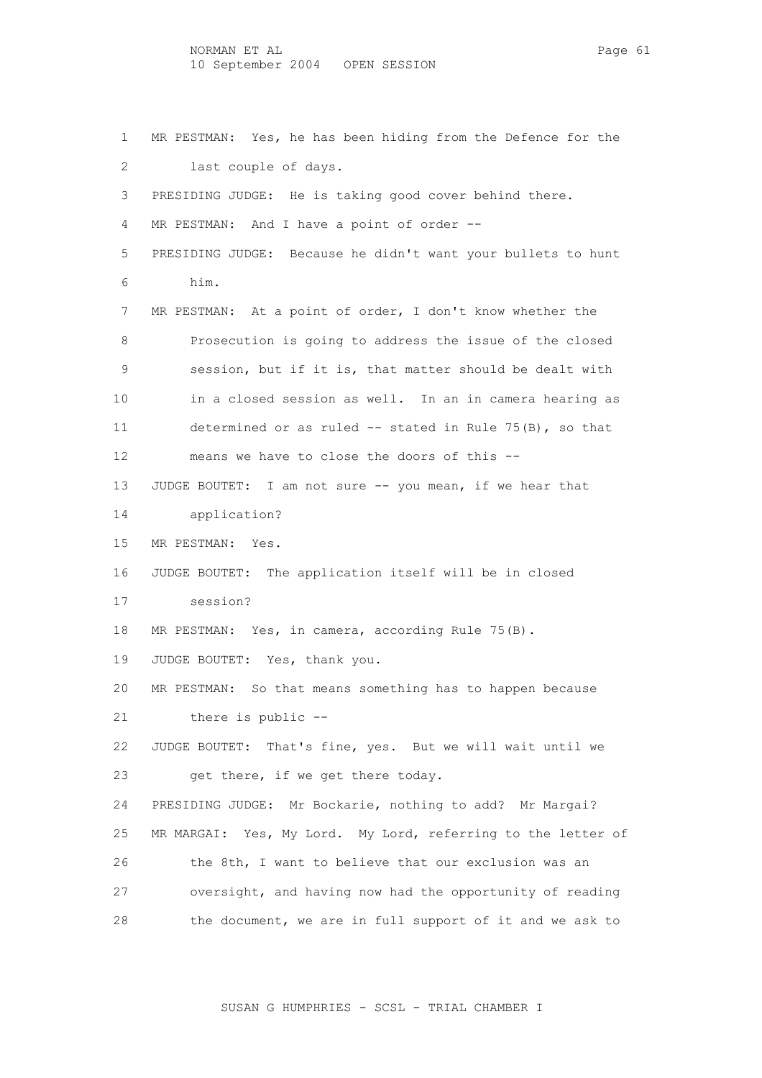1 MR PESTMAN: Yes, he has been hiding from the Defence for the 2 last couple of days. 3 PRESIDING JUDGE: He is taking good cover behind there. 4 MR PESTMAN: And I have a point of order -- 5 PRESIDING JUDGE: Because he didn't want your bullets to hunt 6 him. 7 MR PESTMAN: At a point of order, I don't know whether the 8 Prosecution is going to address the issue of the closed 9 session, but if it is, that matter should be dealt with 10 in a closed session as well. In an in camera hearing as 11 determined or as ruled -- stated in Rule 75(B), so that 12 means we have to close the doors of this -- 13 JUDGE BOUTET: I am not sure -- you mean, if we hear that 14 application? 15 MR PESTMAN: Yes. 16 JUDGE BOUTET: The application itself will be in closed 17 session? 18 MR PESTMAN: Yes, in camera, according Rule 75(B). 19 JUDGE BOUTET: Yes, thank you. 20 MR PESTMAN: So that means something has to happen because 21 there is public -- 22 JUDGE BOUTET: That's fine, yes. But we will wait until we 23 get there, if we get there today. 24 PRESIDING JUDGE: Mr Bockarie, nothing to add? Mr Margai? 25 MR MARGAI: Yes, My Lord. My Lord, referring to the letter of 26 the 8th, I want to believe that our exclusion was an 27 oversight, and having now had the opportunity of reading 28 the document, we are in full support of it and we ask to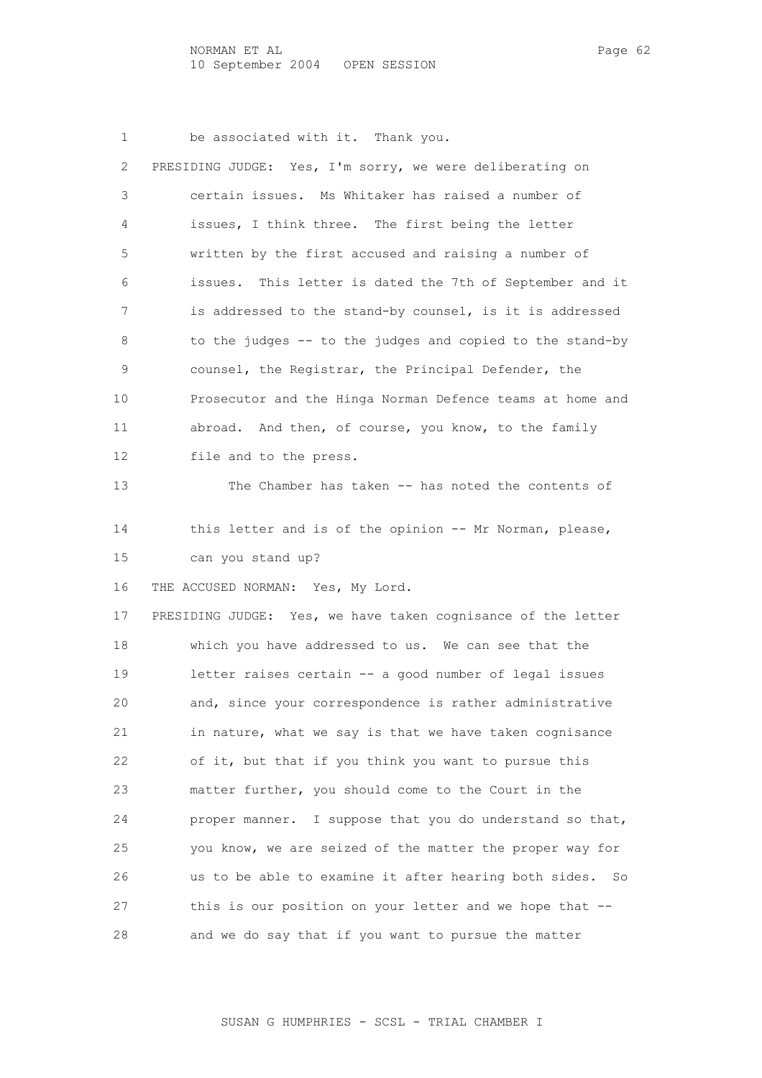1 be associated with it. Thank you.

| 2  | PRESIDING JUDGE: Yes, I'm sorry, we were deliberating on     |
|----|--------------------------------------------------------------|
| 3  | certain issues. Ms Whitaker has raised a number of           |
| 4  | issues, I think three. The first being the letter            |
| 5  | written by the first accused and raising a number of         |
| 6  | This letter is dated the 7th of September and it<br>issues.  |
| 7  | is addressed to the stand-by counsel, is it is addressed     |
| 8  | to the judges -- to the judges and copied to the stand-by    |
| 9  | counsel, the Registrar, the Principal Defender, the          |
| 10 | Prosecutor and the Hinga Norman Defence teams at home and    |
| 11 | abroad. And then, of course, you know, to the family         |
| 12 | file and to the press.                                       |
| 13 | The Chamber has taken -- has noted the contents of           |
| 14 | this letter and is of the opinion -- Mr Norman, please,      |
| 15 | can you stand up?                                            |
|    |                                                              |
| 16 | THE ACCUSED NORMAN: Yes, My Lord.                            |
| 17 | PRESIDING JUDGE: Yes, we have taken cognisance of the letter |
| 18 | which you have addressed to us. We can see that the          |
| 19 | letter raises certain -- a good number of legal issues       |
| 20 | and, since your correspondence is rather administrative      |
| 21 | in nature, what we say is that we have taken cognisance      |
| 22 | of it, but that if you think you want to pursue this         |
|    |                                                              |

 23 matter further, you should come to the Court in the 24 proper manner. I suppose that you do understand so that, 25 you know, we are seized of the matter the proper way for 26 us to be able to examine it after hearing both sides. So 27 this is our position on your letter and we hope that -- 28 and we do say that if you want to pursue the matter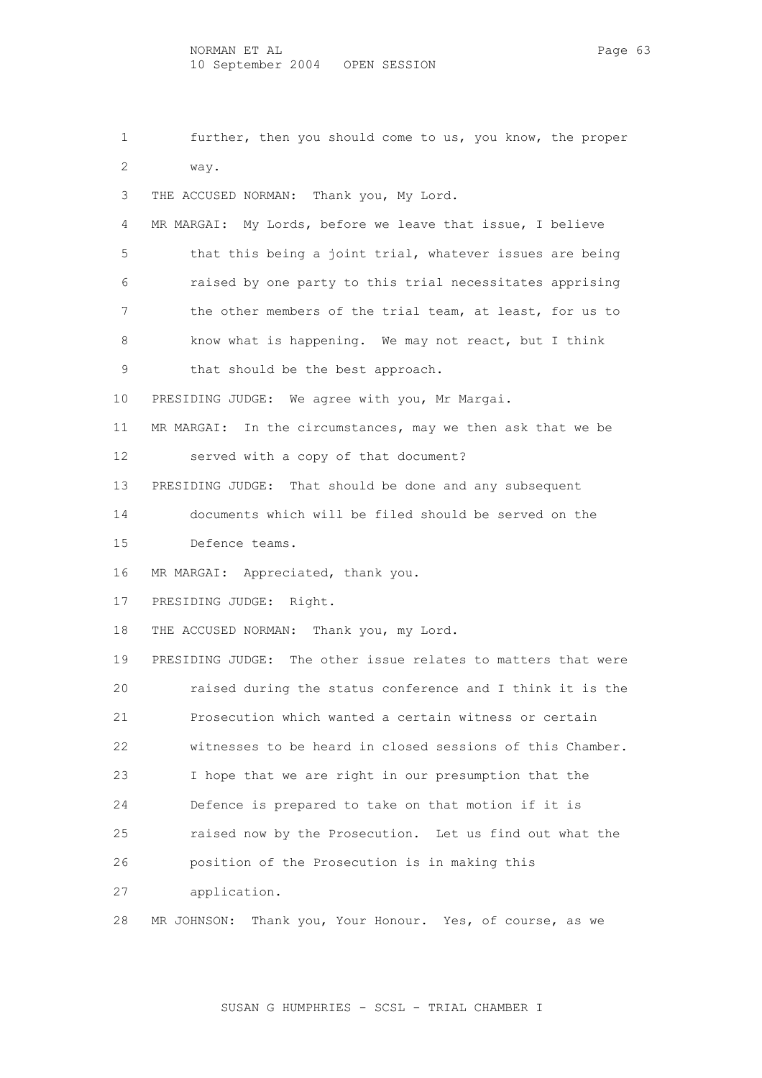1 further, then you should come to us, you know, the proper 2 way. 3 THE ACCUSED NORMAN: Thank you, My Lord. 4 MR MARGAI: My Lords, before we leave that issue, I believe 5 that this being a joint trial, whatever issues are being 6 raised by one party to this trial necessitates apprising 7 the other members of the trial team, at least, for us to 8 know what is happening. We may not react, but I think 9 that should be the best approach. 10 PRESIDING JUDGE: We agree with you, Mr Margai. 11 MR MARGAI: In the circumstances, may we then ask that we be 12 served with a copy of that document? 13 PRESIDING JUDGE: That should be done and any subsequent 14 documents which will be filed should be served on the 15 Defence teams. 16 MR MARGAI: Appreciated, thank you. 17 PRESIDING JUDGE: Right. 18 THE ACCUSED NORMAN: Thank you, my Lord. 19 PRESIDING JUDGE: The other issue relates to matters that were 20 raised during the status conference and I think it is the 21 Prosecution which wanted a certain witness or certain 22 witnesses to be heard in closed sessions of this Chamber. 23 I hope that we are right in our presumption that the 24 Defence is prepared to take on that motion if it is 25 raised now by the Prosecution. Let us find out what the 26 position of the Prosecution is in making this 27 application. 28 MR JOHNSON: Thank you, Your Honour. Yes, of course, as we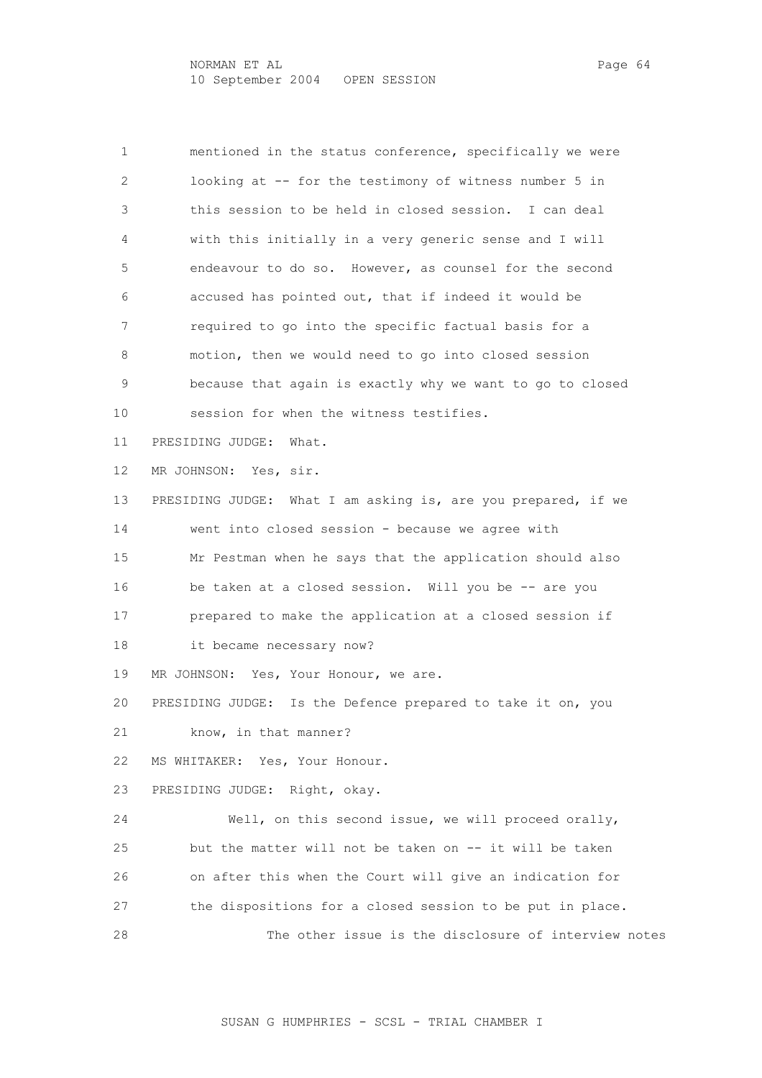1 mentioned in the status conference, specifically we were 2 looking at -- for the testimony of witness number 5 in 3 this session to be held in closed session. I can deal 4 with this initially in a very generic sense and I will 5 endeavour to do so. However, as counsel for the second 6 accused has pointed out, that if indeed it would be 7 required to go into the specific factual basis for a 8 motion, then we would need to go into closed session 9 because that again is exactly why we want to go to closed 10 session for when the witness testifies. 11 PRESIDING JUDGE: What. 12 MR JOHNSON: Yes, sir. 13 PRESIDING JUDGE: What I am asking is, are you prepared, if we 14 went into closed session - because we agree with 15 Mr Pestman when he says that the application should also 16 be taken at a closed session. Will you be -- are you 17 prepared to make the application at a closed session if 18 it became necessary now? 19 MR JOHNSON: Yes, Your Honour, we are. 20 PRESIDING JUDGE: Is the Defence prepared to take it on, you 21 know, in that manner? 22 MS WHITAKER: Yes, Your Honour. 23 PRESIDING JUDGE: Right, okay. 24 Well, on this second issue, we will proceed orally, 25 but the matter will not be taken on -- it will be taken 26 on after this when the Court will give an indication for 27 the dispositions for a closed session to be put in place. 28 The other issue is the disclosure of interview notes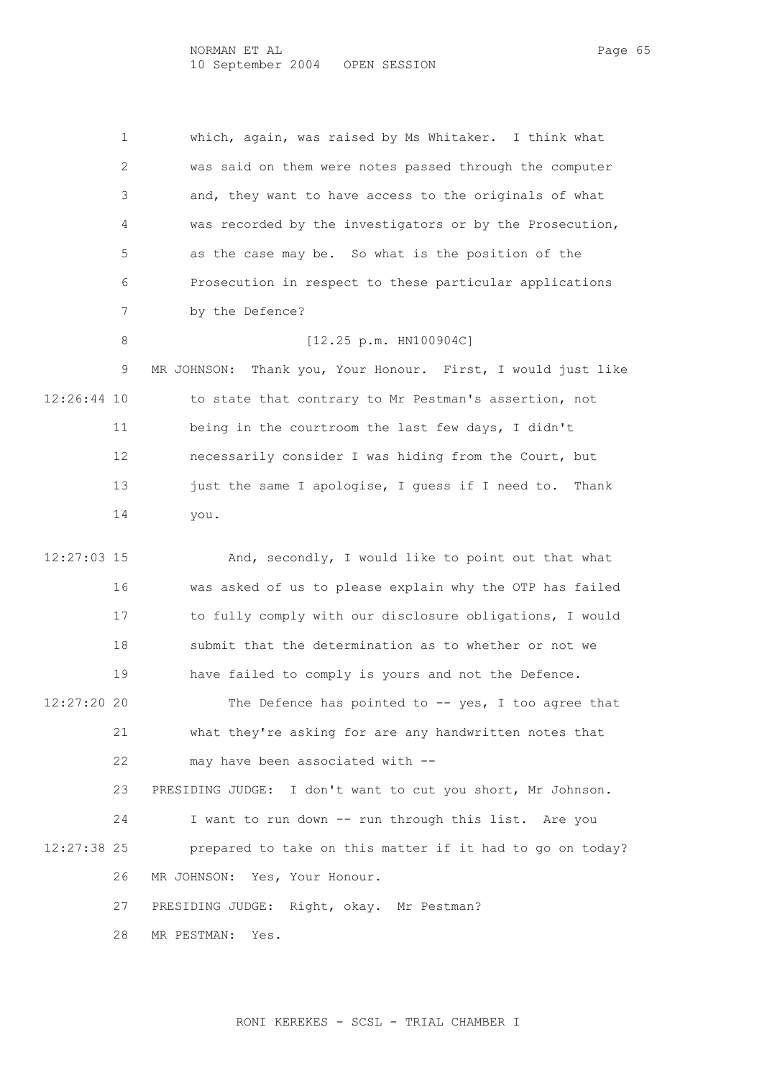NORMAN ET AL PAGE 65 10 September 2004 OPEN SESSION

 1 which, again, was raised by Ms Whitaker. I think what 2 was said on them were notes passed through the computer 3 and, they want to have access to the originals of what 4 was recorded by the investigators or by the Prosecution, 5 as the case may be. So what is the position of the 6 Prosecution in respect to these particular applications 7 by the Defence? 8 [12.25 p.m. HN100904C] 9 MR JOHNSON: Thank you, Your Honour. First, I would just like 12:26:44 10 to state that contrary to Mr Pestman's assertion, not 11 being in the courtroom the last few days, I didn't 12 necessarily consider I was hiding from the Court, but 13 just the same I apologise, I guess if I need to. Thank 14 you. 12:27:03 15 And, secondly, I would like to point out that what 16 was asked of us to please explain why the OTP has failed 17 to fully comply with our disclosure obligations, I would 18 submit that the determination as to whether or not we 19 have failed to comply is yours and not the Defence. 12:27:20 20 The Defence has pointed to -- yes, I too agree that 21 what they're asking for are any handwritten notes that 22 may have been associated with -- 23 PRESIDING JUDGE: I don't want to cut you short, Mr Johnson. 24 I want to run down -- run through this list. Are you

 12:27:38 25 prepared to take on this matter if it had to go on today? 26 MR JOHNSON: Yes, Your Honour.

27 PRESIDING JUDGE: Right, okay. Mr Pestman?

28 MR PESTMAN: Yes.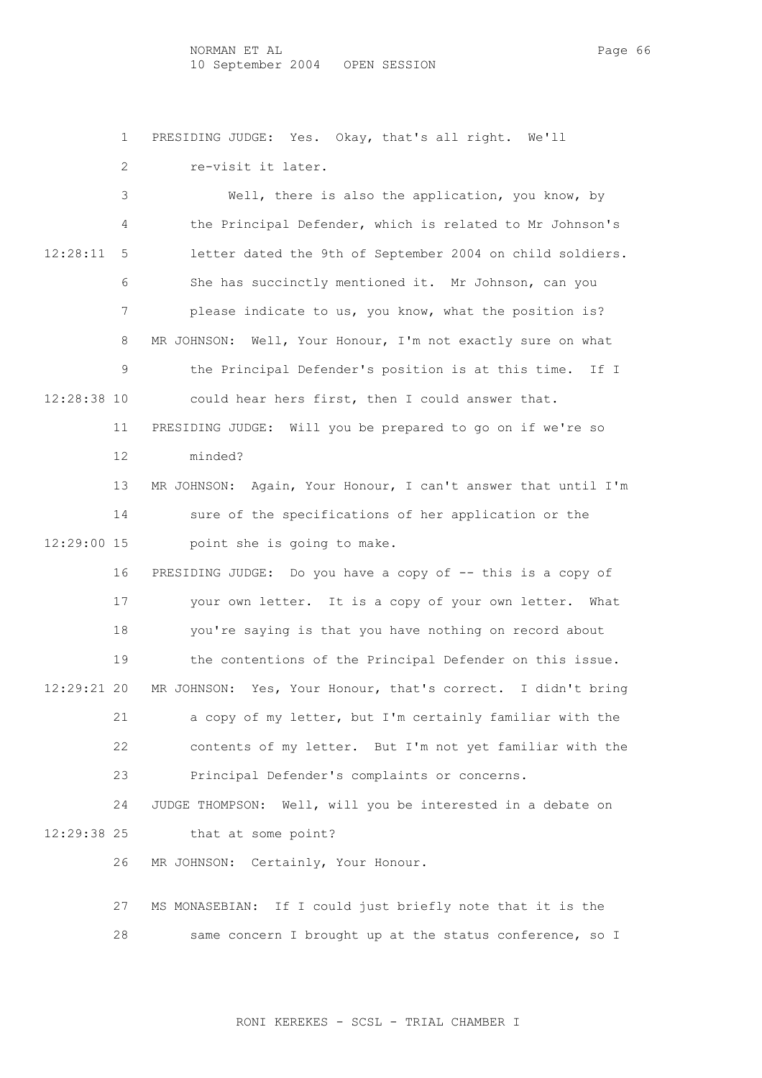NORMAN ET AL PAGE 66 10 September 2004 OPEN SESSION

1 PRESIDING JUDGE: Yes. Okay, that's all right. We'll

 2 re-visit it later. 3 Well, there is also the application, you know, by 4 the Principal Defender, which is related to Mr Johnson's 12:28:11 5 letter dated the 9th of September 2004 on child soldiers. 6 She has succinctly mentioned it. Mr Johnson, can you 7 please indicate to us, you know, what the position is? 8 MR JOHNSON: Well, Your Honour, I'm not exactly sure on what 9 the Principal Defender's position is at this time. If I 12:28:38 10 could hear hers first, then I could answer that. 11 PRESIDING JUDGE: Will you be prepared to go on if we're so 12 minded? 13 MR JOHNSON: Again, Your Honour, I can't answer that until I'm 14 sure of the specifications of her application or the 12:29:00 15 point she is going to make. 16 PRESIDING JUDGE: Do you have a copy of -- this is a copy of 17 your own letter. It is a copy of your own letter. What 18 you're saying is that you have nothing on record about 19 the contentions of the Principal Defender on this issue. 12:29:21 20 MR JOHNSON: Yes, Your Honour, that's correct. I didn't bring 21 a copy of my letter, but I'm certainly familiar with the 22 contents of my letter. But I'm not yet familiar with the 23 Principal Defender's complaints or concerns. 24 JUDGE THOMPSON: Well, will you be interested in a debate on 12:29:38 25 that at some point? 26 MR JOHNSON: Certainly, Your Honour. 27 MS MONASEBIAN: If I could just briefly note that it is the 28 same concern I brought up at the status conference, so I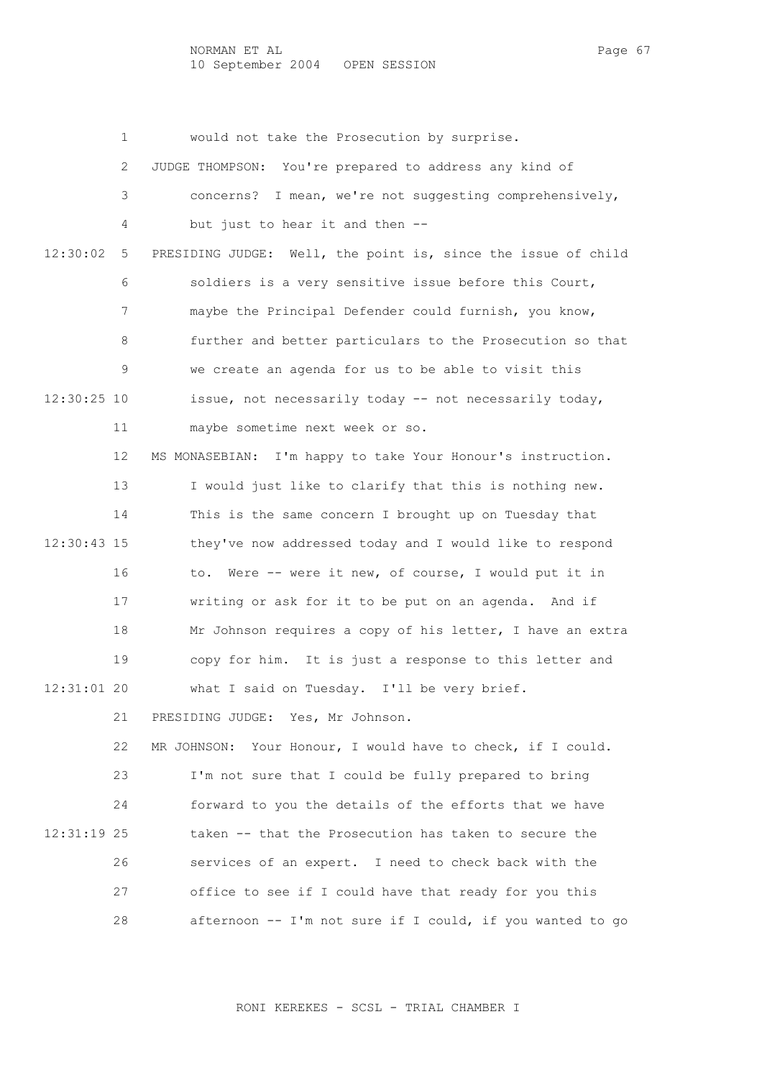1 would not take the Prosecution by surprise. 2 JUDGE THOMPSON: You're prepared to address any kind of 3 concerns? I mean, we're not suggesting comprehensively, 4 but just to hear it and then -- 12:30:02 5 PRESIDING JUDGE: Well, the point is, since the issue of child 6 soldiers is a very sensitive issue before this Court, 7 maybe the Principal Defender could furnish, you know, 8 further and better particulars to the Prosecution so that 9 we create an agenda for us to be able to visit this 12:30:25 10 issue, not necessarily today -- not necessarily today, 11 maybe sometime next week or so. 12 MS MONASEBIAN: I'm happy to take Your Honour's instruction. 13 I would just like to clarify that this is nothing new. 14 This is the same concern I brought up on Tuesday that 12:30:43 15 they've now addressed today and I would like to respond 16 to. Were -- were it new, of course, I would put it in 17 writing or ask for it to be put on an agenda. And if 18 Mr Johnson requires a copy of his letter, I have an extra 19 copy for him. It is just a response to this letter and 12:31:01 20 what I said on Tuesday. I'll be very brief. 21 PRESIDING JUDGE: Yes, Mr Johnson. 22 MR JOHNSON: Your Honour, I would have to check, if I could. 23 I'm not sure that I could be fully prepared to bring 24 forward to you the details of the efforts that we have 12:31:19 25 taken -- that the Prosecution has taken to secure the 26 services of an expert. I need to check back with the

28 afternoon -- I'm not sure if I could, if you wanted to go

27 office to see if I could have that ready for you this

RONI KEREKES - SCSL - TRIAL CHAMBER I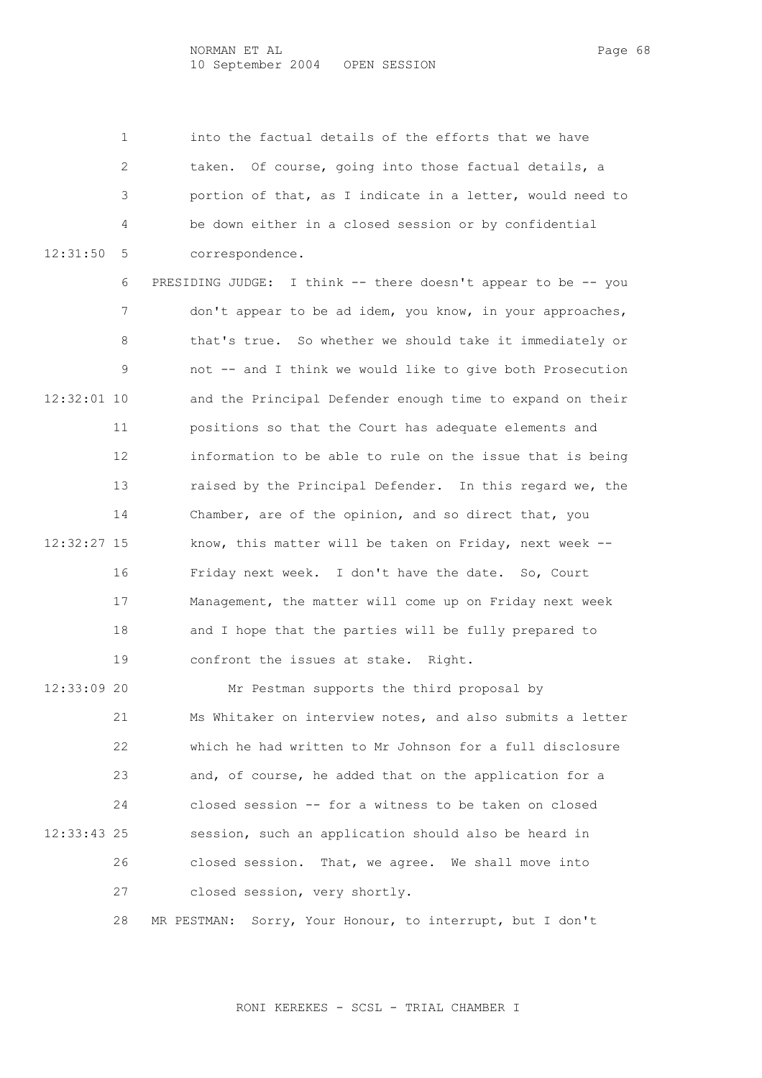1 into the factual details of the efforts that we have 2 taken. Of course, going into those factual details, a 3 portion of that, as I indicate in a letter, would need to 4 be down either in a closed session or by confidential 12:31:50 5 correspondence.

 6 PRESIDING JUDGE: I think -- there doesn't appear to be -- you 7 don't appear to be ad idem, you know, in your approaches, 8 that's true. So whether we should take it immediately or 9 not -- and I think we would like to give both Prosecution 12:32:01 10 and the Principal Defender enough time to expand on their 11 positions so that the Court has adequate elements and 12 information to be able to rule on the issue that is being 13 raised by the Principal Defender. In this regard we, the 14 Chamber, are of the opinion, and so direct that, you 12:32:27 15 know, this matter will be taken on Friday, next week -- 16 Friday next week. I don't have the date. So, Court 17 Management, the matter will come up on Friday next week 18 and I hope that the parties will be fully prepared to 19 confront the issues at stake. Right.

 12:33:09 20 Mr Pestman supports the third proposal by 21 Ms Whitaker on interview notes, and also submits a letter 22 which he had written to Mr Johnson for a full disclosure 23 and, of course, he added that on the application for a 24 closed session -- for a witness to be taken on closed 12:33:43 25 session, such an application should also be heard in 26 closed session. That, we agree. We shall move into 27 closed session, very shortly.

28 MR PESTMAN: Sorry, Your Honour, to interrupt, but I don't

RONI KEREKES - SCSL - TRIAL CHAMBER I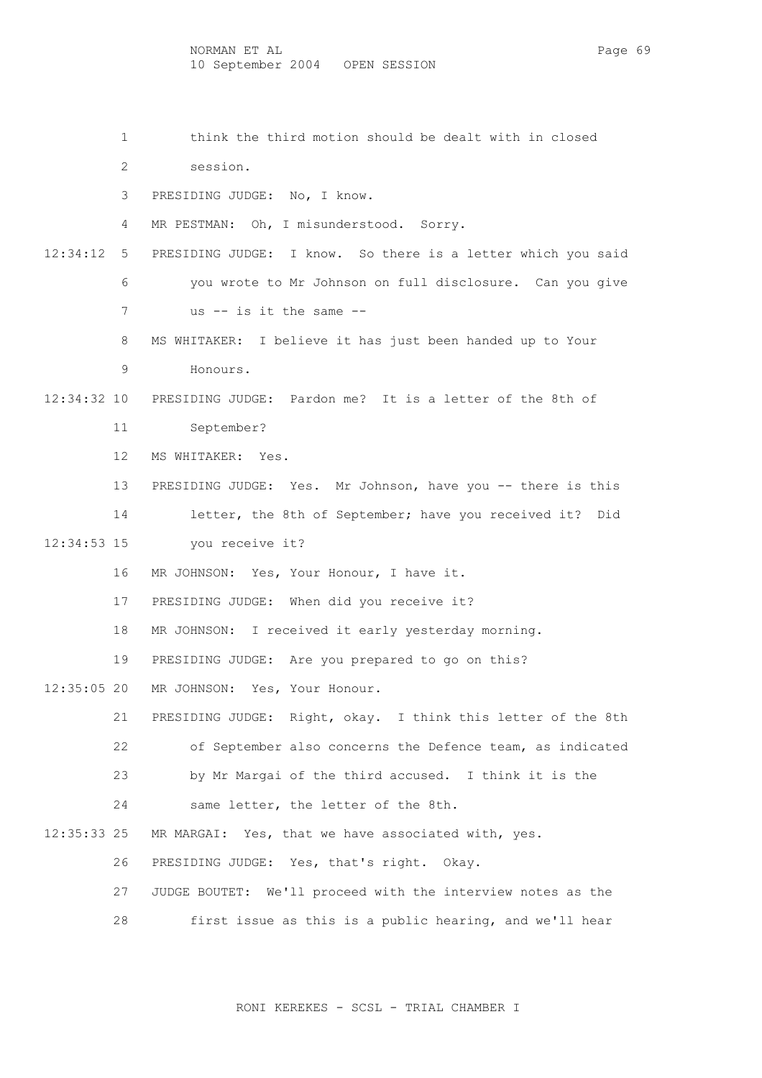- 1 think the third motion should be dealt with in closed
- 2 session.
- 3 PRESIDING JUDGE: No, I know.
- 4 MR PESTMAN: Oh, I misunderstood. Sorry.
- 12:34:12 5 PRESIDING JUDGE: I know. So there is a letter which you said 6 you wrote to Mr Johnson on full disclosure. Can you give 7 us -- is it the same --
	- 8 MS WHITAKER: I believe it has just been handed up to Your
	- 9 Honours.
- 12:34:32 10 PRESIDING JUDGE: Pardon me? It is a letter of the 8th of
	- 11 September?
	- 12 MS WHITAKER: Yes.
	- 13 PRESIDING JUDGE: Yes. Mr Johnson, have you -- there is this
	- 14 letter, the 8th of September; have you received it? Did
- 12:34:53 15 you receive it?
	- 16 MR JOHNSON: Yes, Your Honour, I have it.
	- 17 PRESIDING JUDGE: When did you receive it?
	- 18 MR JOHNSON: I received it early yesterday morning.
	- 19 PRESIDING JUDGE: Are you prepared to go on this?
- 12:35:05 20 MR JOHNSON: Yes, Your Honour.
	- 21 PRESIDING JUDGE: Right, okay. I think this letter of the 8th 22 of September also concerns the Defence team, as indicated 23 by Mr Margai of the third accused. I think it is the 24 same letter, the letter of the 8th.
	-
- 12:35:33 25 MR MARGAI: Yes, that we have associated with, yes.
	- 26 PRESIDING JUDGE: Yes, that's right. Okay.
	- 27 JUDGE BOUTET: We'll proceed with the interview notes as the
	- 28 first issue as this is a public hearing, and we'll hear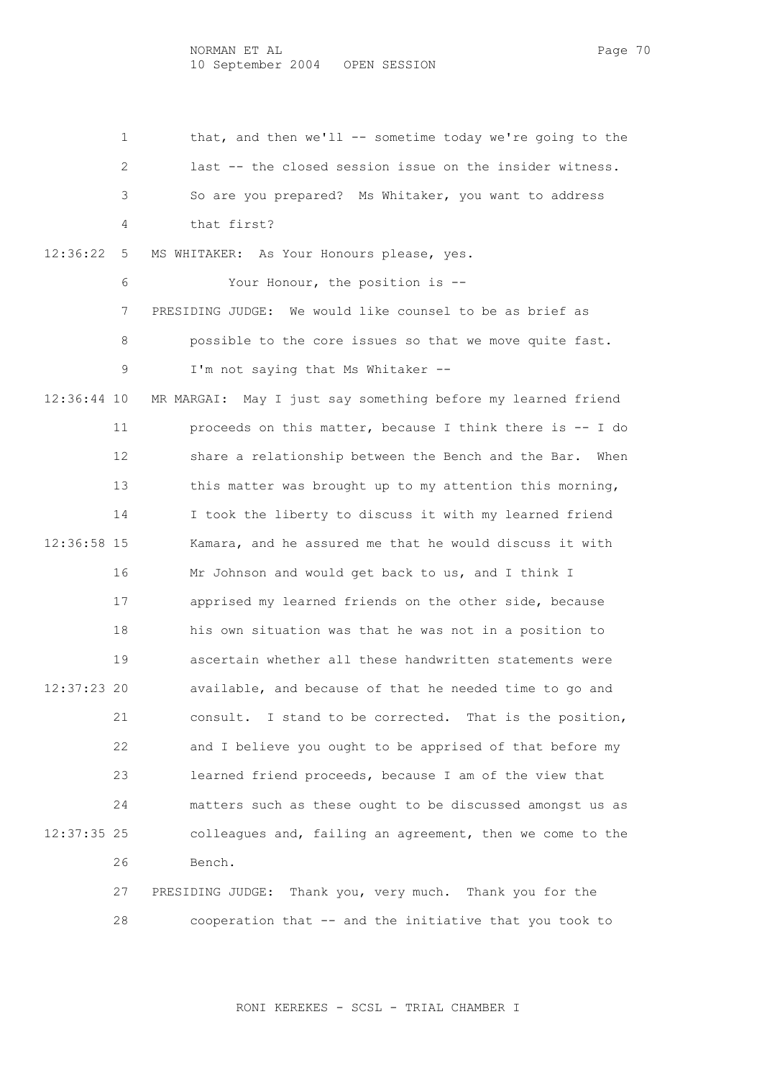1 that, and then we'll -- sometime today we're going to the 2 last -- the closed session issue on the insider witness. 3 So are you prepared? Ms Whitaker, you want to address 4 that first? 12:36:22 5 MS WHITAKER: As Your Honours please, yes. 6 Your Honour, the position is -- 7 PRESIDING JUDGE: We would like counsel to be as brief as 8 possible to the core issues so that we move quite fast. 9 I'm not saying that Ms Whitaker -- 12:36:44 10 MR MARGAI: May I just say something before my learned friend 11 proceeds on this matter, because I think there is -- I do 12 share a relationship between the Bench and the Bar. When 13 this matter was brought up to my attention this morning, 14 I took the liberty to discuss it with my learned friend 12:36:58 15 Kamara, and he assured me that he would discuss it with 16 Mr Johnson and would get back to us, and I think I 17 apprised my learned friends on the other side, because 18 his own situation was that he was not in a position to 19 ascertain whether all these handwritten statements were 12:37:23 20 available, and because of that he needed time to go and 21 consult. I stand to be corrected. That is the position, 22 and I believe you ought to be apprised of that before my 23 learned friend proceeds, because I am of the view that 24 matters such as these ought to be discussed amongst us as 12:37:35 25 colleagues and, failing an agreement, then we come to the 26 Bench. 27 PRESIDING JUDGE: Thank you, very much. Thank you for the

28 cooperation that -- and the initiative that you took to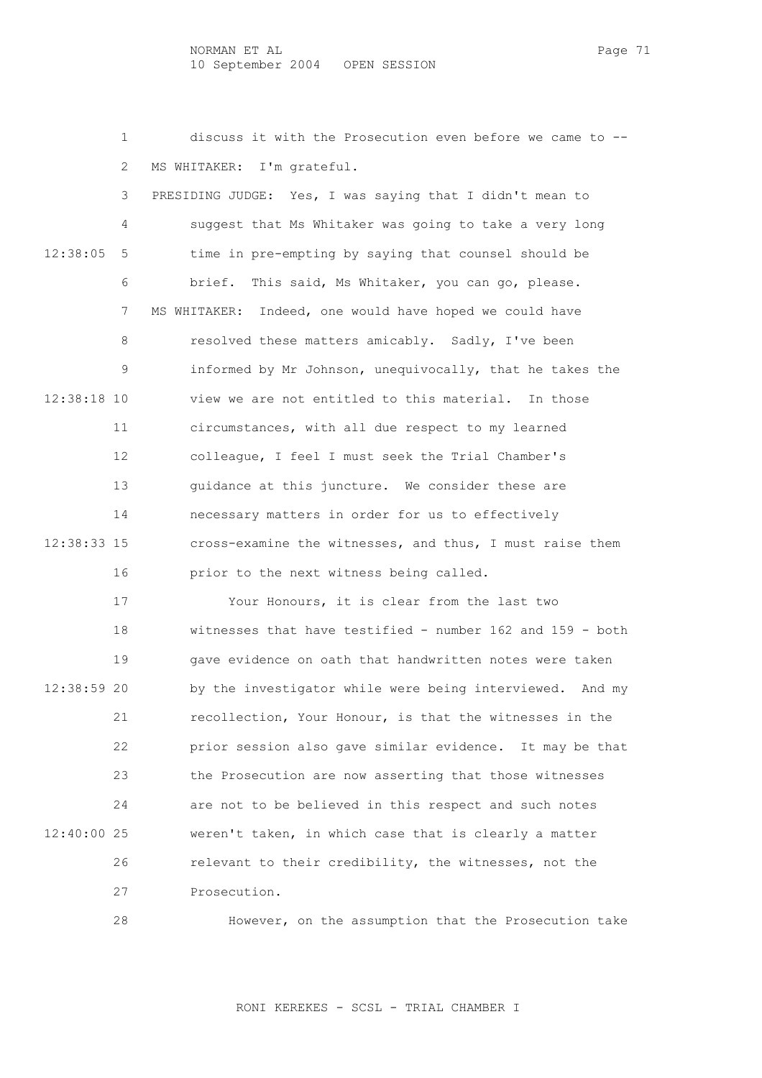NORMAN ET AL PAGE 71 10 September 2004 OPEN SESSION

 1 discuss it with the Prosecution even before we came to -- 2 MS WHITAKER: I'm grateful.

 3 PRESIDING JUDGE: Yes, I was saying that I didn't mean to 4 suggest that Ms Whitaker was going to take a very long 12:38:05 5 time in pre-empting by saying that counsel should be 6 brief. This said, Ms Whitaker, you can go, please. 7 MS WHITAKER: Indeed, one would have hoped we could have 8 resolved these matters amicably. Sadly, I've been 9 informed by Mr Johnson, unequivocally, that he takes the 12:38:18 10 view we are not entitled to this material. In those 11 circumstances, with all due respect to my learned 12 colleague, I feel I must seek the Trial Chamber's 13 guidance at this juncture. We consider these are 14 necessary matters in order for us to effectively 12:38:33 15 cross-examine the witnesses, and thus, I must raise them 16 prior to the next witness being called.

 17 Your Honours, it is clear from the last two 18 witnesses that have testified - number 162 and 159 - both 19 gave evidence on oath that handwritten notes were taken 12:38:59 20 by the investigator while were being interviewed. And my 21 recollection, Your Honour, is that the witnesses in the 22 prior session also gave similar evidence. It may be that 23 the Prosecution are now asserting that those witnesses 24 are not to be believed in this respect and such notes 12:40:00 25 weren't taken, in which case that is clearly a matter 26 relevant to their credibility, the witnesses, not the 27 Prosecution.

28 However, on the assumption that the Prosecution take

RONI KEREKES - SCSL - TRIAL CHAMBER I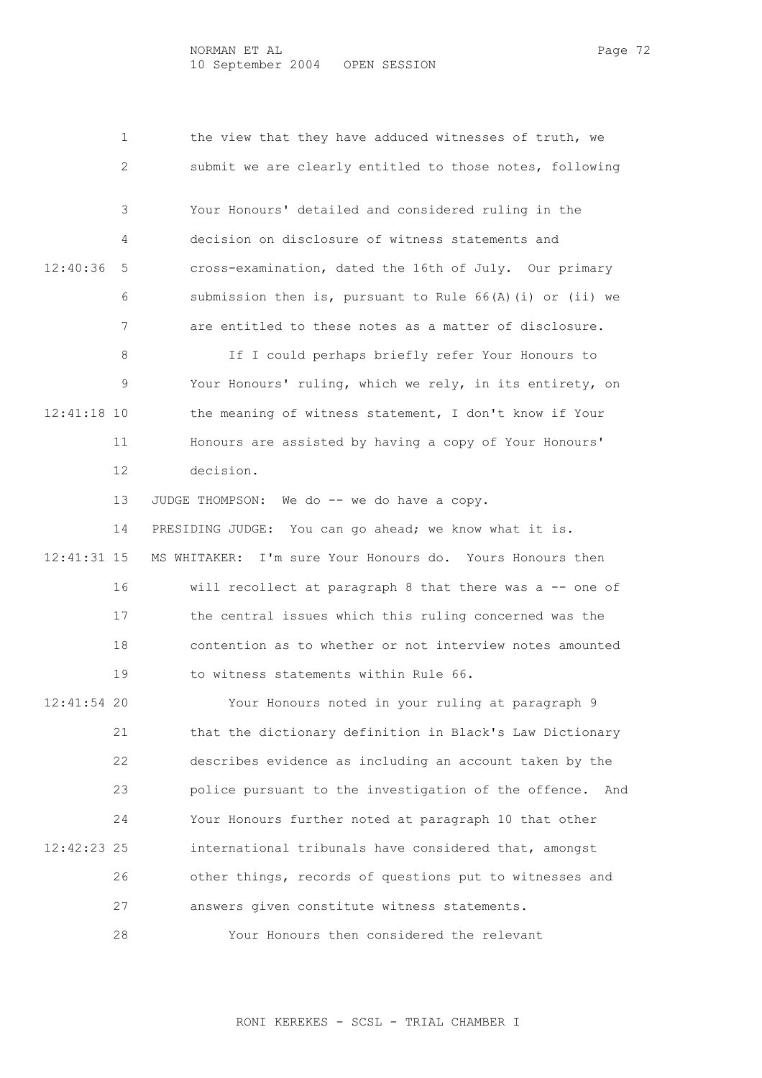|             | 1   | the view that they have adduced witnesses of truth, we      |
|-------------|-----|-------------------------------------------------------------|
|             | 2   | submit we are clearly entitled to those notes, following    |
|             | 3   | Your Honours' detailed and considered ruling in the         |
|             | 4   | decision on disclosure of witness statements and            |
| 12:40:36    | 5   | cross-examination, dated the 16th of July. Our primary      |
|             | 6   | submission then is, pursuant to Rule $66(A)(i)$ or (ii) we  |
|             | 7   | are entitled to these notes as a matter of disclosure.      |
|             | 8   | If I could perhaps briefly refer Your Honours to            |
|             | 9   | Your Honours' ruling, which we rely, in its entirety, on    |
| 12:41:18 10 |     | the meaning of witness statement, I don't know if Your      |
|             | 11  | Honours are assisted by having a copy of Your Honours'      |
|             | 12  | decision.                                                   |
|             | 13  | JUDGE THOMPSON: We do -- we do have a copy.                 |
|             | 14  | PRESIDING JUDGE: You can go ahead; we know what it is.      |
| 12:41:31 15 |     | MS WHITAKER: I'm sure Your Honours do. Yours Honours then   |
|             | 16  | will recollect at paragraph 8 that there was a -- one of    |
|             | 17  | the central issues which this ruling concerned was the      |
|             | 18  | contention as to whether or not interview notes amounted    |
|             | 19  | to witness statements within Rule 66.                       |
| 12:41:54    | -20 | Your Honours noted in your ruling at paragraph 9            |
|             | 21  | that the dictionary definition in Black's Law Dictionary    |
|             | 22  | describes evidence as including an account taken by the     |
|             | 23  | police pursuant to the investigation of the offence.<br>And |
|             | 24  | Your Honours further noted at paragraph 10 that other       |
| 12:42:23 25 |     | international tribunals have considered that, amongst       |
|             | 26  | other things, records of questions put to witnesses and     |
|             | 27  | answers given constitute witness statements.                |
|             | 28  | Your Honours then considered the relevant                   |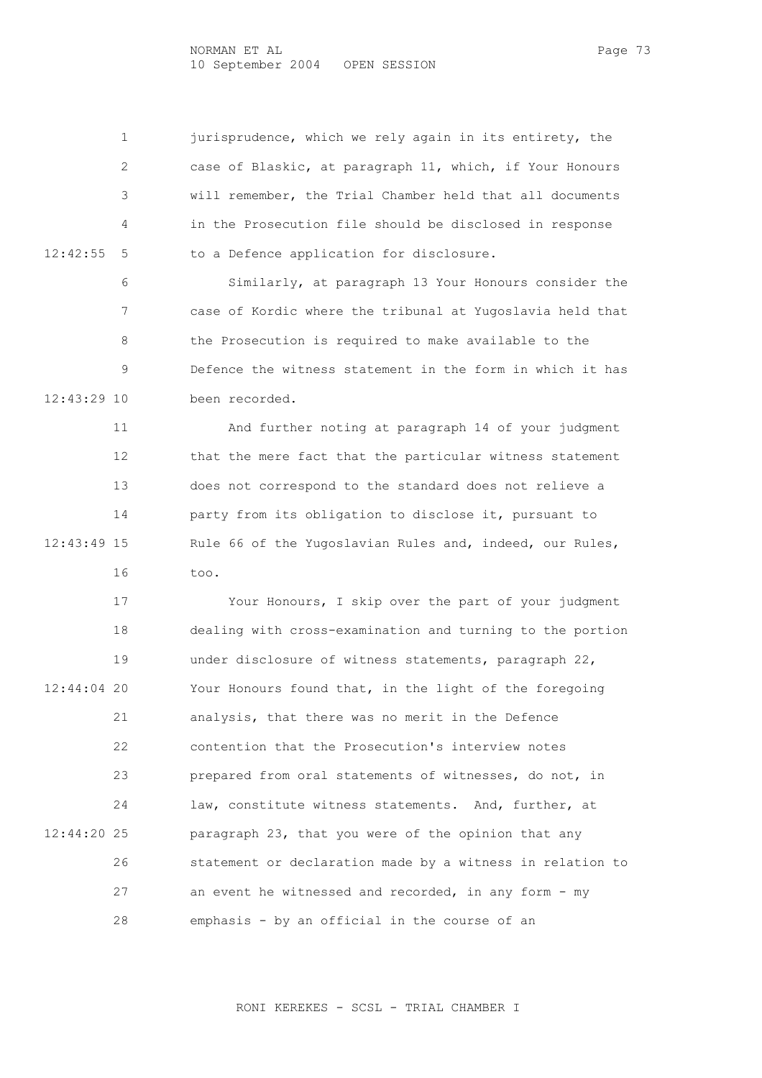1 jurisprudence, which we rely again in its entirety, the 2 case of Blaskic, at paragraph 11, which, if Your Honours 3 will remember, the Trial Chamber held that all documents 4 in the Prosecution file should be disclosed in response 12:42:55 5 to a Defence application for disclosure.

 6 Similarly, at paragraph 13 Your Honours consider the 7 case of Kordic where the tribunal at Yugoslavia held that 8 the Prosecution is required to make available to the 9 Defence the witness statement in the form in which it has 12:43:29 10 been recorded.

 11 And further noting at paragraph 14 of your judgment 12 that the mere fact that the particular witness statement 13 does not correspond to the standard does not relieve a 14 party from its obligation to disclose it, pursuant to 12:43:49 15 Rule 66 of the Yugoslavian Rules and, indeed, our Rules, 16 too.

 17 Your Honours, I skip over the part of your judgment 18 dealing with cross-examination and turning to the portion 19 under disclosure of witness statements, paragraph 22, 12:44:04 20 Your Honours found that, in the light of the foregoing 21 analysis, that there was no merit in the Defence 22 contention that the Prosecution's interview notes 23 prepared from oral statements of witnesses, do not, in 24 law, constitute witness statements. And, further, at 12:44:20 25 paragraph 23, that you were of the opinion that any 26 statement or declaration made by a witness in relation to 27 an event he witnessed and recorded, in any form - my 28 emphasis - by an official in the course of an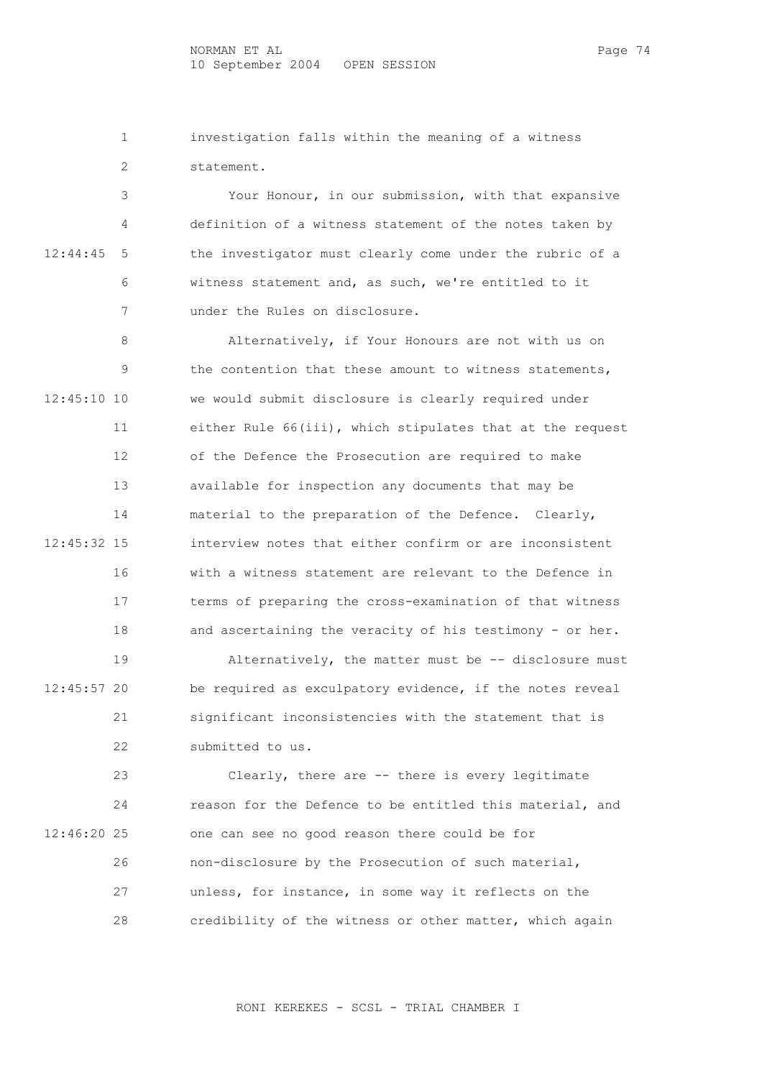NORMAN ET AL PAGE 74 10 September 2004 OPEN SESSION

 1 investigation falls within the meaning of a witness 2 statement.

 3 Your Honour, in our submission, with that expansive 4 definition of a witness statement of the notes taken by 12:44:45 5 the investigator must clearly come under the rubric of a 6 witness statement and, as such, we're entitled to it 7 under the Rules on disclosure.

 8 Alternatively, if Your Honours are not with us on 9 the contention that these amount to witness statements, 12:45:10 10 we would submit disclosure is clearly required under 11 either Rule 66(iii), which stipulates that at the request 12 of the Defence the Prosecution are required to make 13 available for inspection any documents that may be 14 material to the preparation of the Defence. Clearly, 12:45:32 15 interview notes that either confirm or are inconsistent 16 with a witness statement are relevant to the Defence in 17 terms of preparing the cross-examination of that witness 18 and ascertaining the veracity of his testimony - or her.

 19 Alternatively, the matter must be -- disclosure must 12:45:57 20 be required as exculpatory evidence, if the notes reveal 21 significant inconsistencies with the statement that is 22 submitted to us.

 23 Clearly, there are -- there is every legitimate 24 reason for the Defence to be entitled this material, and 12:46:20 25 one can see no good reason there could be for 26 non-disclosure by the Prosecution of such material, 27 unless, for instance, in some way it reflects on the 28 credibility of the witness or other matter, which again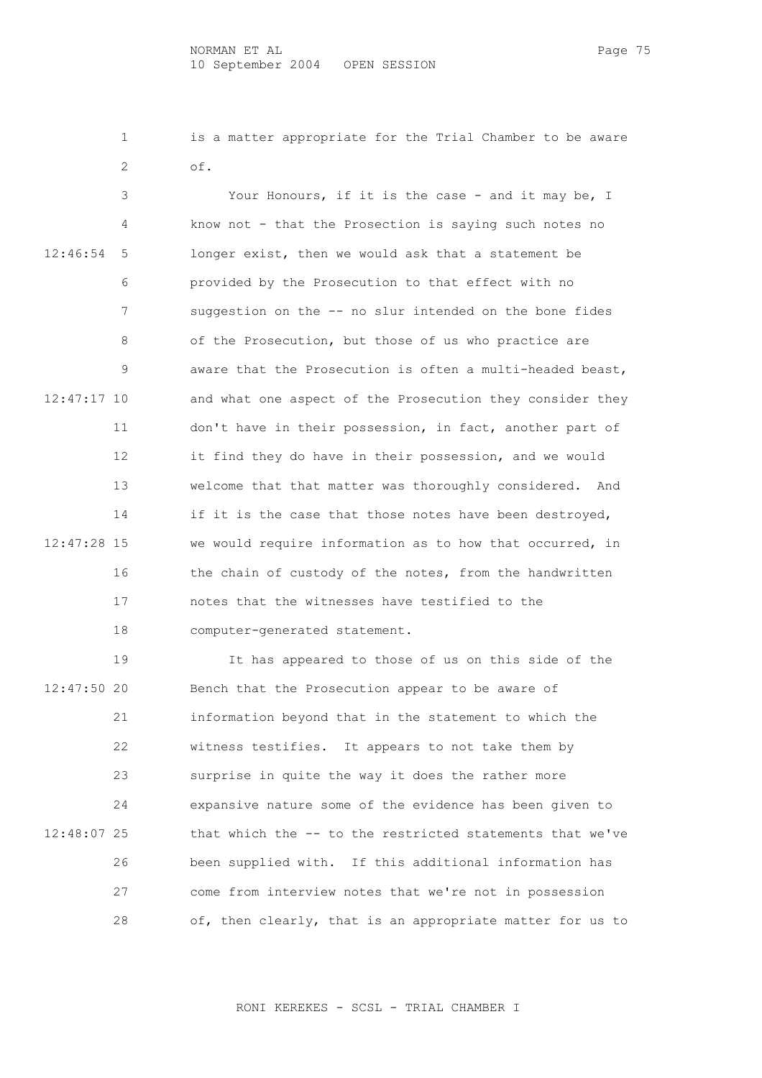1 is a matter appropriate for the Trial Chamber to be aware 2 of.

 3 Your Honours, if it is the case - and it may be, I 4 know not - that the Prosection is saying such notes no 12:46:54 5 longer exist, then we would ask that a statement be 6 provided by the Prosecution to that effect with no 7 suggestion on the -- no slur intended on the bone fides 8 of the Prosecution, but those of us who practice are 9 aware that the Prosecution is often a multi-headed beast, 12:47:17 10 and what one aspect of the Prosecution they consider they 11 don't have in their possession, in fact, another part of 12 it find they do have in their possession, and we would 13 welcome that that matter was thoroughly considered. And 14 if it is the case that those notes have been destroyed, 12:47:28 15 we would require information as to how that occurred, in 16 the chain of custody of the notes, from the handwritten 17 notes that the witnesses have testified to the 18 computer-generated statement.

 19 It has appeared to those of us on this side of the 12:47:50 20 Bench that the Prosecution appear to be aware of 21 information beyond that in the statement to which the 22 witness testifies. It appears to not take them by 23 surprise in quite the way it does the rather more 24 expansive nature some of the evidence has been given to 12:48:07 25 that which the -- to the restricted statements that we've 26 been supplied with. If this additional information has 27 come from interview notes that we're not in possession 28 of, then clearly, that is an appropriate matter for us to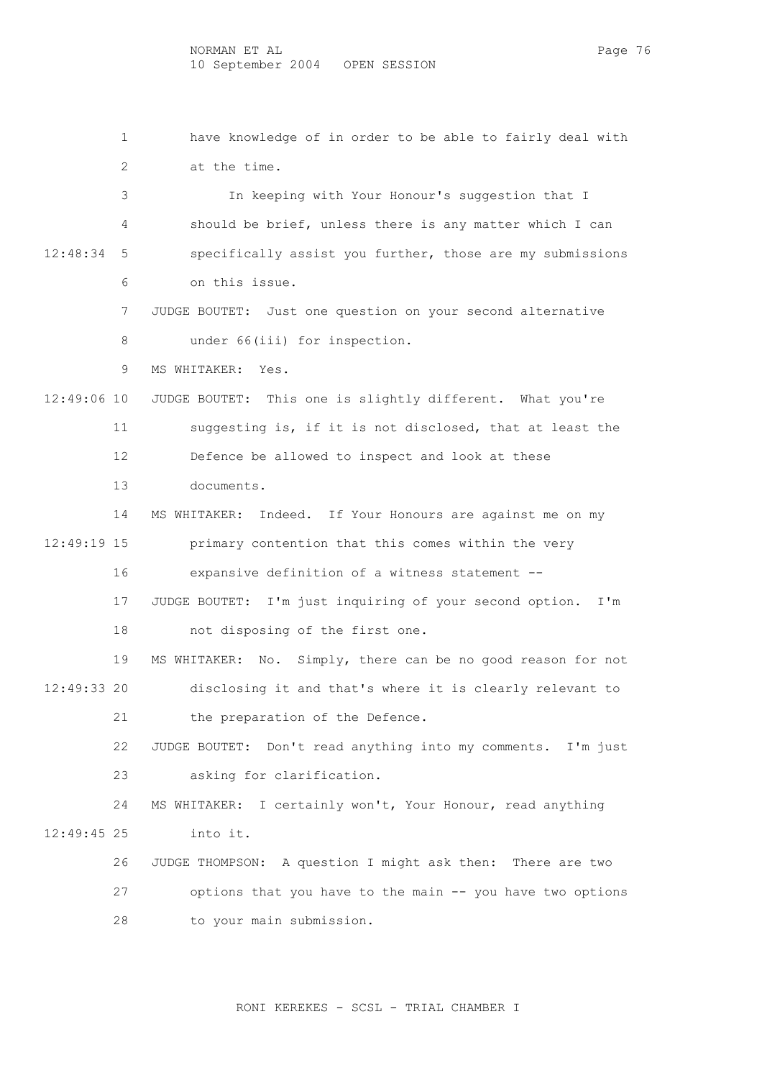1 have knowledge of in order to be able to fairly deal with

 2 at the time. 3 In keeping with Your Honour's suggestion that I 4 should be brief, unless there is any matter which I can 12:48:34 5 specifically assist you further, those are my submissions 6 on this issue. 7 JUDGE BOUTET: Just one question on your second alternative 8 under 66(iii) for inspection. 9 MS WHITAKER: Yes. 12:49:06 10 JUDGE BOUTET: This one is slightly different. What you're 11 suggesting is, if it is not disclosed, that at least the 12 Defence be allowed to inspect and look at these 13 documents. 14 MS WHITAKER: Indeed. If Your Honours are against me on my 12:49:19 15 primary contention that this comes within the very 16 expansive definition of a witness statement -- 17 JUDGE BOUTET: I'm just inquiring of your second option. I'm 18 not disposing of the first one. 19 MS WHITAKER: No. Simply, there can be no good reason for not 12:49:33 20 disclosing it and that's where it is clearly relevant to 21 the preparation of the Defence. 22 JUDGE BOUTET: Don't read anything into my comments. I'm just 23 asking for clarification. 24 MS WHITAKER: I certainly won't, Your Honour, read anything 12:49:45 25 into it. 26 JUDGE THOMPSON: A question I might ask then: There are two 27 options that you have to the main -- you have two options 28 to your main submission.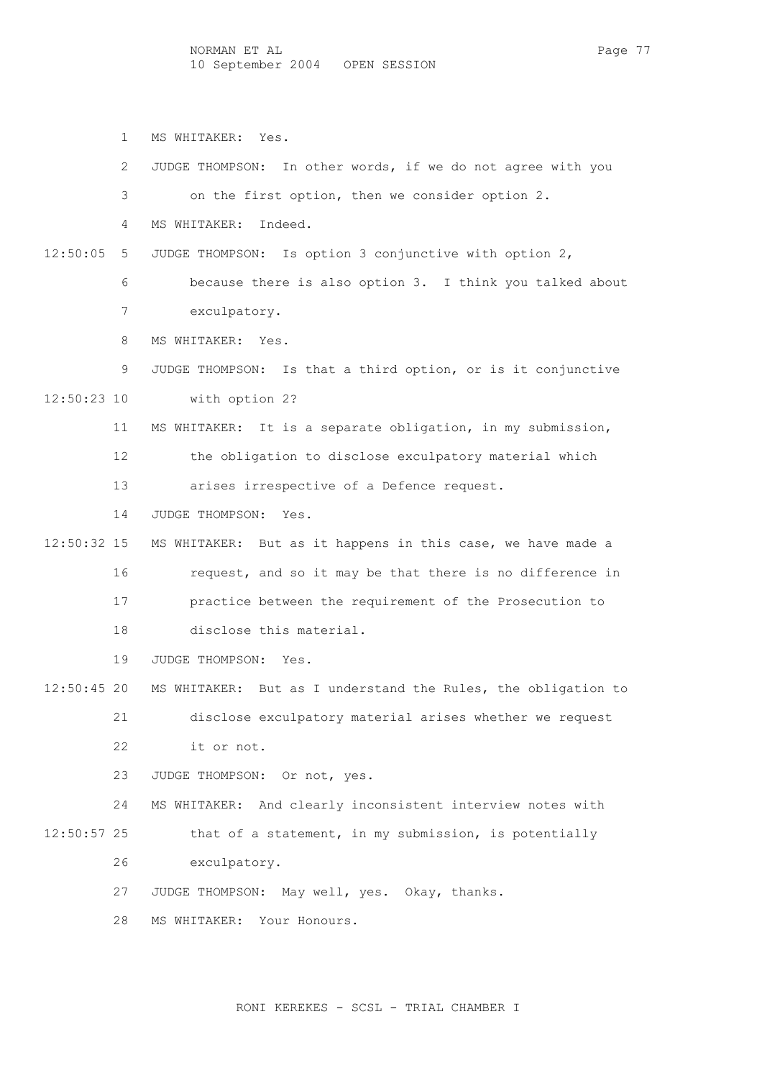1 MS WHITAKER: Yes.

 2 JUDGE THOMPSON: In other words, if we do not agree with you 3 on the first option, then we consider option 2. 4 MS WHITAKER: Indeed. 12:50:05 5 JUDGE THOMPSON: Is option 3 conjunctive with option 2, 6 because there is also option 3. I think you talked about 7 exculpatory. 8 MS WHITAKER: Yes. 9 JUDGE THOMPSON: Is that a third option, or is it conjunctive 12:50:23 10 with option 2? 11 MS WHITAKER: It is a separate obligation, in my submission, 12 the obligation to disclose exculpatory material which 13 arises irrespective of a Defence request. 14 JUDGE THOMPSON: Yes. 12:50:32 15 MS WHITAKER: But as it happens in this case, we have made a 16 request, and so it may be that there is no difference in 17 practice between the requirement of the Prosecution to 18 disclose this material. 19 JUDGE THOMPSON: Yes. 12:50:45 20 MS WHITAKER: But as I understand the Rules, the obligation to 21 disclose exculpatory material arises whether we request 22 it or not. 23 JUDGE THOMPSON: Or not, yes. 24 MS WHITAKER: And clearly inconsistent interview notes with 12:50:57 25 that of a statement, in my submission, is potentially 26 exculpatory. 27 JUDGE THOMPSON: May well, yes. Okay, thanks. 28 MS WHITAKER: Your Honours.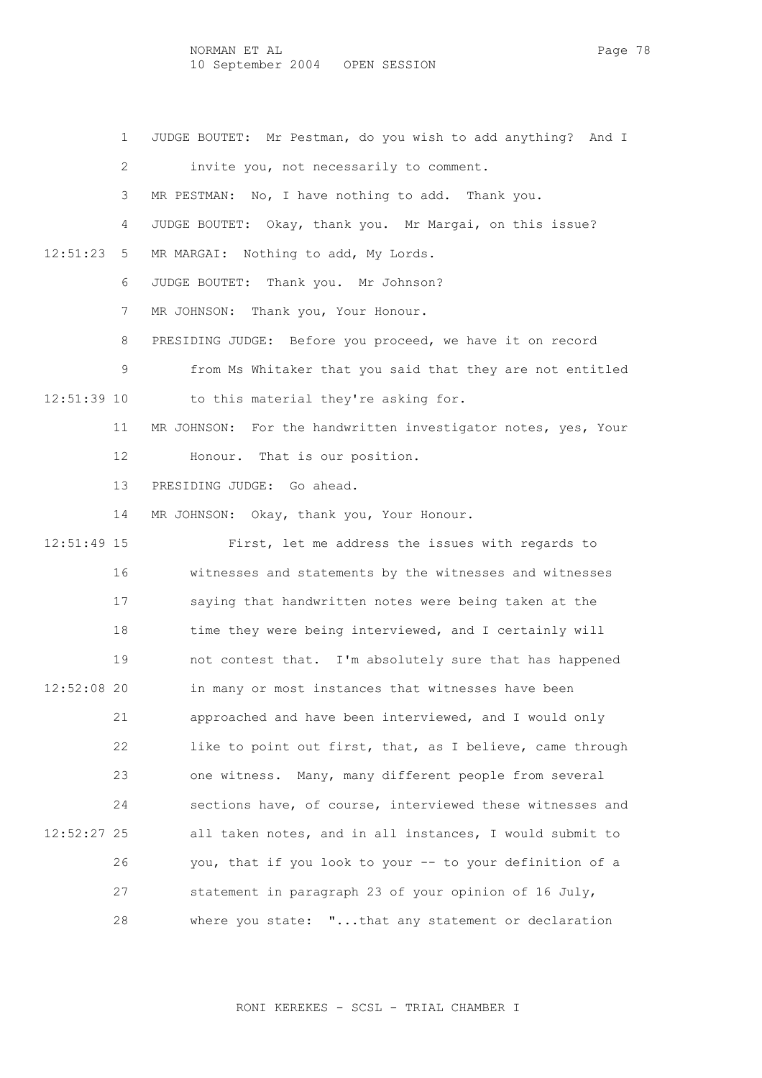NORMAN ET AL PAGE 78 10 September 2004 OPEN SESSION

1 JUDGE BOUTET: Mr Pestman, do you wish to add anything? And I

2 invite you, not necessarily to comment.

3 MR PESTMAN: No, I have nothing to add. Thank you.

4 JUDGE BOUTET: Okay, thank you. Mr Margai, on this issue?

12:51:23 5 MR MARGAI: Nothing to add, My Lords.

6 JUDGE BOUTET: Thank you. Mr Johnson?

7 MR JOHNSON: Thank you, Your Honour.

8 PRESIDING JUDGE: Before you proceed, we have it on record

9 from Ms Whitaker that you said that they are not entitled

12:51:39 10 to this material they're asking for.

11 MR JOHNSON: For the handwritten investigator notes, yes, Your

12 Honour. That is our position.

13 PRESIDING JUDGE: Go ahead.

14 MR JOHNSON: Okay, thank you, Your Honour.

 12:51:49 15 First, let me address the issues with regards to 16 witnesses and statements by the witnesses and witnesses 17 saying that handwritten notes were being taken at the 18 time they were being interviewed, and I certainly will 19 not contest that. I'm absolutely sure that has happened 12:52:08 20 in many or most instances that witnesses have been 21 approached and have been interviewed, and I would only 22 like to point out first, that, as I believe, came through 23 one witness. Many, many different people from several 24 sections have, of course, interviewed these witnesses and 12:52:27 25 all taken notes, and in all instances, I would submit to 26 you, that if you look to your -- to your definition of a 27 statement in paragraph 23 of your opinion of 16 July, 28 where you state: "...that any statement or declaration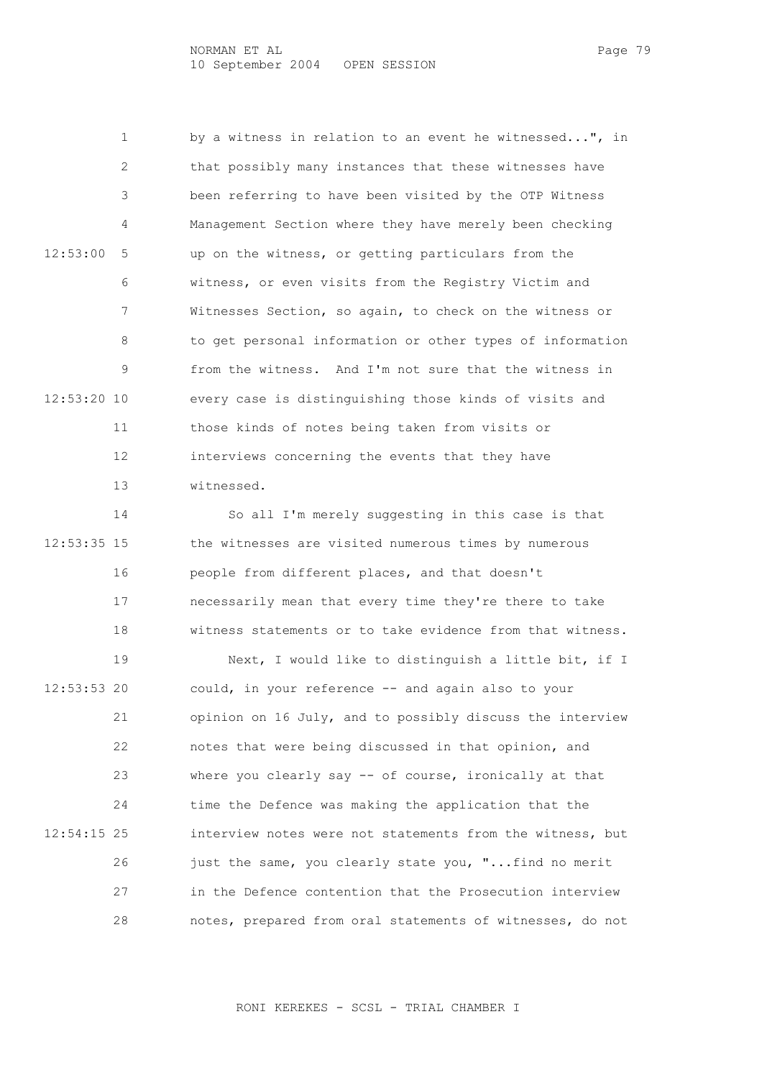1 by a witness in relation to an event he witnessed...", in 2 that possibly many instances that these witnesses have 3 been referring to have been visited by the OTP Witness 4 Management Section where they have merely been checking 12:53:00 5 up on the witness, or getting particulars from the 6 witness, or even visits from the Registry Victim and 7 Witnesses Section, so again, to check on the witness or 8 to get personal information or other types of information 9 from the witness. And I'm not sure that the witness in 12:53:20 10 every case is distinguishing those kinds of visits and 11 those kinds of notes being taken from visits or 12 interviews concerning the events that they have 13 witnessed.

 14 So all I'm merely suggesting in this case is that 12:53:35 15 the witnesses are visited numerous times by numerous 16 people from different places, and that doesn't 17 necessarily mean that every time they're there to take 18 witness statements or to take evidence from that witness.

 19 Next, I would like to distinguish a little bit, if I 12:53:53 20 could, in your reference -- and again also to your 21 opinion on 16 July, and to possibly discuss the interview 22 notes that were being discussed in that opinion, and 23 where you clearly say -- of course, ironically at that 24 time the Defence was making the application that the 12:54:15 25 interview notes were not statements from the witness, but 26 just the same, you clearly state you, "...find no merit 27 in the Defence contention that the Prosecution interview 28 notes, prepared from oral statements of witnesses, do not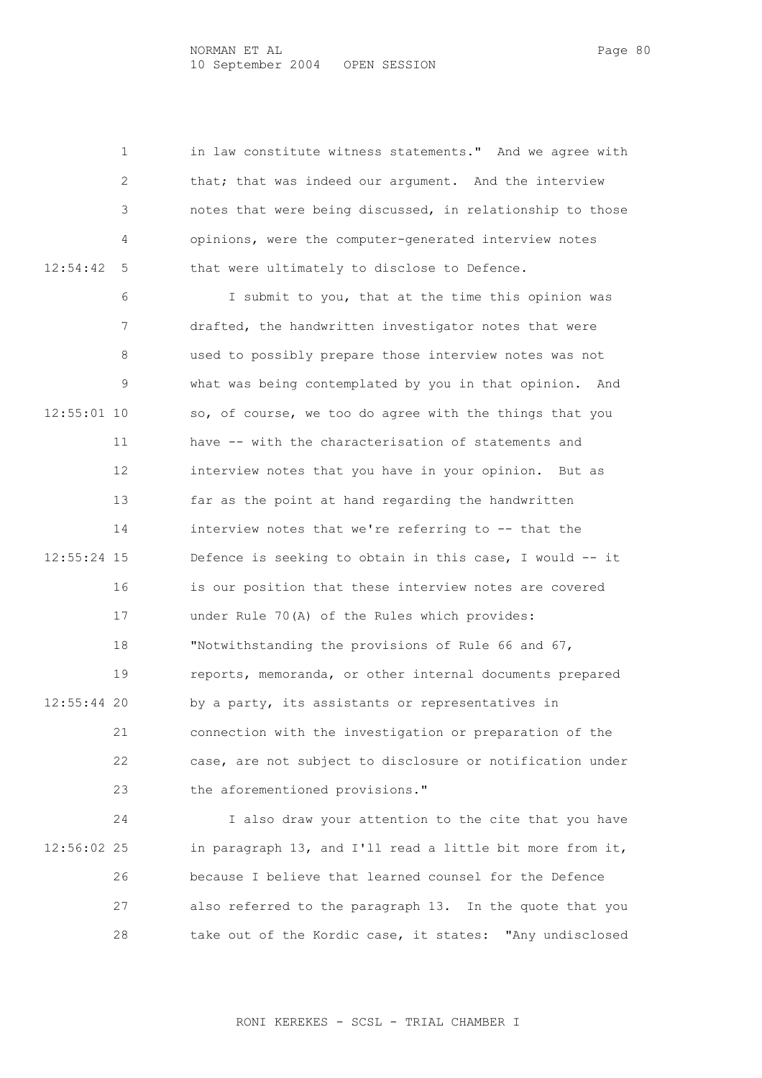1 in law constitute witness statements." And we agree with 2 that; that was indeed our argument. And the interview 3 notes that were being discussed, in relationship to those 4 opinions, were the computer-generated interview notes 12:54:42 5 that were ultimately to disclose to Defence.

 6 I submit to you, that at the time this opinion was 7 drafted, the handwritten investigator notes that were 8 used to possibly prepare those interview notes was not 9 what was being contemplated by you in that opinion. And 12:55:01 10 so, of course, we too do agree with the things that you 11 have -- with the characterisation of statements and 12 interview notes that you have in your opinion. But as 13 far as the point at hand regarding the handwritten 14 interview notes that we're referring to -- that the 12:55:24 15 Defence is seeking to obtain in this case, I would -- it 16 is our position that these interview notes are covered 17 under Rule 70(A) of the Rules which provides: 18 "Notwithstanding the provisions of Rule 66 and 67, 19 reports, memoranda, or other internal documents prepared 12:55:44 20 by a party, its assistants or representatives in 21 connection with the investigation or preparation of the 22 case, are not subject to disclosure or notification under 23 the aforementioned provisions."

 24 I also draw your attention to the cite that you have 12:56:02 25 in paragraph 13, and I'll read a little bit more from it, 26 because I believe that learned counsel for the Defence 27 also referred to the paragraph 13. In the quote that you 28 take out of the Kordic case, it states: "Any undisclosed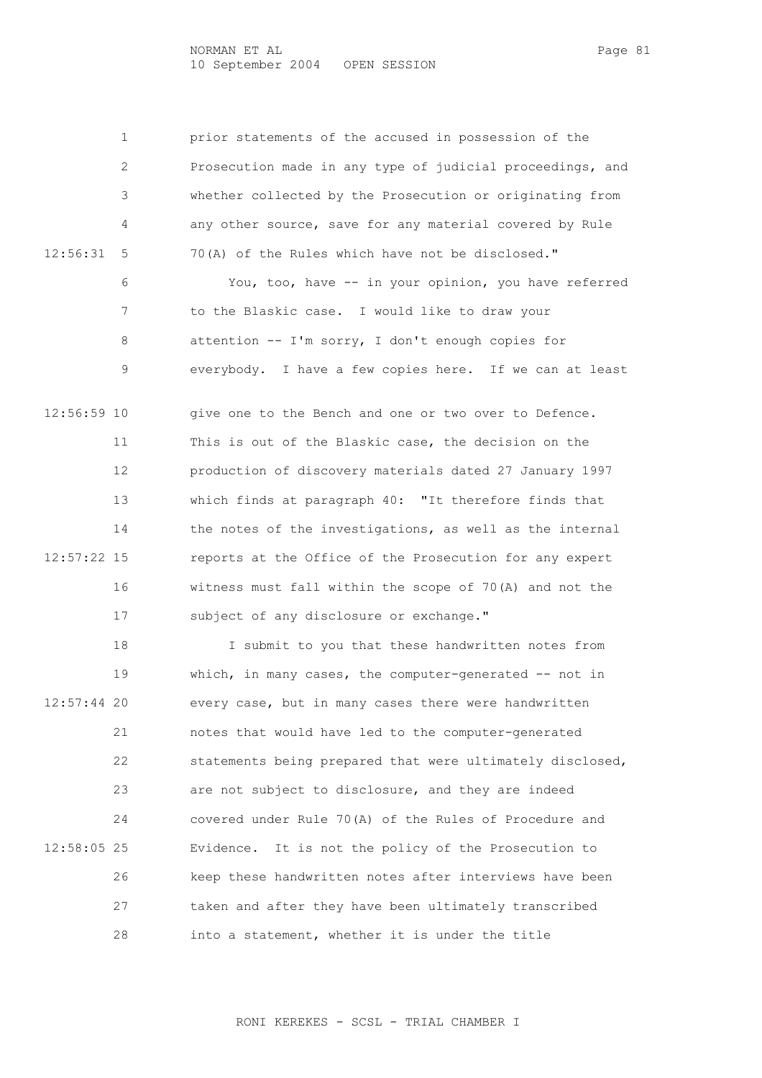NORMAN ET AL PAGE 81 10 September 2004 OPEN SESSION

 1 prior statements of the accused in possession of the 2 Prosecution made in any type of judicial proceedings, and 3 whether collected by the Prosecution or originating from 4 any other source, save for any material covered by Rule 12:56:31 5 70(A) of the Rules which have not be disclosed." 6 You, too, have -- in your opinion, you have referred 7 to the Blaskic case. I would like to draw your 8 attention -- I'm sorry, I don't enough copies for 9 everybody. I have a few copies here. If we can at least

 12:56:59 10 give one to the Bench and one or two over to Defence. 11 This is out of the Blaskic case, the decision on the 12 production of discovery materials dated 27 January 1997 13 which finds at paragraph 40: "It therefore finds that 14 the notes of the investigations, as well as the internal 12:57:22 15 reports at the Office of the Prosecution for any expert 16 witness must fall within the scope of 70(A) and not the 17 subject of any disclosure or exchange."

 18 I submit to you that these handwritten notes from 19 which, in many cases, the computer-generated -- not in 12:57:44 20 every case, but in many cases there were handwritten 21 notes that would have led to the computer-generated 22 statements being prepared that were ultimately disclosed, 23 are not subject to disclosure, and they are indeed 24 covered under Rule 70(A) of the Rules of Procedure and 12:58:05 25 Evidence. It is not the policy of the Prosecution to 26 keep these handwritten notes after interviews have been 27 taken and after they have been ultimately transcribed 28 into a statement, whether it is under the title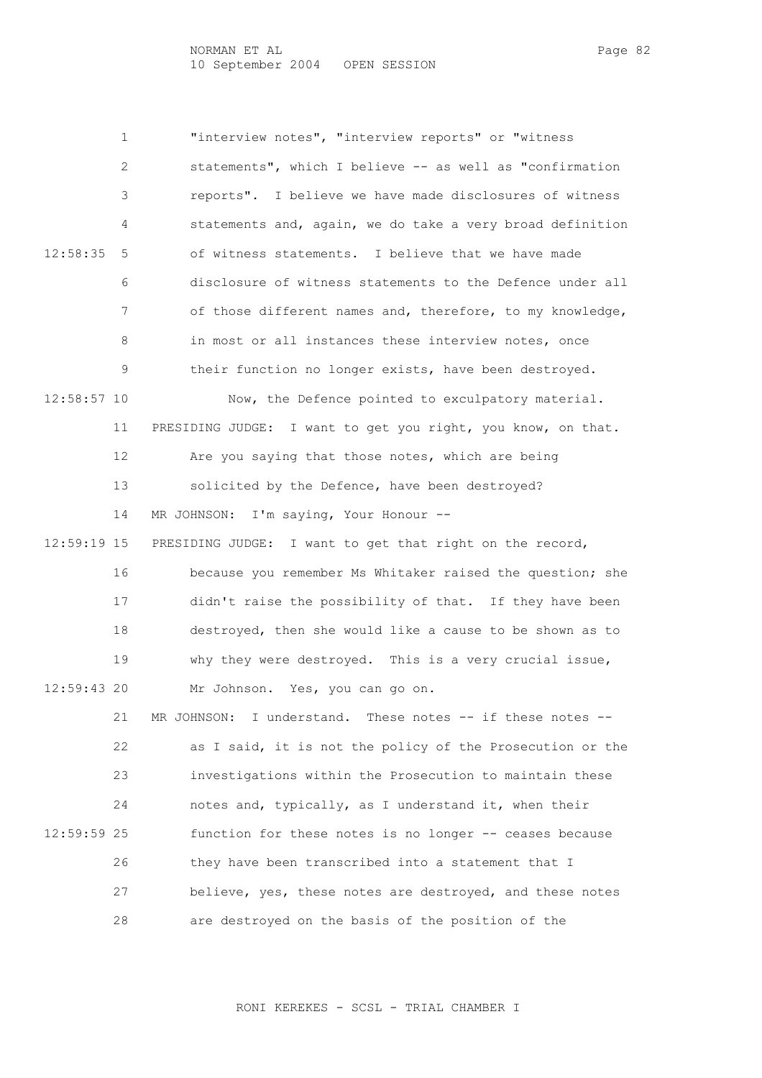1 "interview notes", "interview reports" or "witness 2 statements", which I believe -- as well as "confirmation 3 reports". I believe we have made disclosures of witness 4 statements and, again, we do take a very broad definition 12:58:35 5 of witness statements. I believe that we have made 6 disclosure of witness statements to the Defence under all 7 of those different names and, therefore, to my knowledge, 8 in most or all instances these interview notes, once 9 their function no longer exists, have been destroyed. 12:58:57 10 Now, the Defence pointed to exculpatory material. 11 PRESIDING JUDGE: I want to get you right, you know, on that. 12 Are you saying that those notes, which are being 13 solicited by the Defence, have been destroyed? 14 MR JOHNSON: I'm saying, Your Honour -- 12:59:19 15 PRESIDING JUDGE: I want to get that right on the record, 16 because you remember Ms Whitaker raised the question; she 17 didn't raise the possibility of that. If they have been 18 destroyed, then she would like a cause to be shown as to 19 why they were destroyed. This is a very crucial issue, 12:59:43 20 Mr Johnson. Yes, you can go on. 21 MR JOHNSON: I understand. These notes -- if these notes -- 22 as I said, it is not the policy of the Prosecution or the 23 investigations within the Prosecution to maintain these 24 notes and, typically, as I understand it, when their 12:59:59 25 function for these notes is no longer -- ceases because 26 they have been transcribed into a statement that I 27 believe, yes, these notes are destroyed, and these notes 28 are destroyed on the basis of the position of the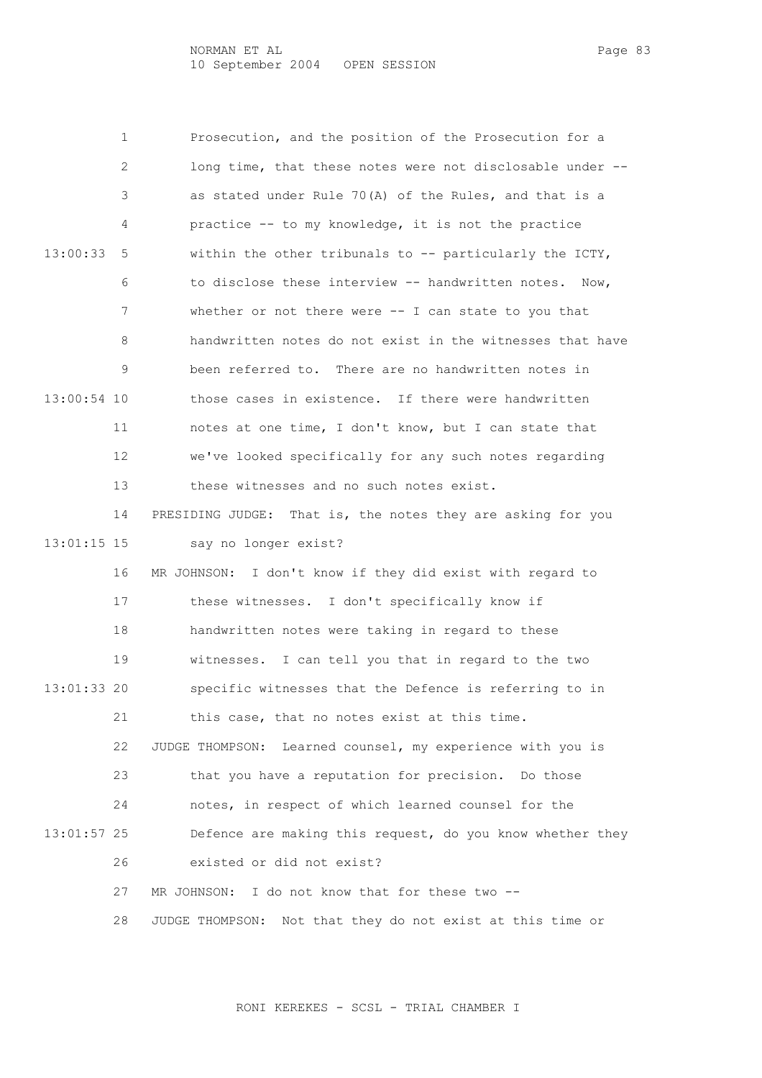1 Prosecution, and the position of the Prosecution for a 2 long time, that these notes were not disclosable under -- 3 as stated under Rule 70(A) of the Rules, and that is a 4 practice -- to my knowledge, it is not the practice 13:00:33 5 within the other tribunals to -- particularly the ICTY, 6 to disclose these interview -- handwritten notes. Now, 7 whether or not there were -- I can state to you that 8 handwritten notes do not exist in the witnesses that have 9 been referred to. There are no handwritten notes in 13:00:54 10 those cases in existence. If there were handwritten 11 notes at one time, I don't know, but I can state that 12 we've looked specifically for any such notes regarding 13 these witnesses and no such notes exist. 14 PRESIDING JUDGE: That is, the notes they are asking for you 13:01:15 15 say no longer exist? 16 MR JOHNSON: I don't know if they did exist with regard to 17 these witnesses. I don't specifically know if 18 handwritten notes were taking in regard to these 19 witnesses. I can tell you that in regard to the two 13:01:33 20 specific witnesses that the Defence is referring to in 21 this case, that no notes exist at this time. 22 JUDGE THOMPSON: Learned counsel, my experience with you is 23 that you have a reputation for precision. Do those 24 notes, in respect of which learned counsel for the 13:01:57 25 Defence are making this request, do you know whether they 26 existed or did not exist? 27 MR JOHNSON: I do not know that for these two -- 28 JUDGE THOMPSON: Not that they do not exist at this time or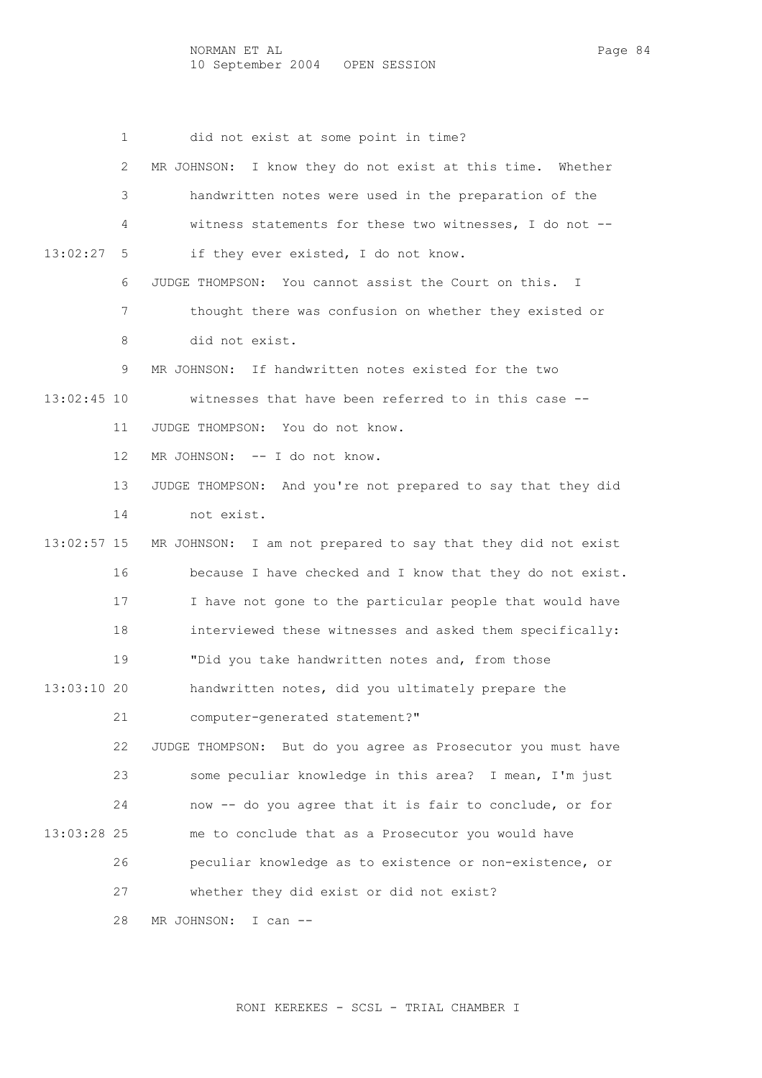1 did not exist at some point in time? 2 MR JOHNSON: I know they do not exist at this time. Whether 3 handwritten notes were used in the preparation of the 4 witness statements for these two witnesses, I do not -- 13:02:27 5 if they ever existed, I do not know. 6 JUDGE THOMPSON: You cannot assist the Court on this. I 7 thought there was confusion on whether they existed or 8 did not exist. 9 MR JOHNSON: If handwritten notes existed for the two 13:02:45 10 witnesses that have been referred to in this case -- 11 JUDGE THOMPSON: You do not know. 12 MR JOHNSON: -- I do not know. 13 JUDGE THOMPSON: And you're not prepared to say that they did 14 not exist. 13:02:57 15 MR JOHNSON: I am not prepared to say that they did not exist 16 because I have checked and I know that they do not exist. 17 I have not gone to the particular people that would have 18 interviewed these witnesses and asked them specifically: 19 "Did you take handwritten notes and, from those 13:03:10 20 handwritten notes, did you ultimately prepare the 21 computer-generated statement?" 22 JUDGE THOMPSON: But do you agree as Prosecutor you must have 23 some peculiar knowledge in this area? I mean, I'm just 24 now -- do you agree that it is fair to conclude, or for 13:03:28 25 me to conclude that as a Prosecutor you would have 26 peculiar knowledge as to existence or non-existence, or 27 whether they did exist or did not exist? 28 MR JOHNSON: I can --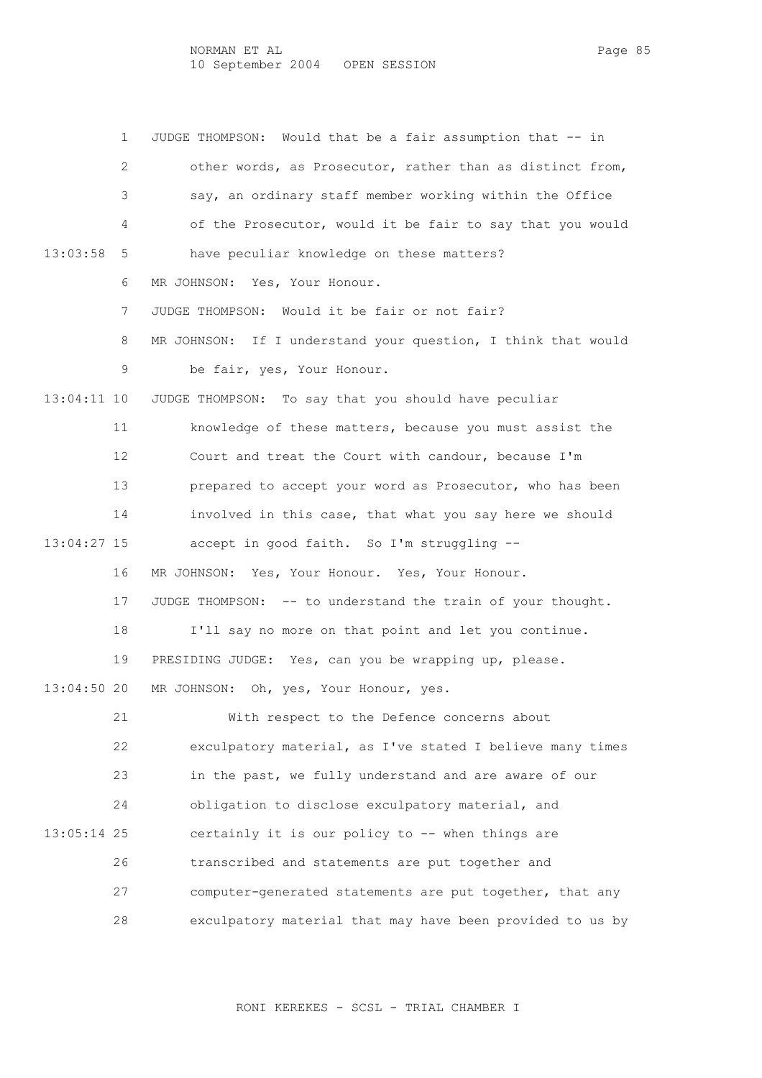1 JUDGE THOMPSON: Would that be a fair assumption that -- in 2 other words, as Prosecutor, rather than as distinct from, 3 say, an ordinary staff member working within the Office 4 of the Prosecutor, would it be fair to say that you would 13:03:58 5 have peculiar knowledge on these matters? 6 MR JOHNSON: Yes, Your Honour. 7 JUDGE THOMPSON: Would it be fair or not fair? 8 MR JOHNSON: If I understand your question, I think that would 9 be fair, yes, Your Honour. 13:04:11 10 JUDGE THOMPSON: To say that you should have peculiar 11 knowledge of these matters, because you must assist the 12 Court and treat the Court with candour, because I'm 13 prepared to accept your word as Prosecutor, who has been 14 involved in this case, that what you say here we should 13:04:27 15 accept in good faith. So I'm struggling -- 16 MR JOHNSON: Yes, Your Honour. Yes, Your Honour. 17 JUDGE THOMPSON: -- to understand the train of your thought. 18 I'll say no more on that point and let you continue. 19 PRESIDING JUDGE: Yes, can you be wrapping up, please. 13:04:50 20 MR JOHNSON: Oh, yes, Your Honour, yes. 21 With respect to the Defence concerns about 22 exculpatory material, as I've stated I believe many times 23 in the past, we fully understand and are aware of our 24 obligation to disclose exculpatory material, and 13:05:14 25 certainly it is our policy to -- when things are 26 transcribed and statements are put together and 27 computer-generated statements are put together, that any 28 exculpatory material that may have been provided to us by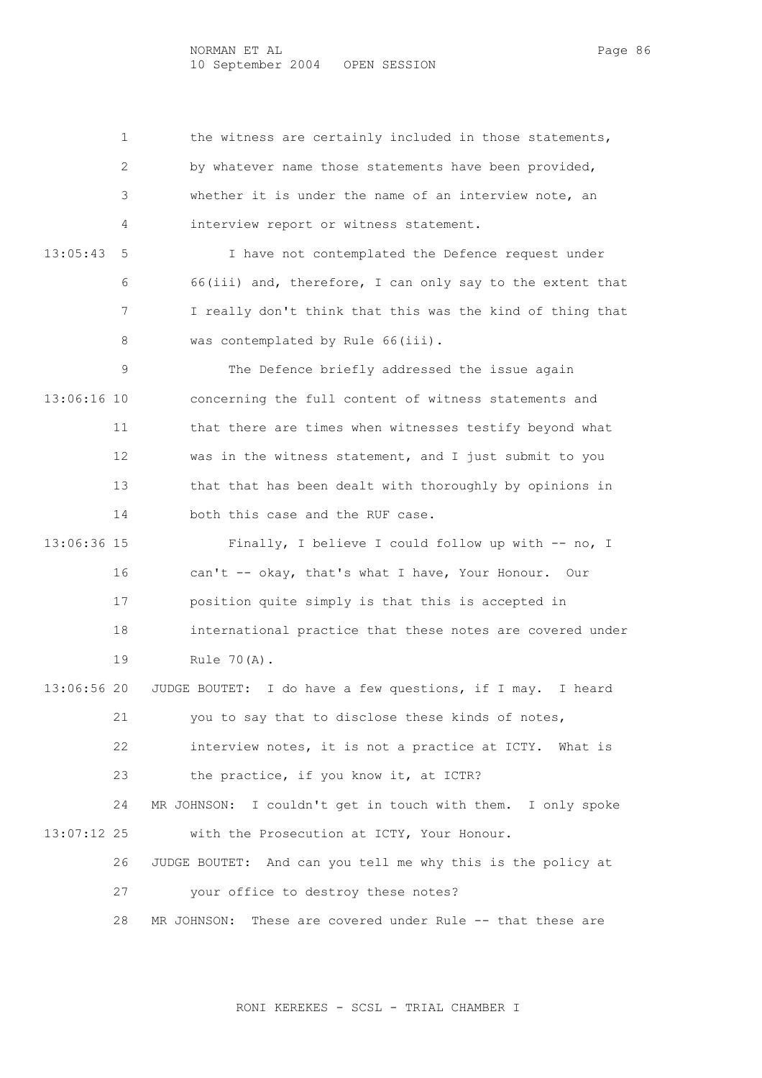1 the witness are certainly included in those statements, 2 by whatever name those statements have been provided, 3 whether it is under the name of an interview note, an 4 interview report or witness statement.

 13:05:43 5 I have not contemplated the Defence request under 6 66(iii) and, therefore, I can only say to the extent that 7 I really don't think that this was the kind of thing that 8 was contemplated by Rule 66(iii).

 9 The Defence briefly addressed the issue again 13:06:16 10 concerning the full content of witness statements and 11 that there are times when witnesses testify beyond what 12 was in the witness statement, and I just submit to you 13 that that has been dealt with thoroughly by opinions in 14 both this case and the RUF case.

 13:06:36 15 Finally, I believe I could follow up with -- no, I 16 can't -- okay, that's what I have, Your Honour. Our 17 position quite simply is that this is accepted in 18 international practice that these notes are covered under 19 Rule 70(A).

 13:06:56 20 JUDGE BOUTET: I do have a few questions, if I may. I heard 21 you to say that to disclose these kinds of notes, 22 interview notes, it is not a practice at ICTY. What is 23 the practice, if you know it, at ICTR?

 24 MR JOHNSON: I couldn't get in touch with them. I only spoke 13:07:12 25 with the Prosecution at ICTY, Your Honour.

26 JUDGE BOUTET: And can you tell me why this is the policy at

27 your office to destroy these notes?

28 MR JOHNSON: These are covered under Rule -- that these are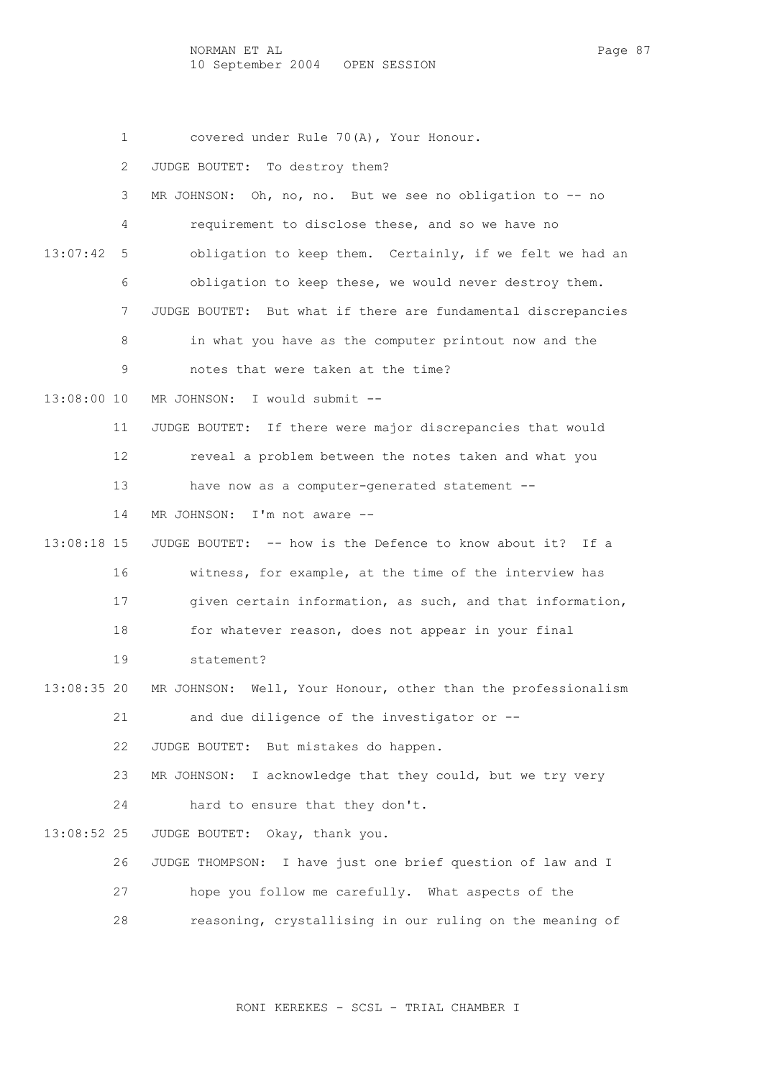NORMAN ET AL Page 87 10 September 2004 OPEN SESSION

 1 covered under Rule 70(A), Your Honour. 2 JUDGE BOUTET: To destroy them? 3 MR JOHNSON: Oh, no, no. But we see no obligation to -- no 4 requirement to disclose these, and so we have no 13:07:42 5 obligation to keep them. Certainly, if we felt we had an 6 obligation to keep these, we would never destroy them. 7 JUDGE BOUTET: But what if there are fundamental discrepancies 8 in what you have as the computer printout now and the 9 notes that were taken at the time? 13:08:00 10 MR JOHNSON: I would submit -- 11 JUDGE BOUTET: If there were major discrepancies that would 12 reveal a problem between the notes taken and what you 13 have now as a computer-generated statement -- 14 MR JOHNSON: I'm not aware -- 13:08:18 15 JUDGE BOUTET: -- how is the Defence to know about it? If a 16 witness, for example, at the time of the interview has 17 given certain information, as such, and that information, 18 for whatever reason, does not appear in your final 19 statement? 13:08:35 20 MR JOHNSON: Well, Your Honour, other than the professionalism 21 and due diligence of the investigator or -- 22 JUDGE BOUTET: But mistakes do happen. 23 MR JOHNSON: I acknowledge that they could, but we try very 24 hard to ensure that they don't. 13:08:52 25 JUDGE BOUTET: Okay, thank you. 26 JUDGE THOMPSON: I have just one brief question of law and I 27 hope you follow me carefully. What aspects of the

28 reasoning, crystallising in our ruling on the meaning of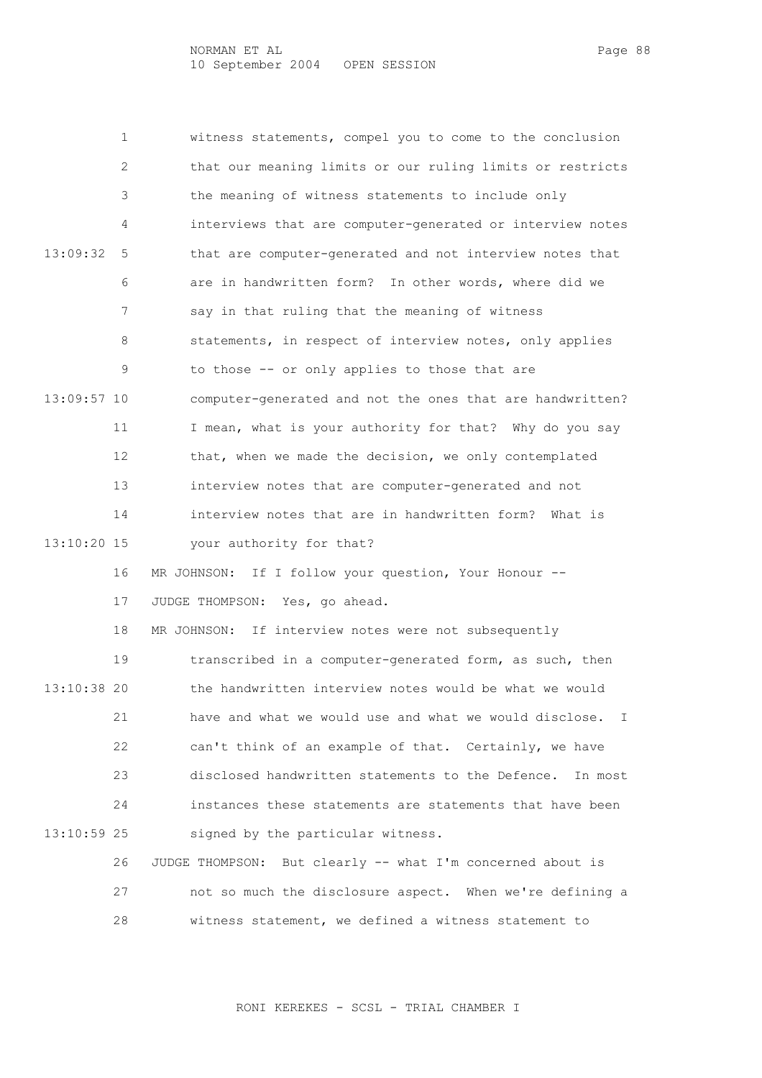1 witness statements, compel you to come to the conclusion 2 that our meaning limits or our ruling limits or restricts 3 the meaning of witness statements to include only 4 interviews that are computer-generated or interview notes 13:09:32 5 that are computer-generated and not interview notes that 6 are in handwritten form? In other words, where did we 7 say in that ruling that the meaning of witness 8 statements, in respect of interview notes, only applies 9 to those -- or only applies to those that are 13:09:57 10 computer-generated and not the ones that are handwritten? 11 I mean, what is your authority for that? Why do you say 12 that, when we made the decision, we only contemplated 13 interview notes that are computer-generated and not 14 interview notes that are in handwritten form? What is 13:10:20 15 your authority for that? 16 MR JOHNSON: If I follow your question, Your Honour -- 17 JUDGE THOMPSON: Yes, go ahead.

 18 MR JOHNSON: If interview notes were not subsequently 19 transcribed in a computer-generated form, as such, then 13:10:38 20 the handwritten interview notes would be what we would 21 have and what we would use and what we would disclose. I 22 can't think of an example of that. Certainly, we have 23 disclosed handwritten statements to the Defence. In most 24 instances these statements are statements that have been 13:10:59 25 signed by the particular witness. 26 JUDGE THOMPSON: But clearly -- what I'm concerned about is

> 27 not so much the disclosure aspect. When we're defining a 28 witness statement, we defined a witness statement to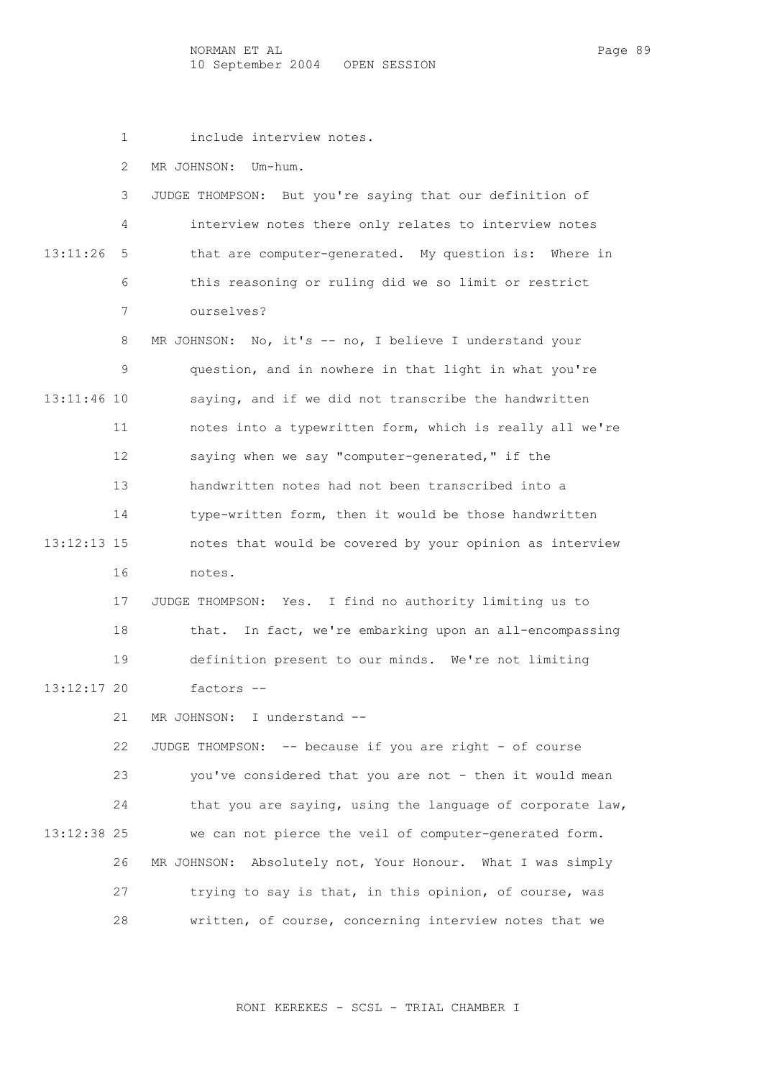NORMAN ET AL Page 89 10 September 2004 OPEN SESSION

1 include interview notes.

2 MR JOHNSON: Um-hum.

|              |   | JUDGE THOMPSON: But you're saying that our definition of |
|--------------|---|----------------------------------------------------------|
|              | 4 | interview notes there only relates to interview notes    |
| $13:11:26$ 5 |   | that are computer-generated. My question is: Where in    |
|              | 6 | this reasoning or ruling did we so limit or restrict     |
|              |   | ourselves?                                               |
|              |   |                                                          |

8 MR JOHNSON: No, it's -- no, I believe I understand your 9 question, and in nowhere in that light in what you're 13:11:46 10 saying, and if we did not transcribe the handwritten 11 notes into a typewritten form, which is really all we're 12 saying when we say "computer-generated," if the 13 handwritten notes had not been transcribed into a 14 type-written form, then it would be those handwritten 13:12:13 15 notes that would be covered by your opinion as interview 16 notes.

 17 JUDGE THOMPSON: Yes. I find no authority limiting us to 18 that. In fact, we're embarking upon an all-encompassing 19 definition present to our minds. We're not limiting 13:12:17 20 factors --

21 MR JOHNSON: I understand --

 22 JUDGE THOMPSON: -- because if you are right - of course 23 you've considered that you are not - then it would mean 24 that you are saying, using the language of corporate law, 13:12:38 25 we can not pierce the veil of computer-generated form. 26 MR JOHNSON: Absolutely not, Your Honour. What I was simply 27 trying to say is that, in this opinion, of course, was 28 written, of course, concerning interview notes that we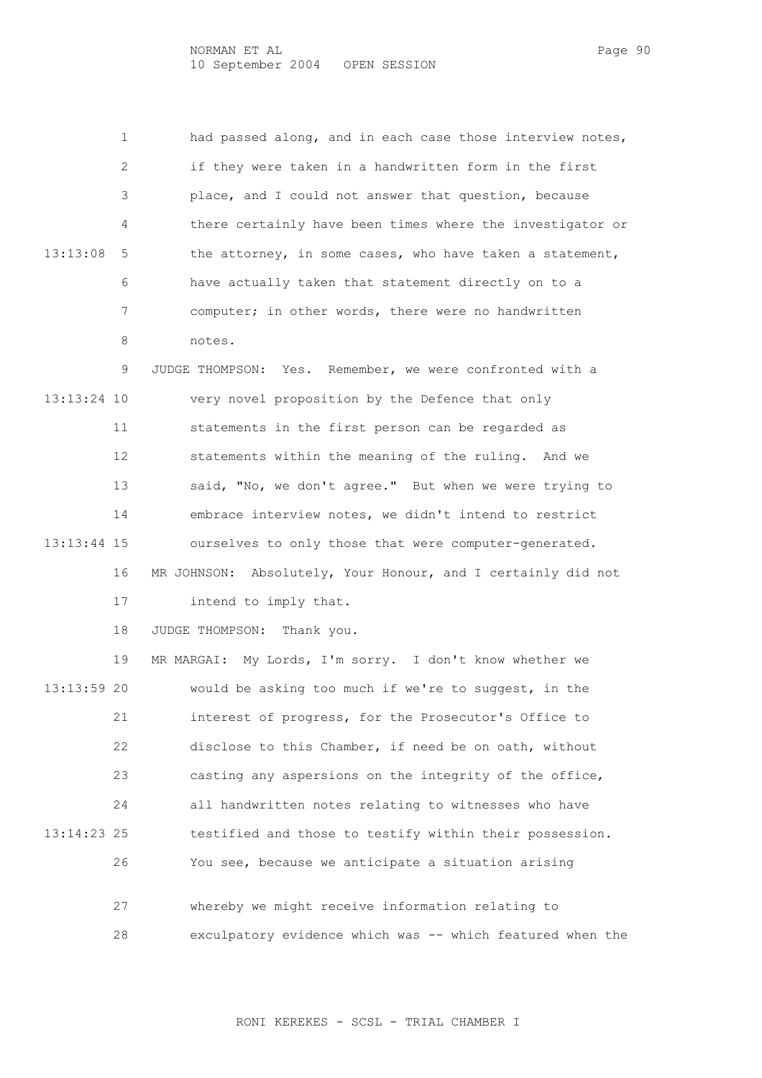1 had passed along, and in each case those interview notes, 2 if they were taken in a handwritten form in the first 3 place, and I could not answer that question, because 4 there certainly have been times where the investigator or 13:13:08 5 the attorney, in some cases, who have taken a statement, 6 have actually taken that statement directly on to a 7 computer; in other words, there were no handwritten 8 notes.

 9 JUDGE THOMPSON: Yes. Remember, we were confronted with a 13:13:24 10 very novel proposition by the Defence that only 11 statements in the first person can be regarded as 12 statements within the meaning of the ruling. And we 13 said, "No, we don't agree." But when we were trying to 14 embrace interview notes, we didn't intend to restrict 13:13:44 15 ourselves to only those that were computer-generated. 16 MR JOHNSON: Absolutely, Your Honour, and I certainly did not 17 intend to imply that.

18 JUDGE THOMPSON: Thank you.

 19 MR MARGAI: My Lords, I'm sorry. I don't know whether we 13:13:59 20 would be asking too much if we're to suggest, in the 21 interest of progress, for the Prosecutor's Office to 22 disclose to this Chamber, if need be on oath, without 23 casting any aspersions on the integrity of the office, 24 all handwritten notes relating to witnesses who have 13:14:23 25 testified and those to testify within their possession. 26 You see, because we anticipate a situation arising 27 whereby we might receive information relating to

28 exculpatory evidence which was -- which featured when the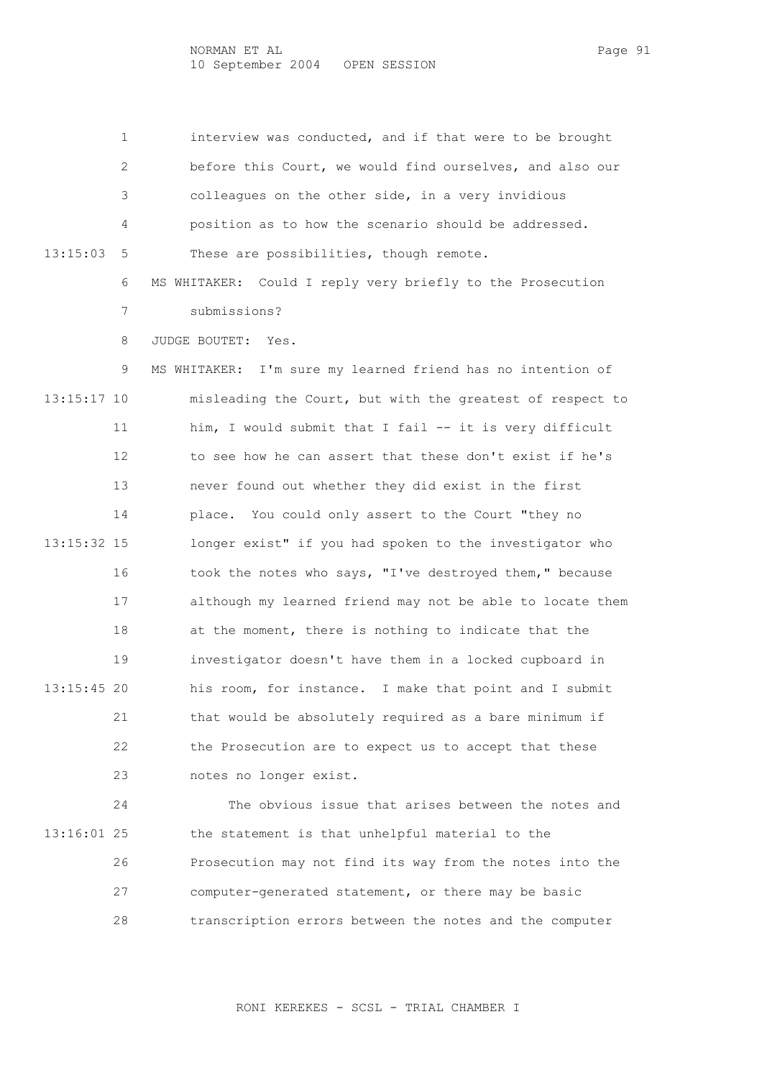1 interview was conducted, and if that were to be brought 2 before this Court, we would find ourselves, and also our 3 colleagues on the other side, in a very invidious 4 position as to how the scenario should be addressed. 13:15:03 5 These are possibilities, though remote. 6 MS WHITAKER: Could I reply very briefly to the Prosecution

7 submissions?

8 JUDGE BOUTET: Yes.

 9 MS WHITAKER: I'm sure my learned friend has no intention of 13:15:17 10 misleading the Court, but with the greatest of respect to 11 him, I would submit that I fail -- it is very difficult 12 to see how he can assert that these don't exist if he's 13 never found out whether they did exist in the first 14 place. You could only assert to the Court "they no 13:15:32 15 longer exist" if you had spoken to the investigator who 16 took the notes who says, "I've destroyed them," because 17 although my learned friend may not be able to locate them 18 at the moment, there is nothing to indicate that the 19 investigator doesn't have them in a locked cupboard in 13:15:45 20 his room, for instance. I make that point and I submit 21 that would be absolutely required as a bare minimum if 22 the Prosecution are to expect us to accept that these 23 notes no longer exist.

 24 The obvious issue that arises between the notes and 13:16:01 25 the statement is that unhelpful material to the 26 Prosecution may not find its way from the notes into the 27 computer-generated statement, or there may be basic 28 transcription errors between the notes and the computer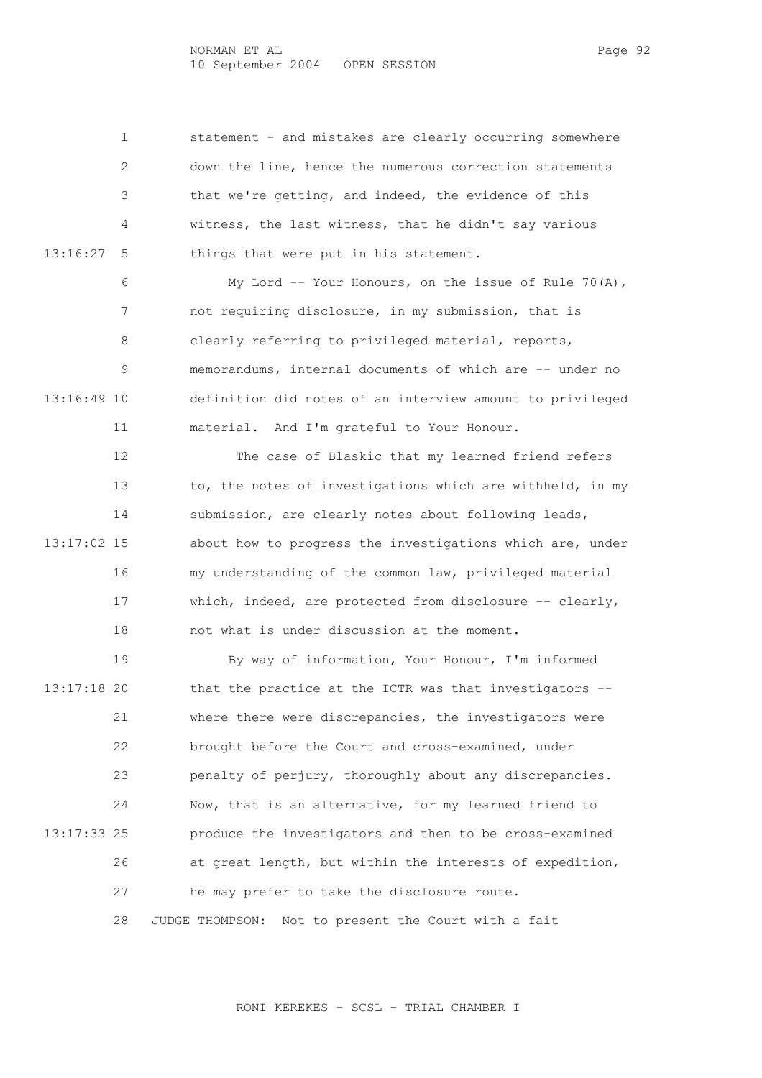1 statement - and mistakes are clearly occurring somewhere 2 down the line, hence the numerous correction statements 3 that we're getting, and indeed, the evidence of this 4 witness, the last witness, that he didn't say various 13:16:27 5 things that were put in his statement.

 6 My Lord -- Your Honours, on the issue of Rule 70(A), 7 not requiring disclosure, in my submission, that is 8 clearly referring to privileged material, reports, 9 memorandums, internal documents of which are -- under no 13:16:49 10 definition did notes of an interview amount to privileged 11 material. And I'm grateful to Your Honour.

 12 The case of Blaskic that my learned friend refers 13 to, the notes of investigations which are withheld, in my 14 submission, are clearly notes about following leads, 13:17:02 15 about how to progress the investigations which are, under 16 my understanding of the common law, privileged material 17 which, indeed, are protected from disclosure -- clearly, 18 not what is under discussion at the moment.

 19 By way of information, Your Honour, I'm informed 13:17:18 20 that the practice at the ICTR was that investigators -- 21 where there were discrepancies, the investigators were 22 brought before the Court and cross-examined, under 23 penalty of perjury, thoroughly about any discrepancies. 24 Now, that is an alternative, for my learned friend to 13:17:33 25 produce the investigators and then to be cross-examined 26 at great length, but within the interests of expedition, 27 he may prefer to take the disclosure route. 28 JUDGE THOMPSON: Not to present the Court with a fait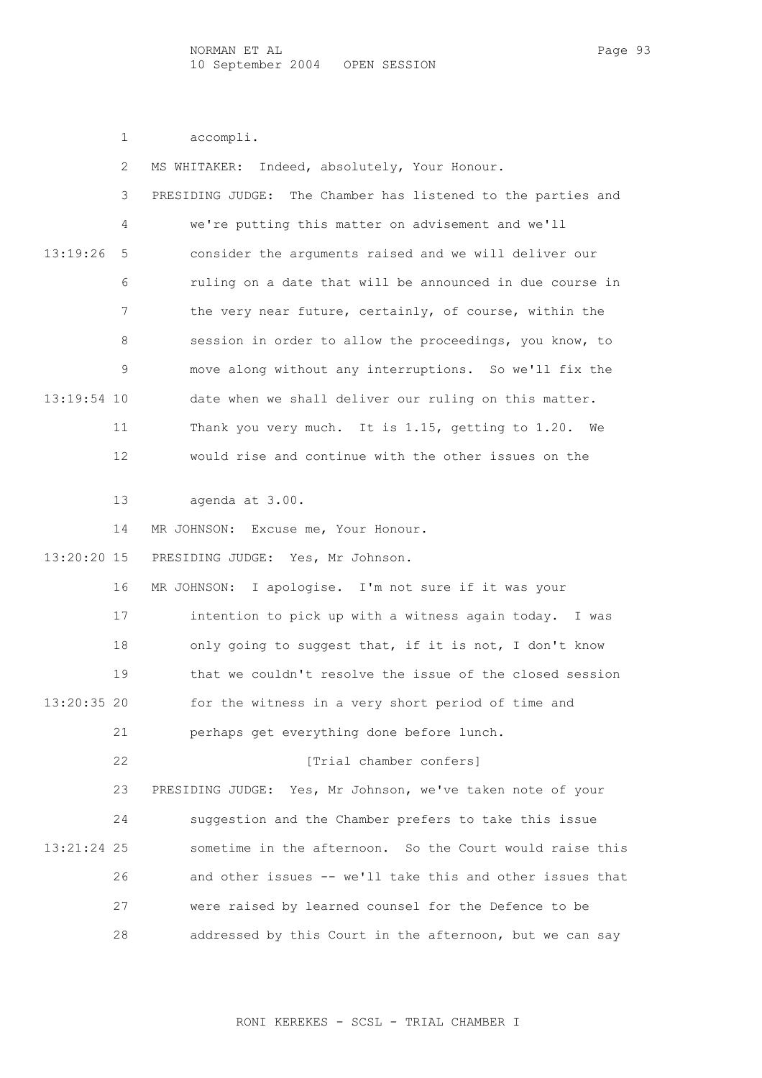1 accompli.

| 2             | Indeed, absolutely, Your Honour.<br>MS WHITAKER:              |
|---------------|---------------------------------------------------------------|
| 3             | PRESIDING JUDGE: The Chamber has listened to the parties and  |
| 4             | we're putting this matter on advisement and we'll             |
| 13:19:26<br>5 | consider the arguments raised and we will deliver our         |
| 6             | ruling on a date that will be announced in due course in      |
| 7             | the very near future, certainly, of course, within the        |
| 8             | session in order to allow the proceedings, you know, to       |
| 9             | move along without any interruptions. So we'll fix the        |
| 13:19:54 10   | date when we shall deliver our ruling on this matter.         |
| 11            | Thank you very much. It is 1.15, getting to 1.20. We          |
| 12            | would rise and continue with the other issues on the          |
|               |                                                               |
| 13            | agenda at 3.00.                                               |
| 14            | MR JOHNSON: Excuse me, Your Honour.                           |
| 13:20:20 15   | PRESIDING JUDGE: Yes, Mr Johnson.                             |
| 16            | MR JOHNSON: I apologise. I'm not sure if it was your          |
| 17            | intention to pick up with a witness again today. I was        |
| 18            | only going to suggest that, if it is not, I don't know        |
| 19            | that we couldn't resolve the issue of the closed session      |
| 13:20:35 20   | for the witness in a very short period of time and            |
| 21            | perhaps get everything done before lunch.                     |
| 22            | [Trial chamber confers]                                       |
| 23            | Yes, Mr Johnson, we've taken note of your<br>PRESIDING JUDGE: |
| 24            | suggestion and the Chamber prefers to take this issue         |
| 13:21:24 25   | sometime in the afternoon. So the Court would raise this      |
| 26            | and other issues -- we'll take this and other issues that     |
| 27            | were raised by learned counsel for the Defence to be          |
| 28            | addressed by this Court in the afternoon, but we can say      |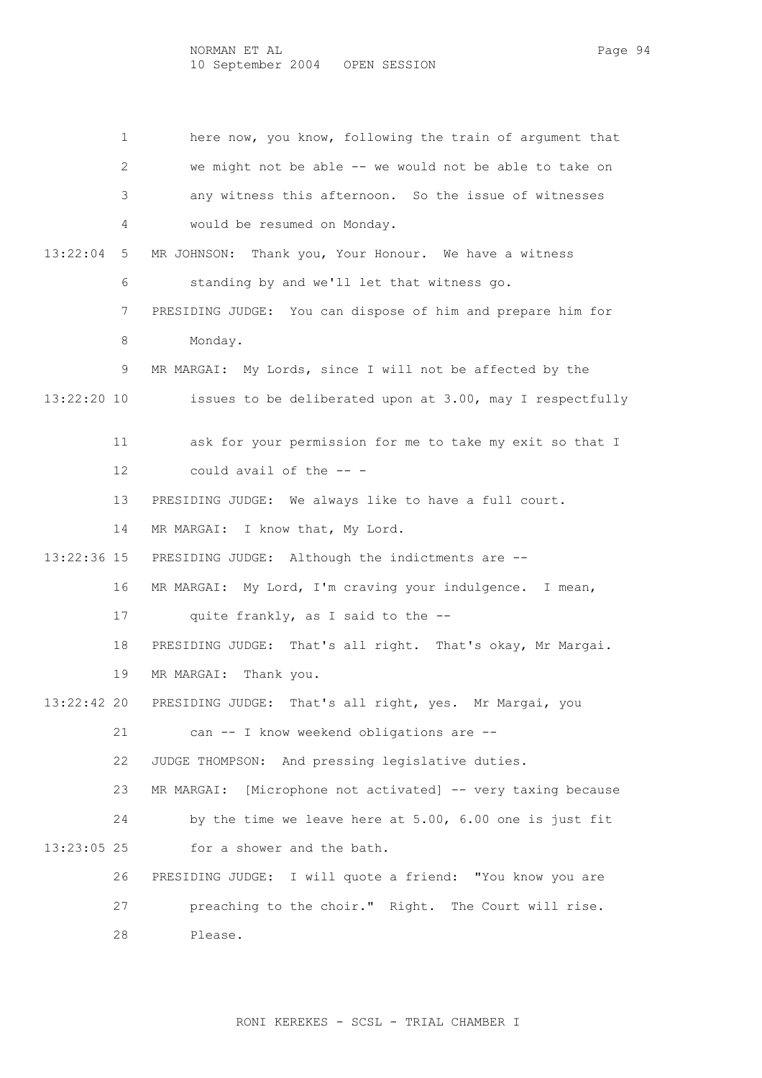1 here now, you know, following the train of argument that 2 we might not be able -- we would not be able to take on 3 any witness this afternoon. So the issue of witnesses 4 would be resumed on Monday. 13:22:04 5 MR JOHNSON: Thank you, Your Honour. We have a witness 6 standing by and we'll let that witness go. 7 PRESIDING JUDGE: You can dispose of him and prepare him for 8 Monday. 9 MR MARGAI: My Lords, since I will not be affected by the 13:22:20 10 issues to be deliberated upon at 3.00, may I respectfully 11 ask for your permission for me to take my exit so that I 12 could avail of the -- - 13 PRESIDING JUDGE: We always like to have a full court. 14 MR MARGAI: I know that, My Lord. 13:22:36 15 PRESIDING JUDGE: Although the indictments are -- 16 MR MARGAI: My Lord, I'm craving your indulgence. I mean, 17 quite frankly, as I said to the -- 18 PRESIDING JUDGE: That's all right. That's okay, Mr Margai. 19 MR MARGAI: Thank you. 13:22:42 20 PRESIDING JUDGE: That's all right, yes. Mr Margai, you 21 can -- I know weekend obligations are -- 22 JUDGE THOMPSON: And pressing legislative duties. 23 MR MARGAI: [Microphone not activated] -- very taxing because 24 by the time we leave here at 5.00, 6.00 one is just fit 13:23:05 25 for a shower and the bath. 26 PRESIDING JUDGE: I will quote a friend: "You know you are 27 preaching to the choir." Right. The Court will rise. 28 Please.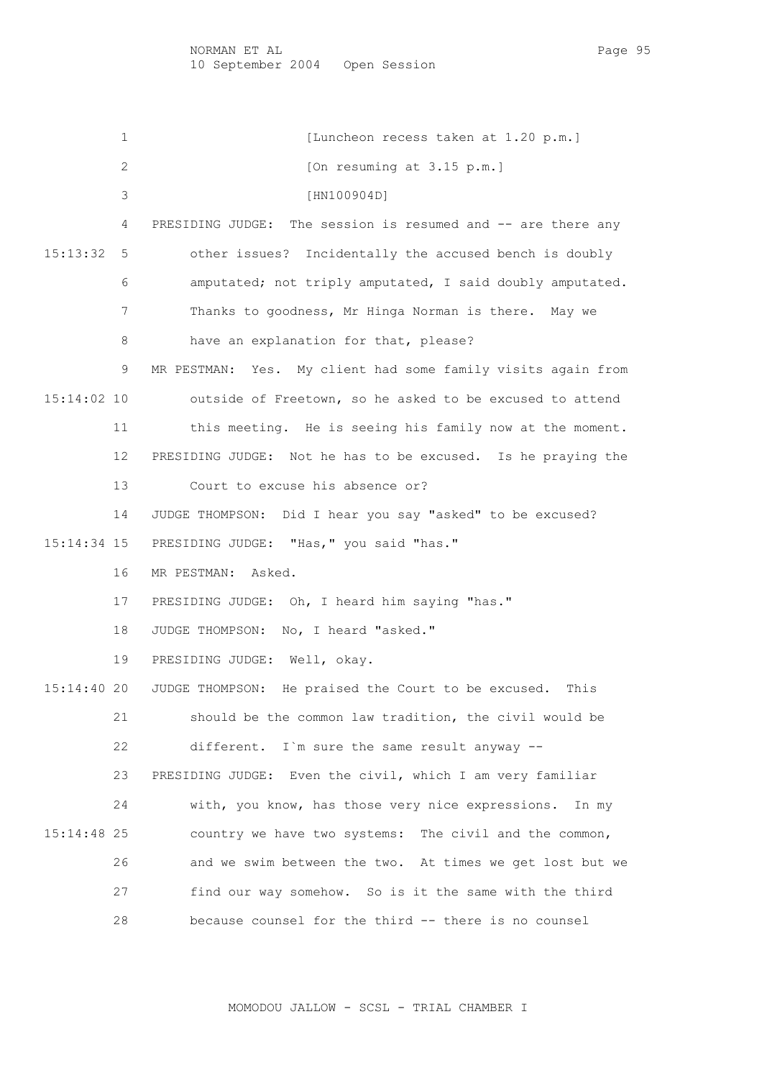NORMAN ET AL PAGE 1958 EN 2009 ISLAM PAGE 95 10 September 2004 Open Session

1 [Luncheon recess taken at 1.20 p.m.] 2 [On resuming at 3.15 p.m.] 3 [HN100904D] 4 PRESIDING JUDGE: The session is resumed and -- are there any 15:13:32 5 other issues? Incidentally the accused bench is doubly 6 amputated; not triply amputated, I said doubly amputated. 7 Thanks to goodness, Mr Hinga Norman is there. May we 8 have an explanation for that, please? 9 MR PESTMAN: Yes. My client had some family visits again from 15:14:02 10 outside of Freetown, so he asked to be excused to attend 11 this meeting. He is seeing his family now at the moment. 12 PRESIDING JUDGE: Not he has to be excused. Is he praying the 13 Court to excuse his absence or? 14 JUDGE THOMPSON: Did I hear you say "asked" to be excused? 15:14:34 15 PRESIDING JUDGE: "Has," you said "has." 16 MR PESTMAN: Asked. 17 PRESIDING JUDGE: Oh, I heard him saying "has." 18 JUDGE THOMPSON: No, I heard "asked." 19 PRESIDING JUDGE: Well, okay. 15:14:40 20 JUDGE THOMPSON: He praised the Court to be excused. This 21 should be the common law tradition, the civil would be 22 different. I`m sure the same result anyway -- 23 PRESIDING JUDGE: Even the civil, which I am very familiar 24 with, you know, has those very nice expressions. In my 15:14:48 25 country we have two systems: The civil and the common, 26 and we swim between the two. At times we get lost but we 27 find our way somehow. So is it the same with the third 28 because counsel for the third -- there is no counsel

MOMODOU JALLOW - SCSL - TRIAL CHAMBER I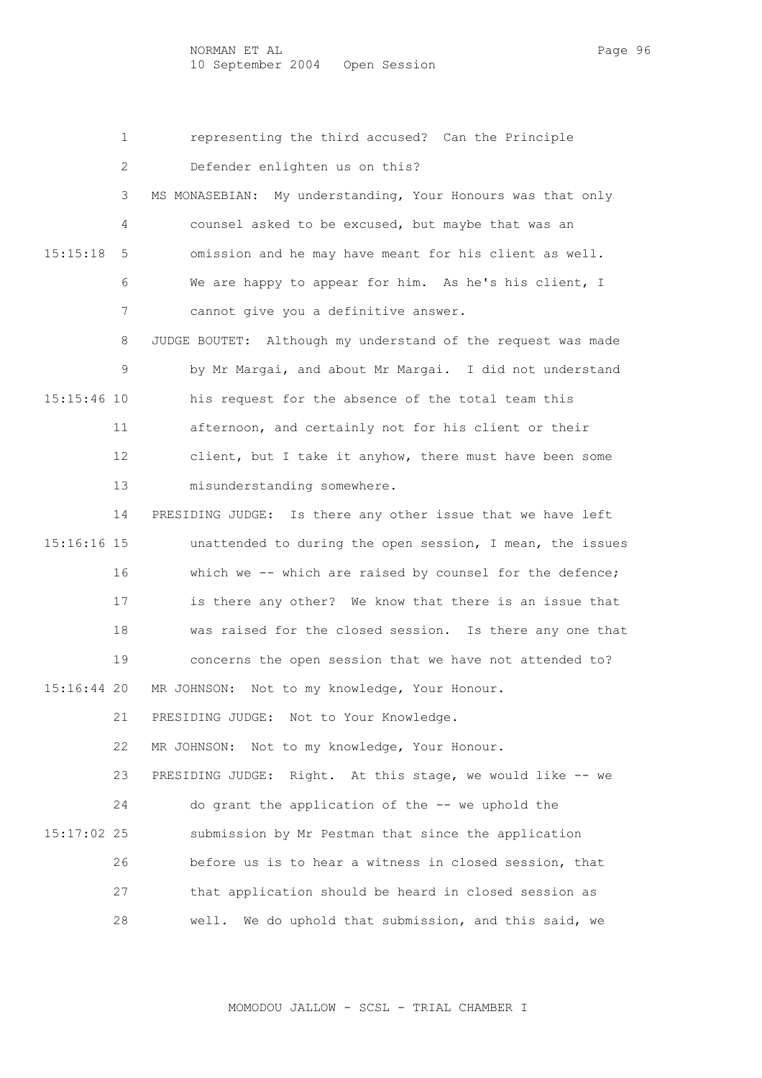1 representing the third accused? Can the Principle

2 Defender enlighten us on this?

 3 MS MONASEBIAN: My understanding, Your Honours was that only 4 counsel asked to be excused, but maybe that was an 15:15:18 5 omission and he may have meant for his client as well. 6 We are happy to appear for him. As he's his client, I 7 cannot give you a definitive answer.

 8 JUDGE BOUTET: Although my understand of the request was made 9 by Mr Margai, and about Mr Margai. I did not understand 15:15:46 10 his request for the absence of the total team this 11 afternoon, and certainly not for his client or their 12 client, but I take it anyhow, there must have been some 13 misunderstanding somewhere.

 14 PRESIDING JUDGE: Is there any other issue that we have left 15:16:16 15 unattended to during the open session, I mean, the issues 16 which we -- which are raised by counsel for the defence; 17 is there any other? We know that there is an issue that 18 was raised for the closed session. Is there any one that 19 concerns the open session that we have not attended to? 15:16:44 20 MR JOHNSON: Not to my knowledge, Your Honour.

21 PRESIDING JUDGE: Not to Your Knowledge.

22 MR JOHNSON: Not to my knowledge, Your Honour.

 23 PRESIDING JUDGE: Right. At this stage, we would like -- we 24 do grant the application of the -- we uphold the 15:17:02 25 submission by Mr Pestman that since the application 26 before us is to hear a witness in closed session, that 27 that application should be heard in closed session as 28 well. We do uphold that submission, and this said, we

MOMODOU JALLOW - SCSL - TRIAL CHAMBER I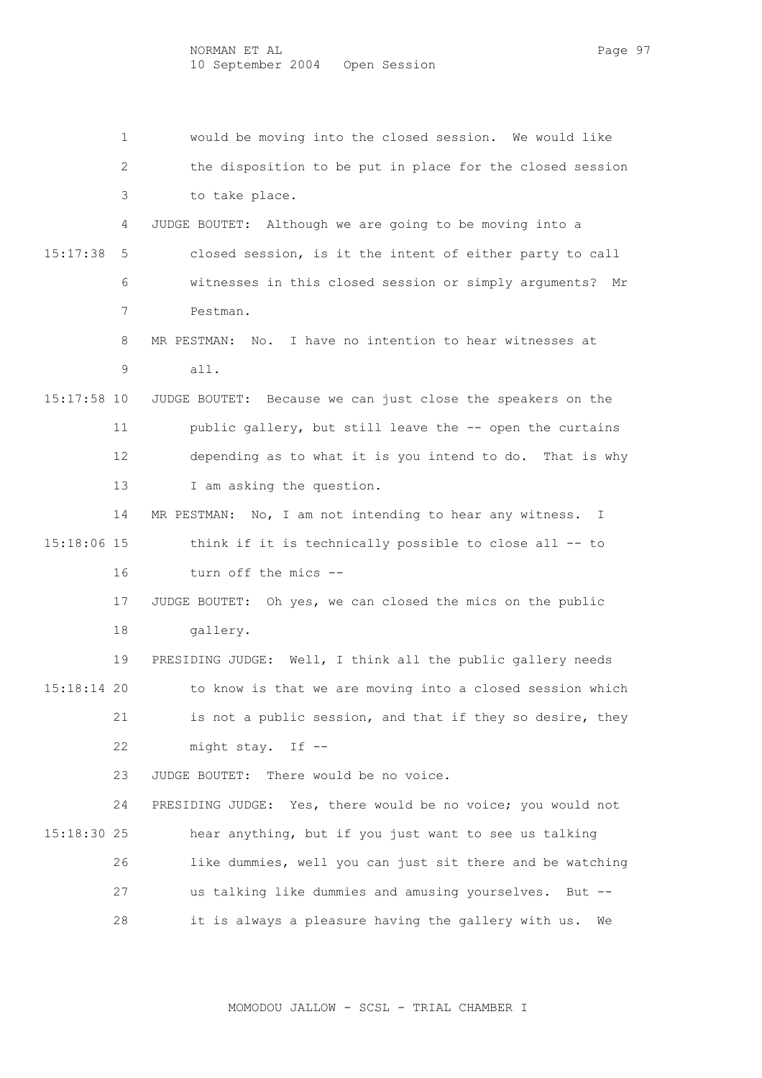1 would be moving into the closed session. We would like 2 the disposition to be put in place for the closed session 3 to take place. 4 JUDGE BOUTET: Although we are going to be moving into a 15:17:38 5 closed session, is it the intent of either party to call 6 witnesses in this closed session or simply arguments? Mr 7 Pestman. 8 MR PESTMAN: No. I have no intention to hear witnesses at 9 all. 15:17:58 10 JUDGE BOUTET: Because we can just close the speakers on the 11 public gallery, but still leave the -- open the curtains 12 depending as to what it is you intend to do. That is why 13 I am asking the question. 14 MR PESTMAN: No, I am not intending to hear any witness. I 15:18:06 15 think if it is technically possible to close all -- to 16 turn off the mics -- 17 JUDGE BOUTET: Oh yes, we can closed the mics on the public 18 gallery. 19 PRESIDING JUDGE: Well, I think all the public gallery needs 15:18:14 20 to know is that we are moving into a closed session which 21 is not a public session, and that if they so desire, they 22 might stay. If -- 23 JUDGE BOUTET: There would be no voice. 24 PRESIDING JUDGE: Yes, there would be no voice; you would not 15:18:30 25 hear anything, but if you just want to see us talking 26 like dummies, well you can just sit there and be watching 27 us talking like dummies and amusing yourselves. But -- 28 it is always a pleasure having the gallery with us. We

MOMODOU JALLOW - SCSL - TRIAL CHAMBER I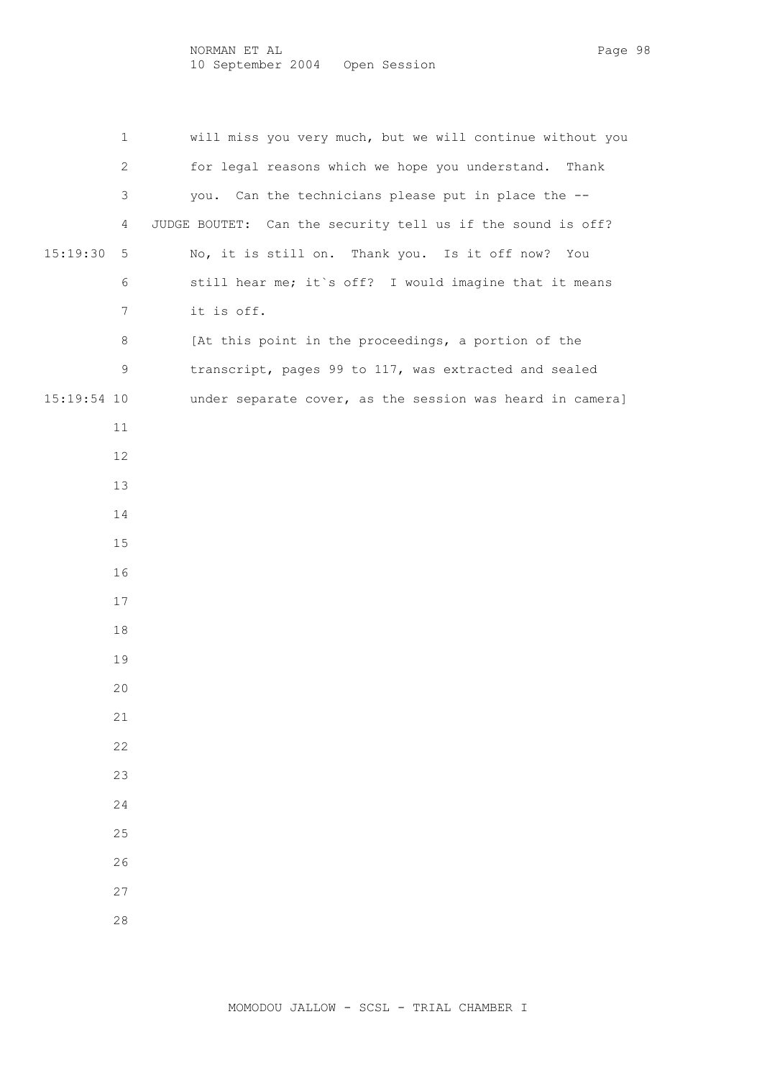NORMAN ET AL Page 98 10 September 2004 Open Session

 1 will miss you very much, but we will continue without you 2 for legal reasons which we hope you understand. Thank 3 you. Can the technicians please put in place the -- 4 JUDGE BOUTET: Can the security tell us if the sound is off? 15:19:30 5 No, it is still on. Thank you. Is it off now? You 6 still hear me; it`s off? I would imagine that it means 7 it is off. 8 [At this point in the proceedings, a portion of the 9 transcript, pages 99 to 117, was extracted and sealed 15:19:54 10 under separate cover, as the session was heard in camera] 11 12 13 14 15 16 17 18 19 20 21 22 23 24 25 26 27 28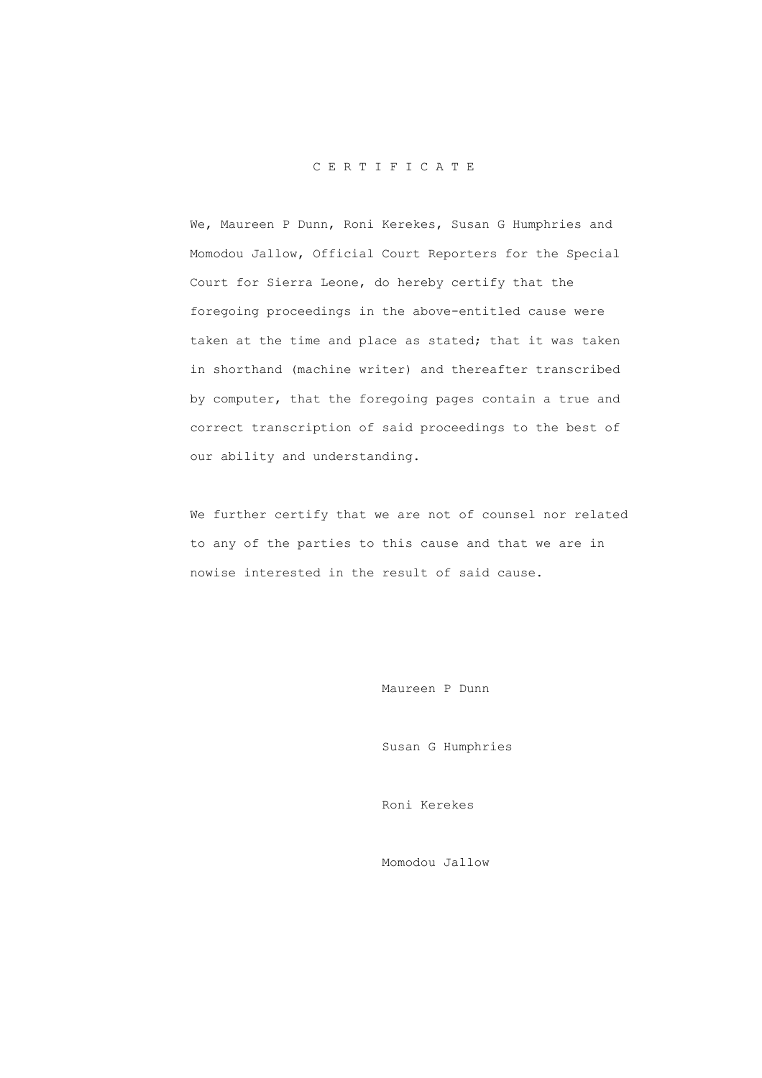## C E R T I F I C A T E

 We, Maureen P Dunn, Roni Kerekes, Susan G Humphries and Momodou Jallow, Official Court Reporters for the Special Court for Sierra Leone, do hereby certify that the foregoing proceedings in the above-entitled cause were taken at the time and place as stated; that it was taken in shorthand (machine writer) and thereafter transcribed by computer, that the foregoing pages contain a true and correct transcription of said proceedings to the best of our ability and understanding.

 We further certify that we are not of counsel nor related to any of the parties to this cause and that we are in nowise interested in the result of said cause.

Maureen P Dunn

Susan G Humphries

Roni Kerekes

Momodou Jallow